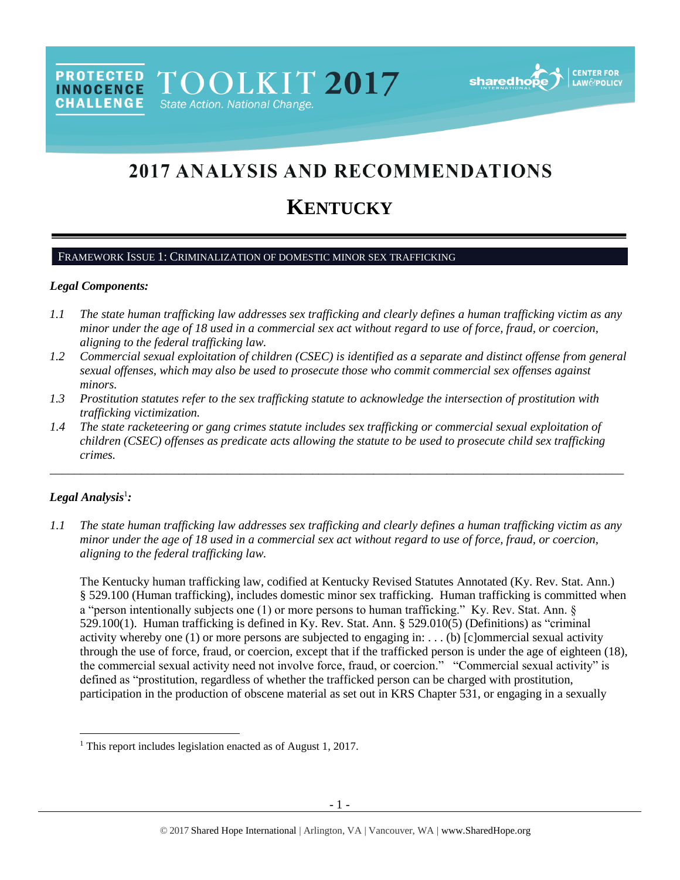**PROTECTED** TOOLKIT 2017 **INNOCENCE CHALLENGE** State Action. National Change.



# 2017 ANALYSIS AND RECOMMENDATIONS

# **KENTUCKY**

# FRAMEWORK ISSUE 1: CRIMINALIZATION OF DOMESTIC MINOR SEX TRAFFICKING

#### *Legal Components:*

- *1.1 The state human trafficking law addresses sex trafficking and clearly defines a human trafficking victim as any minor under the age of 18 used in a commercial sex act without regard to use of force, fraud, or coercion, aligning to the federal trafficking law.*
- *1.2 Commercial sexual exploitation of children (CSEC) is identified as a separate and distinct offense from general sexual offenses, which may also be used to prosecute those who commit commercial sex offenses against minors.*
- *1.3 Prostitution statutes refer to the sex trafficking statute to acknowledge the intersection of prostitution with trafficking victimization.*
- *1.4 The state racketeering or gang crimes statute includes sex trafficking or commercial sexual exploitation of children (CSEC) offenses as predicate acts allowing the statute to be used to prosecute child sex trafficking crimes.*

\_\_\_\_\_\_\_\_\_\_\_\_\_\_\_\_\_\_\_\_\_\_\_\_\_\_\_\_\_\_\_\_\_\_\_\_\_\_\_\_\_\_\_\_\_\_\_\_\_\_\_\_\_\_\_\_\_\_\_\_\_\_\_\_\_\_\_\_\_\_\_\_\_\_\_\_\_\_\_\_\_\_\_\_\_\_\_\_\_\_\_\_\_\_

# *Legal Analysis*<sup>1</sup> *:*

l

*1.1 The state human trafficking law addresses sex trafficking and clearly defines a human trafficking victim as any minor under the age of 18 used in a commercial sex act without regard to use of force, fraud, or coercion, aligning to the federal trafficking law.*

The Kentucky human trafficking law, codified at Kentucky Revised Statutes Annotated (Ky. Rev. Stat. Ann.) § 529.100 (Human trafficking), includes domestic minor sex trafficking. Human trafficking is committed when a "person intentionally subjects one (1) or more persons to human trafficking." Ky. Rev. Stat. Ann. § 529.100(1). Human trafficking is defined in Ky. Rev. Stat. Ann. § 529.010(5) (Definitions) as "criminal activity whereby one (1) or more persons are subjected to engaging in: . . . (b) [c]ommercial sexual activity through the use of force, fraud, or coercion, except that if the trafficked person is under the age of eighteen (18), the commercial sexual activity need not involve force, fraud, or coercion." "Commercial sexual activity" is defined as "prostitution, regardless of whether the trafficked person can be charged with prostitution, participation in the production of obscene material as set out in KRS Chapter 531, or engaging in a sexually

<sup>&</sup>lt;sup>1</sup> This report includes legislation enacted as of August 1, 2017.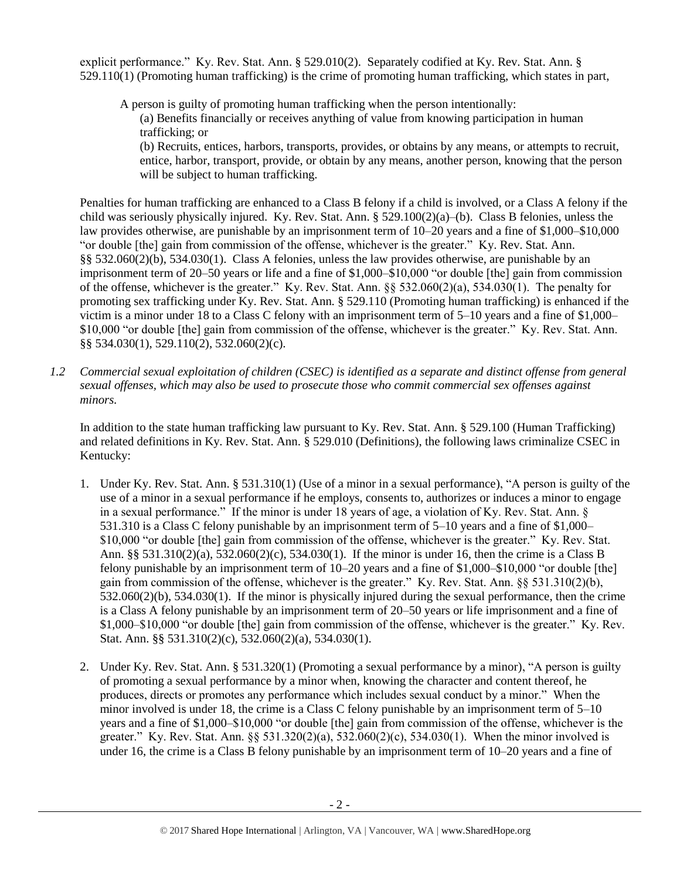explicit performance." Ky. Rev. Stat. Ann. § 529.010(2). Separately codified at Ky. Rev. Stat. Ann. § 529.110(1) (Promoting human trafficking) is the crime of promoting human trafficking, which states in part,

A person is guilty of promoting human trafficking when the person intentionally: (a) Benefits financially or receives anything of value from knowing participation in human trafficking; or

(b) Recruits, entices, harbors, transports, provides, or obtains by any means, or attempts to recruit, entice, harbor, transport, provide, or obtain by any means, another person, knowing that the person will be subject to human trafficking.

Penalties for human trafficking are enhanced to a Class B felony if a child is involved, or a Class A felony if the child was seriously physically injured. Ky. Rev. Stat. Ann. § 529.100(2)(a)–(b). Class B felonies, unless the law provides otherwise, are punishable by an imprisonment term of 10–20 years and a fine of \$1,000–\$10,000 "or double [the] gain from commission of the offense, whichever is the greater." Ky. Rev. Stat. Ann. §§ 532.060(2)(b), 534.030(1). Class A felonies, unless the law provides otherwise, are punishable by an imprisonment term of 20–50 years or life and a fine of \$1,000–\$10,000 "or double [the] gain from commission of the offense, whichever is the greater." Ky. Rev. Stat. Ann. §§ 532.060(2)(a), 534.030(1). The penalty for promoting sex trafficking under Ky. Rev. Stat. Ann. § 529.110 (Promoting human trafficking) is enhanced if the victim is a minor under 18 to a Class C felony with an imprisonment term of 5–10 years and a fine of \$1,000– \$10,000 "or double [the] gain from commission of the offense, whichever is the greater." Ky. Rev. Stat. Ann. §§ 534.030(1), 529.110(2), 532.060(2)(c).

*1.2 Commercial sexual exploitation of children (CSEC) is identified as a separate and distinct offense from general sexual offenses, which may also be used to prosecute those who commit commercial sex offenses against minors.*

In addition to the state human trafficking law pursuant to Ky. Rev. Stat. Ann. § 529.100 (Human Trafficking) and related definitions in Ky. Rev. Stat. Ann. § 529.010 (Definitions), the following laws criminalize CSEC in Kentucky:

- 1. Under Ky. Rev. Stat. Ann. § 531.310(1) (Use of a minor in a sexual performance), "A person is guilty of the use of a minor in a sexual performance if he employs, consents to, authorizes or induces a minor to engage in a sexual performance." If the minor is under 18 years of age, a violation of Ky. Rev. Stat. Ann. § 531.310 is a Class C felony punishable by an imprisonment term of 5–10 years and a fine of \$1,000– \$10,000 "or double [the] gain from commission of the offense, whichever is the greater." Ky. Rev. Stat. Ann. §§ 531.310(2)(a), 532.060(2)(c), 534.030(1). If the minor is under 16, then the crime is a Class B felony punishable by an imprisonment term of 10–20 years and a fine of \$1,000–\$10,000 "or double [the] gain from commission of the offense, whichever is the greater." Ky. Rev. Stat. Ann. §§ 531.310(2)(b), 532.060(2)(b), 534.030(1). If the minor is physically injured during the sexual performance, then the crime is a Class A felony punishable by an imprisonment term of 20–50 years or life imprisonment and a fine of \$1,000–\$10,000 "or double [the] gain from commission of the offense, whichever is the greater." Ky. Rev. Stat. Ann. §§ 531.310(2)(c), 532.060(2)(a), 534.030(1).
- 2. Under Ky. Rev. Stat. Ann. § 531.320(1) (Promoting a sexual performance by a minor), "A person is guilty of promoting a sexual performance by a minor when, knowing the character and content thereof, he produces, directs or promotes any performance which includes sexual conduct by a minor." When the minor involved is under 18, the crime is a Class C felony punishable by an imprisonment term of 5–10 years and a fine of \$1,000–\$10,000 "or double [the] gain from commission of the offense, whichever is the greater." Ky. Rev. Stat. Ann.  $\S$  531.320(2)(a), 532.060(2)(c), 534.030(1). When the minor involved is under 16, the crime is a Class B felony punishable by an imprisonment term of 10–20 years and a fine of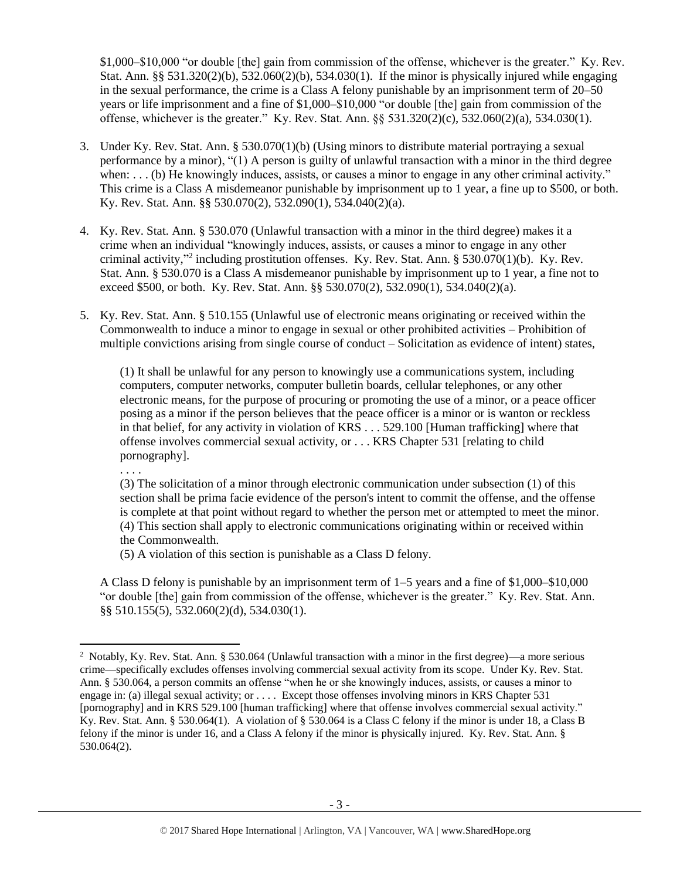\$1,000–\$10,000 "or double [the] gain from commission of the offense, whichever is the greater." Ky. Rev. Stat. Ann. §§ 531.320(2)(b), 532.060(2)(b), 534.030(1). If the minor is physically injured while engaging in the sexual performance, the crime is a Class A felony punishable by an imprisonment term of 20–50 years or life imprisonment and a fine of \$1,000–\$10,000 "or double [the] gain from commission of the offense, whichever is the greater." Ky. Rev. Stat. Ann. §§ 531.320(2)(c), 532.060(2)(a), 534.030(1).

- 3. Under Ky. Rev. Stat. Ann. § 530.070(1)(b) (Using minors to distribute material portraying a sexual performance by a minor), "(1) A person is guilty of unlawful transaction with a minor in the third degree when: . . . (b) He knowingly induces, assists, or causes a minor to engage in any other criminal activity." This crime is a Class A misdemeanor punishable by imprisonment up to 1 year, a fine up to \$500, or both. Ky. Rev. Stat. Ann. §§ 530.070(2), 532.090(1), 534.040(2)(a).
- 4. Ky. Rev. Stat. Ann. § 530.070 (Unlawful transaction with a minor in the third degree) makes it a crime when an individual "knowingly induces, assists, or causes a minor to engage in any other criminal activity," 2 including prostitution offenses. Ky. Rev. Stat. Ann. § 530.070(1)(b). Ky. Rev. Stat. Ann. § 530.070 is a Class A misdemeanor punishable by imprisonment up to 1 year, a fine not to exceed \$500, or both. Ky. Rev. Stat. Ann. §§ 530.070(2), 532.090(1), 534.040(2)(a).
- 5. Ky. Rev. Stat. Ann. § 510.155 (Unlawful use of electronic means originating or received within the Commonwealth to induce a minor to engage in sexual or other prohibited activities – Prohibition of multiple convictions arising from single course of conduct – Solicitation as evidence of intent) states,

(1) It shall be unlawful for any person to knowingly use a communications system, including computers, computer networks, computer bulletin boards, cellular telephones, or any other electronic means, for the purpose of procuring or promoting the use of a minor, or a peace officer posing as a minor if the person believes that the peace officer is a minor or is wanton or reckless in that belief, for any activity in violation of KRS . . . 529.100 [Human trafficking] where that offense involves commercial sexual activity, or . . . KRS Chapter 531 [relating to child pornography].

. . . .

 $\overline{\phantom{a}}$ 

(3) The solicitation of a minor through electronic communication under subsection (1) of this section shall be prima facie evidence of the person's intent to commit the offense, and the offense is complete at that point without regard to whether the person met or attempted to meet the minor. (4) This section shall apply to electronic communications originating within or received within the Commonwealth.

(5) A violation of this section is punishable as a Class D felony.

A Class D felony is punishable by an imprisonment term of 1–5 years and a fine of \$1,000–\$10,000 "or double [the] gain from commission of the offense, whichever is the greater." Ky. Rev. Stat. Ann. §§ 510.155(5), 532.060(2)(d), 534.030(1).

<sup>&</sup>lt;sup>2</sup> Notably, Ky. Rev. Stat. Ann. § 530.064 (Unlawful transaction with a minor in the first degree)—a more serious crime—specifically excludes offenses involving commercial sexual activity from its scope. Under Ky. Rev. Stat. Ann. § 530.064, a person commits an offense "when he or she knowingly induces, assists, or causes a minor to engage in: (a) illegal sexual activity; or . . . . Except those offenses involving minors in KRS Chapter 531 [pornography] and in KRS 529.100 [human trafficking] where that offense involves commercial sexual activity." Ky. Rev. Stat. Ann. § 530.064(1). A violation of § 530.064 is a Class C felony if the minor is under 18, a Class B felony if the minor is under 16, and a Class A felony if the minor is physically injured. Ky. Rev. Stat. Ann. § 530.064(2).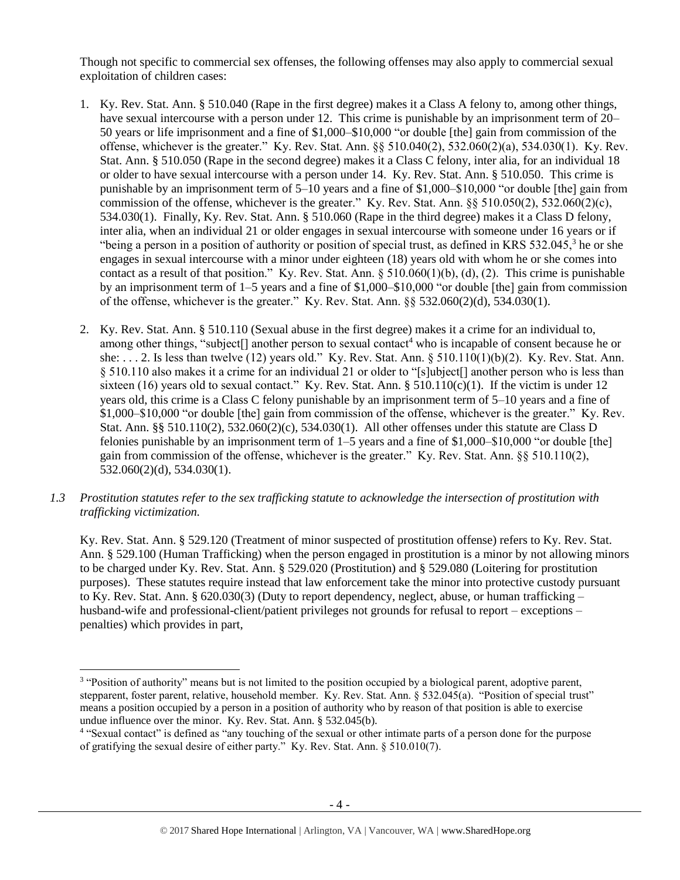Though not specific to commercial sex offenses, the following offenses may also apply to commercial sexual exploitation of children cases:

- 1. Ky. Rev. Stat. Ann. § 510.040 (Rape in the first degree) makes it a Class A felony to, among other things, have sexual intercourse with a person under 12. This crime is punishable by an imprisonment term of 20– 50 years or life imprisonment and a fine of \$1,000–\$10,000 "or double [the] gain from commission of the offense, whichever is the greater." Ky. Rev. Stat. Ann. §§ 510.040(2), 532.060(2)(a), 534.030(1). Ky. Rev. Stat. Ann. § 510.050 (Rape in the second degree) makes it a Class C felony, inter alia, for an individual 18 or older to have sexual intercourse with a person under 14. Ky. Rev. Stat. Ann. § 510.050. This crime is punishable by an imprisonment term of 5–10 years and a fine of \$1,000–\$10,000 "or double [the] gain from commission of the offense, whichever is the greater." Ky. Rev. Stat. Ann.  $\S$ § 510.050(2), 532.060(2)(c), 534.030(1). Finally, Ky. Rev. Stat. Ann. § 510.060 (Rape in the third degree) makes it a Class D felony, inter alia, when an individual 21 or older engages in sexual intercourse with someone under 16 years or if "being a person in a position of authority or position of special trust, as defined in KRS 532.045,<sup>3</sup> he or she engages in sexual intercourse with a minor under eighteen (18) years old with whom he or she comes into contact as a result of that position." Ky. Rev. Stat. Ann.  $\S 510.060(1)(b)$ , (d), (2). This crime is punishable by an imprisonment term of 1–5 years and a fine of \$1,000–\$10,000 "or double [the] gain from commission of the offense, whichever is the greater." Ky. Rev. Stat. Ann.  $\frac{8}{5}$  532.060(2)(d), 534.030(1).
- <span id="page-3-0"></span>2. Ky. Rev. Stat. Ann. § 510.110 (Sexual abuse in the first degree) makes it a crime for an individual to, among other things, "subject<sup>[]</sup> another person to sexual contact<sup>4</sup> who is incapable of consent because he or she: . . . 2. Is less than twelve (12) years old." Ky. Rev. Stat. Ann. § 510.110(1)(b)(2). Ky. Rev. Stat. Ann. § 510.110 also makes it a crime for an individual 21 or older to "[s]ubject[] another person who is less than sixteen (16) years old to sexual contact." Ky. Rev. Stat. Ann. § 510.110(c)(1). If the victim is under 12 years old, this crime is a Class C felony punishable by an imprisonment term of 5–10 years and a fine of \$1,000–\$10,000 "or double [the] gain from commission of the offense, whichever is the greater." Ky. Rev. Stat. Ann. §§ 510.110(2), 532.060(2)(c), 534.030(1). All other offenses under this statute are Class D felonies punishable by an imprisonment term of  $1-5$  years and a fine of \$1,000–\$10,000 "or double [the] gain from commission of the offense, whichever is the greater." Ky. Rev. Stat. Ann. §§ 510.110(2), 532.060(2)(d), 534.030(1).
- *1.3 Prostitution statutes refer to the sex trafficking statute to acknowledge the intersection of prostitution with trafficking victimization.*

Ky. Rev. Stat. Ann. § 529.120 (Treatment of minor suspected of prostitution offense) refers to Ky. Rev. Stat. Ann. § 529.100 (Human Trafficking) when the person engaged in prostitution is a minor by not allowing minors to be charged under Ky. Rev. Stat. Ann. § 529.020 (Prostitution) and § 529.080 (Loitering for prostitution purposes). These statutes require instead that law enforcement take the minor into protective custody pursuant to Ky. Rev. Stat. Ann. § 620.030(3) (Duty to report dependency, neglect, abuse, or human trafficking – husband-wife and professional-client/patient privileges not grounds for refusal to report – exceptions – penalties) which provides in part,

 $\overline{a}$ 

<sup>&</sup>lt;sup>3</sup> "Position of authority" means but is not limited to the position occupied by a biological parent, adoptive parent, stepparent, foster parent, relative, household member. Ky. Rev. Stat. Ann. § 532.045(a). "Position of special trust" means a position occupied by a person in a position of authority who by reason of that position is able to exercise undue influence over the minor. Ky. Rev. Stat. Ann. § 532.045(b).

<sup>4</sup> "Sexual contact" is defined as "any touching of the sexual or other intimate parts of a person done for the purpose of gratifying the sexual desire of either party." Ky. Rev. Stat. Ann. § 510.010(7).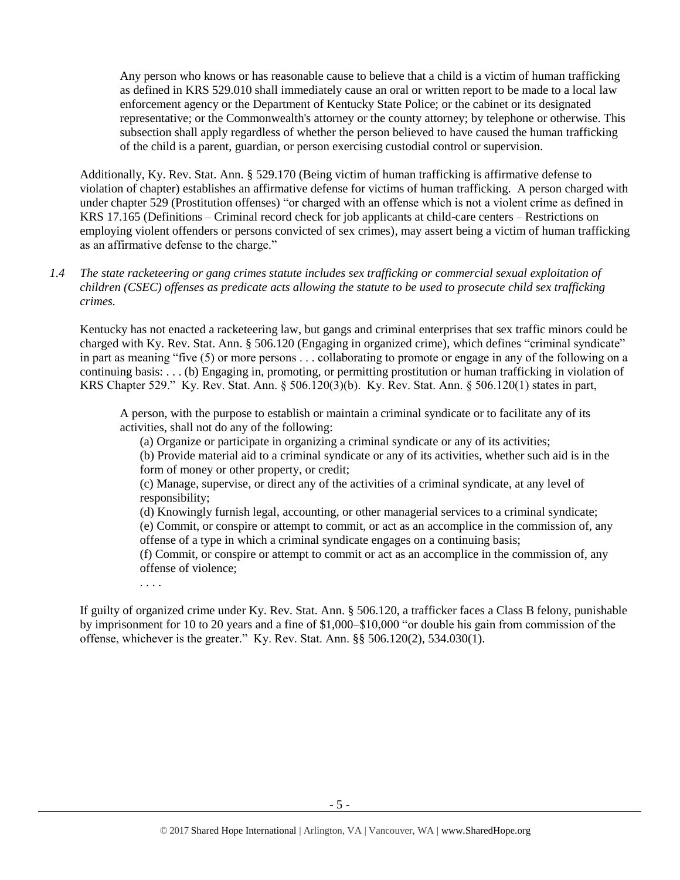Any person who knows or has reasonable cause to believe that a child is a victim of human trafficking as defined in KRS 529.010 shall immediately cause an oral or written report to be made to a local law enforcement agency or the Department of Kentucky State Police; or the cabinet or its designated representative; or the Commonwealth's attorney or the county attorney; by telephone or otherwise. This subsection shall apply regardless of whether the person believed to have caused the human trafficking of the child is a parent, guardian, or person exercising custodial control or supervision.

Additionally, Ky. Rev. Stat. Ann. § 529.170 (Being victim of human trafficking is affirmative defense to violation of chapter) establishes an affirmative defense for victims of human trafficking. A person charged with under chapter 529 (Prostitution offenses) "or charged with an offense which is not a violent crime as defined in KRS 17.165 (Definitions – Criminal record check for job applicants at child-care centers – Restrictions on employing violent offenders or persons convicted of sex crimes), may assert being a victim of human trafficking as an affirmative defense to the charge."

*1.4 The state racketeering or gang crimes statute includes sex trafficking or commercial sexual exploitation of children (CSEC) offenses as predicate acts allowing the statute to be used to prosecute child sex trafficking crimes.* 

Kentucky has not enacted a racketeering law, but gangs and criminal enterprises that sex traffic minors could be charged with Ky. Rev. Stat. Ann. § 506.120 (Engaging in organized crime), which defines "criminal syndicate" in part as meaning "five (5) or more persons . . . collaborating to promote or engage in any of the following on a continuing basis: . . . (b) Engaging in, promoting, or permitting prostitution or human trafficking in violation of KRS Chapter 529." Ky. Rev. Stat. Ann. § 506.120(3)(b). Ky. Rev. Stat. Ann. § 506.120(1) states in part,

A person, with the purpose to establish or maintain a criminal syndicate or to facilitate any of its activities, shall not do any of the following:

(a) Organize or participate in organizing a criminal syndicate or any of its activities;

(b) Provide material aid to a criminal syndicate or any of its activities, whether such aid is in the form of money or other property, or credit;

(c) Manage, supervise, or direct any of the activities of a criminal syndicate, at any level of responsibility;

(d) Knowingly furnish legal, accounting, or other managerial services to a criminal syndicate;

(e) Commit, or conspire or attempt to commit, or act as an accomplice in the commission of, any offense of a type in which a criminal syndicate engages on a continuing basis;

(f) Commit, or conspire or attempt to commit or act as an accomplice in the commission of, any offense of violence;

If guilty of organized crime under Ky. Rev. Stat. Ann. § 506.120, a trafficker faces a Class B felony, punishable by imprisonment for 10 to 20 years and a fine of \$1,000–\$10,000 "or double his gain from commission of the offense, whichever is the greater." Ky. Rev. Stat. Ann. §§ 506.120(2), 534.030(1).

. . . .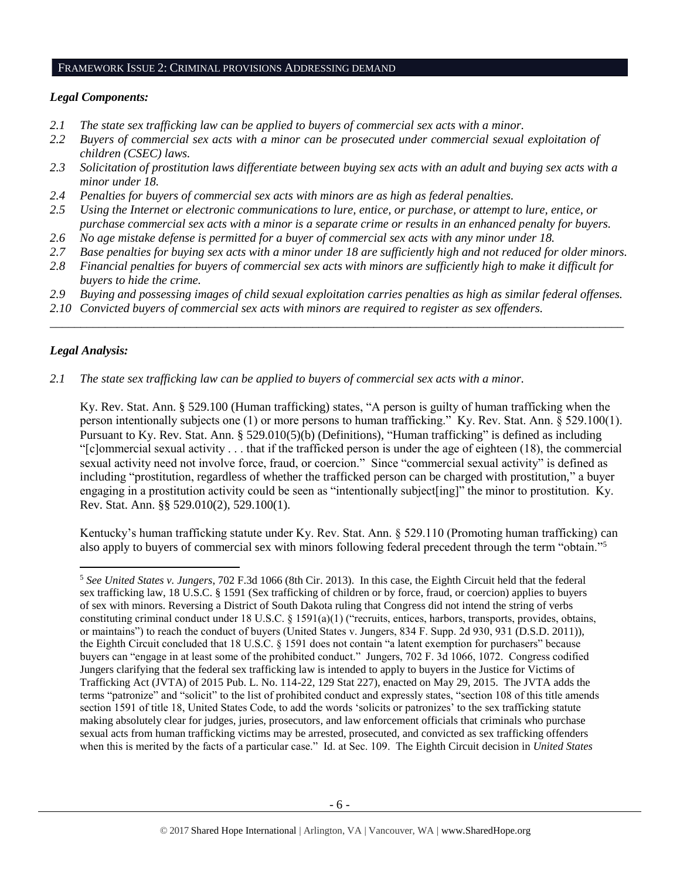#### FRAMEWORK ISSUE 2: CRIMINAL PROVISIONS ADDRESSING DEMAND

# *Legal Components:*

- *2.1 The state sex trafficking law can be applied to buyers of commercial sex acts with a minor.*
- *2.2 Buyers of commercial sex acts with a minor can be prosecuted under commercial sexual exploitation of children (CSEC) laws.*
- *2.3 Solicitation of prostitution laws differentiate between buying sex acts with an adult and buying sex acts with a minor under 18.*
- *2.4 Penalties for buyers of commercial sex acts with minors are as high as federal penalties.*
- *2.5 Using the Internet or electronic communications to lure, entice, or purchase, or attempt to lure, entice, or purchase commercial sex acts with a minor is a separate crime or results in an enhanced penalty for buyers.*
- *2.6 No age mistake defense is permitted for a buyer of commercial sex acts with any minor under 18.*
- *2.7 Base penalties for buying sex acts with a minor under 18 are sufficiently high and not reduced for older minors.*
- *2.8 Financial penalties for buyers of commercial sex acts with minors are sufficiently high to make it difficult for buyers to hide the crime.*
- *2.9 Buying and possessing images of child sexual exploitation carries penalties as high as similar federal offenses.*

\_\_\_\_\_\_\_\_\_\_\_\_\_\_\_\_\_\_\_\_\_\_\_\_\_\_\_\_\_\_\_\_\_\_\_\_\_\_\_\_\_\_\_\_\_\_\_\_\_\_\_\_\_\_\_\_\_\_\_\_\_\_\_\_\_\_\_\_\_\_\_\_\_\_\_\_\_\_\_\_\_\_\_\_\_\_\_\_\_\_\_\_\_\_

*2.10 Convicted buyers of commercial sex acts with minors are required to register as sex offenders.*

# *Legal Analysis:*

 $\overline{\phantom{a}}$ 

*2.1 The state sex trafficking law can be applied to buyers of commercial sex acts with a minor.* 

Ky. Rev. Stat. Ann. § 529.100 (Human trafficking) states, "A person is guilty of human trafficking when the person intentionally subjects one (1) or more persons to human trafficking." Ky. Rev. Stat. Ann. § 529.100(1). Pursuant to Ky. Rev. Stat. Ann. § 529.010(5)(b) (Definitions), "Human trafficking" is defined as including "[c]ommercial sexual activity  $\dots$  that if the trafficked person is under the age of eighteen (18), the commercial sexual activity need not involve force, fraud, or coercion." Since "commercial sexual activity" is defined as including "prostitution, regardless of whether the trafficked person can be charged with prostitution," a buyer engaging in a prostitution activity could be seen as "intentionally subject [ing]" the minor to prostitution. Ky. Rev. Stat. Ann. §§ 529.010(2), 529.100(1).

Kentucky's human trafficking statute under Ky. Rev. Stat. Ann. § 529.110 (Promoting human trafficking) can also apply to buyers of commercial sex with minors following federal precedent through the term "obtain."<sup>5</sup>

<sup>5</sup> *See United States v. Jungers*, 702 F.3d 1066 (8th Cir. 2013). In this case, the Eighth Circuit held that the federal sex trafficking law, 18 U.S.C. § 1591 (Sex trafficking of children or by force, fraud, or coercion) applies to buyers of sex with minors. Reversing a District of South Dakota ruling that Congress did not intend the string of verbs constituting criminal conduct under 18 U.S.C. § 1591(a)(1) ("recruits, entices, harbors, transports, provides, obtains, or maintains") to reach the conduct of buyers (United States v. Jungers, 834 F. Supp. 2d 930, 931 (D.S.D. 2011)), the Eighth Circuit concluded that 18 U.S.C. § 1591 does not contain "a latent exemption for purchasers" because buyers can "engage in at least some of the prohibited conduct." Jungers, 702 F. 3d 1066, 1072. Congress codified Jungers clarifying that the federal sex trafficking law is intended to apply to buyers in the Justice for Victims of Trafficking Act (JVTA) of 2015 Pub. L. No. 114-22, 129 Stat 227), enacted on May 29, 2015. The JVTA adds the terms "patronize" and "solicit" to the list of prohibited conduct and expressly states, "section 108 of this title amends section 1591 of title 18, United States Code, to add the words 'solicits or patronizes' to the sex trafficking statute making absolutely clear for judges, juries, prosecutors, and law enforcement officials that criminals who purchase sexual acts from human trafficking victims may be arrested, prosecuted, and convicted as sex trafficking offenders when this is merited by the facts of a particular case." Id. at Sec. 109. The Eighth Circuit decision in *United States*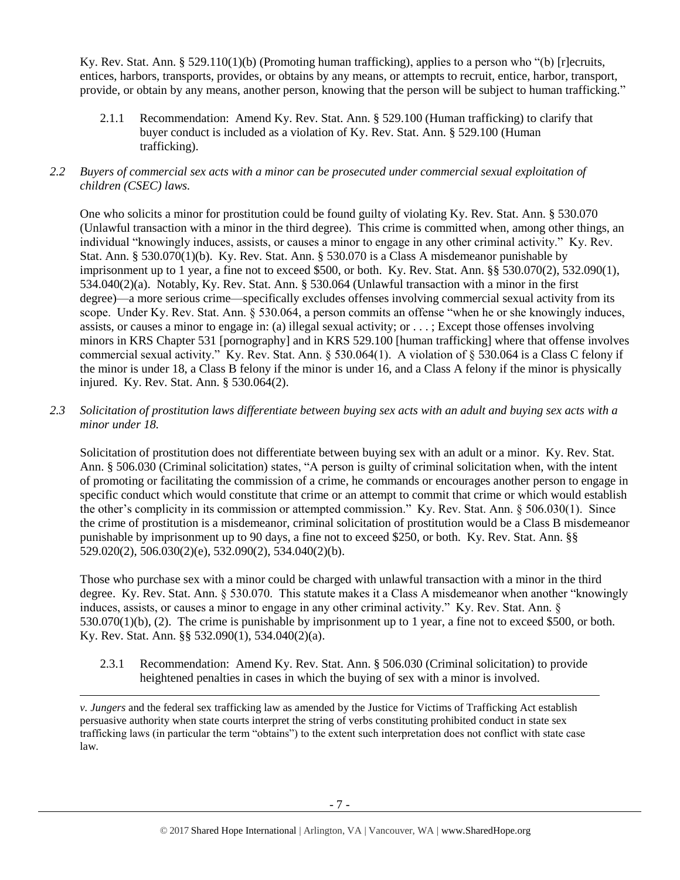Ky. Rev. Stat. Ann. § 529.110(1)(b) (Promoting human trafficking), applies to a person who "(b) [r]ecruits, entices, harbors, transports, provides, or obtains by any means, or attempts to recruit, entice, harbor, transport, provide, or obtain by any means, another person, knowing that the person will be subject to human trafficking."

2.1.1 Recommendation: Amend Ky. Rev. Stat. Ann. § 529.100 (Human trafficking) to clarify that buyer conduct is included as a violation of Ky. Rev. Stat. Ann. § 529.100 (Human trafficking).

# *2.2 Buyers of commercial sex acts with a minor can be prosecuted under commercial sexual exploitation of children (CSEC) laws.*

One who solicits a minor for prostitution could be found guilty of violating Ky. Rev. Stat. Ann. § 530.070 (Unlawful transaction with a minor in the third degree). This crime is committed when, among other things, an individual "knowingly induces, assists, or causes a minor to engage in any other criminal activity." Ky. Rev. Stat. Ann. § 530.070(1)(b). Ky. Rev. Stat. Ann. § 530.070 is a Class A misdemeanor punishable by imprisonment up to 1 year, a fine not to exceed \$500, or both. Ky. Rev. Stat. Ann. §§ 530.070(2), 532.090(1), 534.040(2)(a). Notably, Ky. Rev. Stat. Ann. § 530.064 (Unlawful transaction with a minor in the first degree)—a more serious crime—specifically excludes offenses involving commercial sexual activity from its scope. Under Ky. Rev. Stat. Ann. § 530.064, a person commits an offense "when he or she knowingly induces, assists, or causes a minor to engage in: (a) illegal sexual activity; or . . . ; Except those offenses involving minors in KRS Chapter 531 [pornography] and in KRS 529.100 [human trafficking] where that offense involves commercial sexual activity." Ky. Rev. Stat. Ann. § 530.064(1). A violation of § 530.064 is a Class C felony if the minor is under 18, a Class B felony if the minor is under 16, and a Class A felony if the minor is physically injured. Ky. Rev. Stat. Ann. § 530.064(2).

# *2.3 Solicitation of prostitution laws differentiate between buying sex acts with an adult and buying sex acts with a minor under 18.*

Solicitation of prostitution does not differentiate between buying sex with an adult or a minor. Ky. Rev. Stat. Ann. § 506.030 (Criminal solicitation) states, "A person is guilty of criminal solicitation when, with the intent of promoting or facilitating the commission of a crime, he commands or encourages another person to engage in specific conduct which would constitute that crime or an attempt to commit that crime or which would establish the other's complicity in its commission or attempted commission." Ky. Rev. Stat. Ann. § 506.030(1). Since the crime of prostitution is a misdemeanor, criminal solicitation of prostitution would be a Class B misdemeanor punishable by imprisonment up to 90 days, a fine not to exceed \$250, or both. Ky. Rev. Stat. Ann. §§ 529.020(2), 506.030(2)(e), 532.090(2), 534.040(2)(b).

Those who purchase sex with a minor could be charged with unlawful transaction with a minor in the third degree. Ky. Rev. Stat. Ann. § 530.070. This statute makes it a Class A misdemeanor when another "knowingly induces, assists, or causes a minor to engage in any other criminal activity." Ky. Rev. Stat. Ann. § 530.070(1)(b), (2). The crime is punishable by imprisonment up to 1 year, a fine not to exceed \$500, or both. Ky. Rev. Stat. Ann. §§ 532.090(1), 534.040(2)(a).

2.3.1 Recommendation: Amend Ky. Rev. Stat. Ann. § 506.030 (Criminal solicitation) to provide heightened penalties in cases in which the buying of sex with a minor is involved.

*v. Jungers* and the federal sex trafficking law as amended by the Justice for Victims of Trafficking Act establish persuasive authority when state courts interpret the string of verbs constituting prohibited conduct in state sex trafficking laws (in particular the term "obtains") to the extent such interpretation does not conflict with state case law.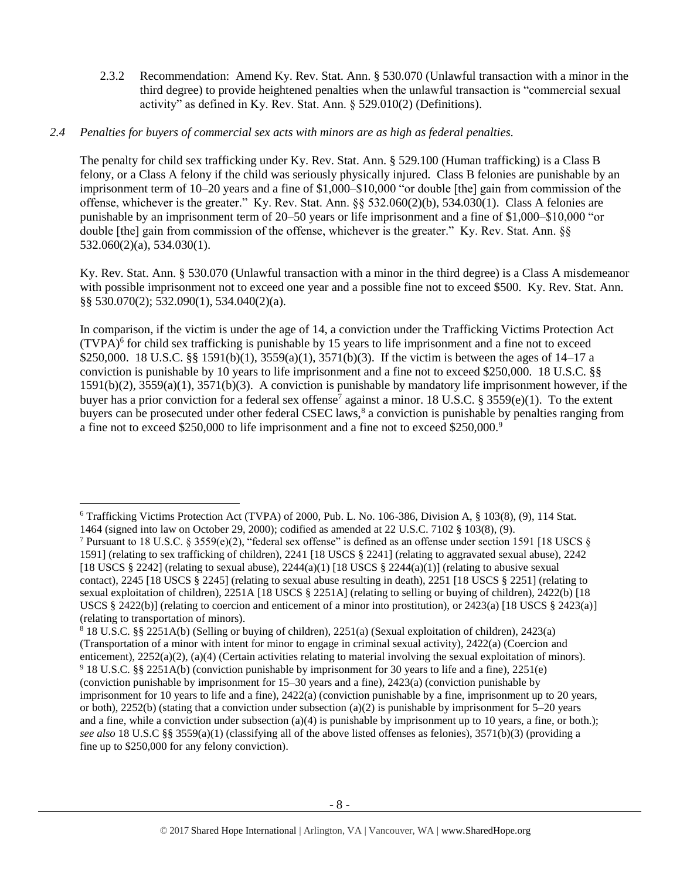2.3.2 Recommendation: Amend Ky. Rev. Stat. Ann. § 530.070 (Unlawful transaction with a minor in the third degree) to provide heightened penalties when the unlawful transaction is "commercial sexual activity" as defined in Ky. Rev. Stat. Ann. § 529.010(2) (Definitions).

# *2.4 Penalties for buyers of commercial sex acts with minors are as high as federal penalties.*

The penalty for child sex trafficking under Ky. Rev. Stat. Ann. § 529.100 (Human trafficking) is a Class B felony, or a Class A felony if the child was seriously physically injured. Class B felonies are punishable by an imprisonment term of 10–20 years and a fine of \$1,000–\$10,000 "or double [the] gain from commission of the offense, whichever is the greater." Ky. Rev. Stat. Ann. §§ 532.060(2)(b), 534.030(1). Class A felonies are punishable by an imprisonment term of 20–50 years or life imprisonment and a fine of \$1,000–\$10,000 "or double [the] gain from commission of the offense, whichever is the greater." Ky. Rev. Stat. Ann. §§ 532.060(2)(a), 534.030(1).

Ky. Rev. Stat. Ann. § 530.070 (Unlawful transaction with a minor in the third degree) is a Class A misdemeanor with possible imprisonment not to exceed one year and a possible fine not to exceed \$500. Ky. Rev. Stat. Ann. §§ 530.070(2); 532.090(1), 534.040(2)(a).

<span id="page-7-1"></span><span id="page-7-0"></span>In comparison, if the victim is under the age of 14, a conviction under the Trafficking Victims Protection Act (TVPA)<sup>6</sup> for child sex trafficking is punishable by 15 years to life imprisonment and a fine not to exceed \$250,000. 18 U.S.C. §§ 1591(b)(1),  $3559(a)(1)$ ,  $3571(b)(3)$ . If the victim is between the ages of 14–17 a conviction is punishable by 10 years to life imprisonment and a fine not to exceed \$250,000. 18 U.S.C. §§ 1591(b)(2), 3559(a)(1), 3571(b)(3). A conviction is punishable by mandatory life imprisonment however, if the buyer has a prior conviction for a federal sex offense<sup>7</sup> against a minor. 18 U.S.C. § 3559(e)(1). To the extent buyers can be prosecuted under other federal CSEC laws,<sup>8</sup> a conviction is punishable by penalties ranging from a fine not to exceed \$250,000 to life imprisonment and a fine not to exceed \$250,000.<sup>9</sup>

l <sup>6</sup> Trafficking Victims Protection Act (TVPA) of 2000, Pub. L. No. 106-386, Division A, § 103(8), (9), 114 Stat. 1464 (signed into law on October 29, 2000); codified as amended at 22 U.S.C. 7102 § 103(8), (9).

<sup>&</sup>lt;sup>7</sup> Pursuant to 18 U.S.C. § 3559(e)(2), "federal sex offense" is defined as an offense under section 1591 [18 USCS § 1591] (relating to sex trafficking of children), 2241 [18 USCS § 2241] (relating to aggravated sexual abuse), 2242 [18 USCS  $\S 2242$ ] (relating to sexual abuse),  $2244(a)(1)$  [18 USCS  $\S 2244(a)(1)$ ] (relating to abusive sexual contact), 2245 [18 USCS § 2245] (relating to sexual abuse resulting in death), 2251 [18 USCS § 2251] (relating to sexual exploitation of children), 2251A [18 USCS § 2251A] (relating to selling or buying of children), 2422(b) [18 USCS § 2422(b)] (relating to coercion and enticement of a minor into prostitution), or 2423(a) [18 USCS § 2423(a)] (relating to transportation of minors).

<sup>8</sup> 18 U.S.C. §§ 2251A(b) (Selling or buying of children), 2251(a) (Sexual exploitation of children), 2423(a) (Transportation of a minor with intent for minor to engage in criminal sexual activity), 2422(a) (Coercion and enticement), 2252(a)(2), (a)(4) (Certain activities relating to material involving the sexual exploitation of minors). <sup>9</sup> 18 U.S.C. §§ 2251A(b) (conviction punishable by imprisonment for 30 years to life and a fine), 2251(e) (conviction punishable by imprisonment for 15–30 years and a fine), 2423(a) (conviction punishable by imprisonment for 10 years to life and a fine), 2422(a) (conviction punishable by a fine, imprisonment up to 20 years, or both), 2252(b) (stating that a conviction under subsection (a)(2) is punishable by imprisonment for  $5-20$  years and a fine, while a conviction under subsection  $(a)(4)$  is punishable by imprisonment up to 10 years, a fine, or both.); *see also* 18 U.S.C §§ 3559(a)(1) (classifying all of the above listed offenses as felonies), 3571(b)(3) (providing a fine up to \$250,000 for any felony conviction).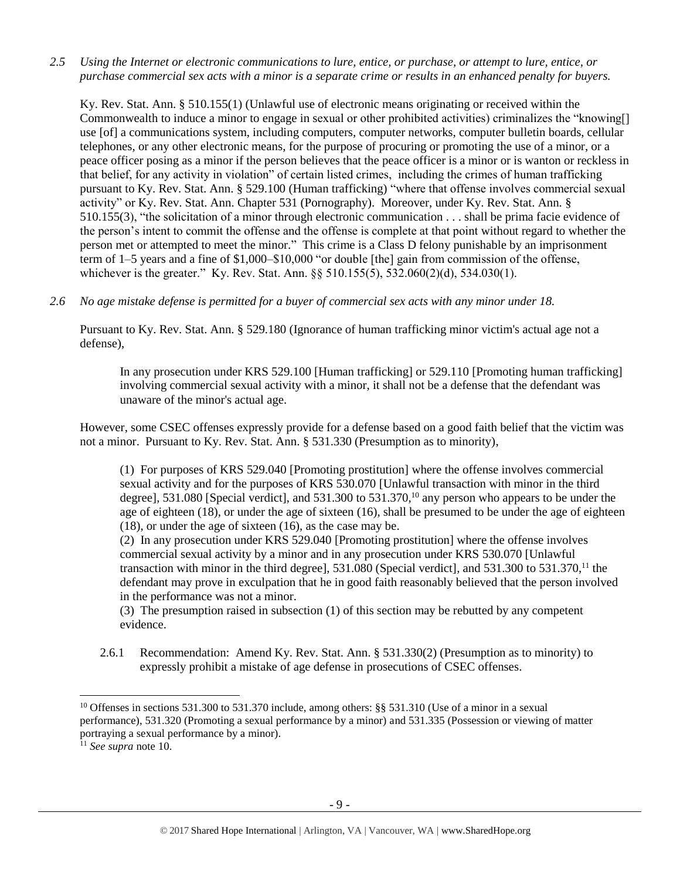*2.5 Using the Internet or electronic communications to lure, entice, or purchase, or attempt to lure, entice, or purchase commercial sex acts with a minor is a separate crime or results in an enhanced penalty for buyers.*

Ky. Rev. Stat. Ann. § 510.155(1) (Unlawful use of electronic means originating or received within the Commonwealth to induce a minor to engage in sexual or other prohibited activities) criminalizes the "knowing[] use [of] a communications system, including computers, computer networks, computer bulletin boards, cellular telephones, or any other electronic means, for the purpose of procuring or promoting the use of a minor, or a peace officer posing as a minor if the person believes that the peace officer is a minor or is wanton or reckless in that belief, for any activity in violation" of certain listed crimes, including the crimes of human trafficking pursuant to Ky. Rev. Stat. Ann. § 529.100 (Human trafficking) "where that offense involves commercial sexual activity" or Ky. Rev. Stat. Ann. Chapter 531 (Pornography). Moreover, under Ky. Rev. Stat. Ann. § 510.155(3), "the solicitation of a minor through electronic communication . . . shall be prima facie evidence of the person's intent to commit the offense and the offense is complete at that point without regard to whether the person met or attempted to meet the minor." This crime is a Class D felony punishable by an imprisonment term of 1–5 years and a fine of \$1,000–\$10,000 "or double [the] gain from commission of the offense, whichever is the greater." Ky. Rev. Stat. Ann. §§ 510.155(5), 532.060(2)(d), 534.030(1).

*2.6 No age mistake defense is permitted for a buyer of commercial sex acts with any minor under 18.*

Pursuant to Ky. Rev. Stat. Ann. § 529.180 (Ignorance of human trafficking minor victim's actual age not a defense),

In any prosecution under KRS 529.100 [Human trafficking] or 529.110 [Promoting human trafficking] involving commercial sexual activity with a minor, it shall not be a defense that the defendant was unaware of the minor's actual age.

However, some CSEC offenses expressly provide for a defense based on a good faith belief that the victim was not a minor. Pursuant to Ky. Rev. Stat. Ann. § 531.330 (Presumption as to minority),

<span id="page-8-0"></span>(1) For purposes of KRS 529.040 [Promoting prostitution] where the offense involves commercial sexual activity and for the purposes of KRS 530.070 [Unlawful transaction with minor in the third degree], 531.080 [Special verdict], and 531.300 to 531.370,<sup>10</sup> any person who appears to be under the age of eighteen (18), or under the age of sixteen (16), shall be presumed to be under the age of eighteen (18), or under the age of sixteen (16), as the case may be.

(2) In any prosecution under KRS 529.040 [Promoting prostitution] where the offense involves commercial sexual activity by a minor and in any prosecution under KRS 530.070 [Unlawful transaction with minor in the third degree],  $531.080$  (Special verdict), and  $531.300$  to  $531.370$ ,<sup>11</sup> the defendant may prove in exculpation that he in good faith reasonably believed that the person involved in the performance was not a minor.

(3) The presumption raised in subsection (1) of this section may be rebutted by any competent evidence.

2.6.1 Recommendation: Amend Ky. Rev. Stat. Ann. § 531.330(2) (Presumption as to minority) to expressly prohibit a mistake of age defense in prosecutions of CSEC offenses.

<sup>&</sup>lt;sup>10</sup> Offenses in sections 531.300 to 531.370 include, among others:  $\S$ § 531.310 (Use of a minor in a sexual performance), 531.320 (Promoting a sexual performance by a minor) and 531.335 (Possession or viewing of matter portraying a sexual performance by a minor).

<sup>11</sup> *See supra* note [10.](#page-8-0)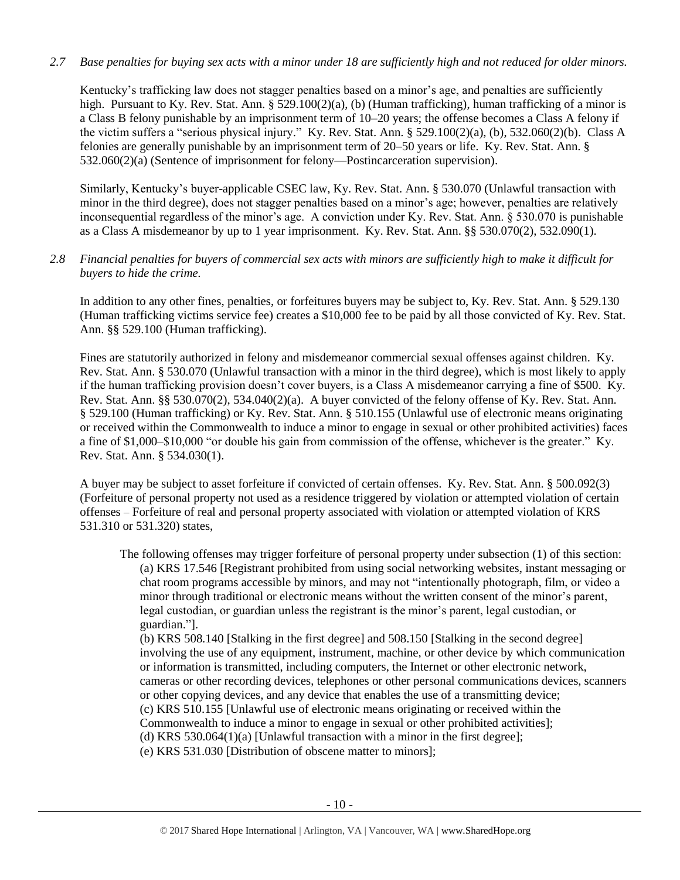# *2.7 Base penalties for buying sex acts with a minor under 18 are sufficiently high and not reduced for older minors.*

Kentucky's trafficking law does not stagger penalties based on a minor's age, and penalties are sufficiently high. Pursuant to Ky. Rev. Stat. Ann. § 529.100(2)(a), (b) (Human trafficking), human trafficking of a minor is a Class B felony punishable by an imprisonment term of 10–20 years; the offense becomes a Class A felony if the victim suffers a "serious physical injury." Ky. Rev. Stat. Ann. § 529.100(2)(a), (b), 532.060(2)(b). Class A felonies are generally punishable by an imprisonment term of 20–50 years or life. Ky. Rev. Stat. Ann. § 532.060(2)(a) (Sentence of imprisonment for felony—Postincarceration supervision).

Similarly, Kentucky's buyer-applicable CSEC law, Ky. Rev. Stat. Ann. § 530.070 (Unlawful transaction with minor in the third degree), does not stagger penalties based on a minor's age; however, penalties are relatively inconsequential regardless of the minor's age. A conviction under Ky. Rev. Stat. Ann. § 530.070 is punishable as a Class A misdemeanor by up to 1 year imprisonment. Ky. Rev. Stat. Ann. §§ 530.070(2), 532.090(1).

# *2.8 Financial penalties for buyers of commercial sex acts with minors are sufficiently high to make it difficult for buyers to hide the crime.*

In addition to any other fines, penalties, or forfeitures buyers may be subject to, Ky. Rev. Stat. Ann. § 529.130 (Human trafficking victims service fee) creates a \$10,000 fee to be paid by all those convicted of Ky. Rev. Stat. Ann. §§ 529.100 (Human trafficking).

Fines are statutorily authorized in felony and misdemeanor commercial sexual offenses against children. Ky. Rev. Stat. Ann. § 530.070 (Unlawful transaction with a minor in the third degree), which is most likely to apply if the human trafficking provision doesn't cover buyers, is a Class A misdemeanor carrying a fine of \$500. Ky. Rev. Stat. Ann. §§ 530.070(2), 534.040(2)(a). A buyer convicted of the felony offense of Ky. Rev. Stat. Ann. § 529.100 (Human trafficking) or Ky. Rev. Stat. Ann. § 510.155 (Unlawful use of electronic means originating or received within the Commonwealth to induce a minor to engage in sexual or other prohibited activities) faces a fine of \$1,000–\$10,000 "or double his gain from commission of the offense, whichever is the greater." Ky. Rev. Stat. Ann. § 534.030(1).

A buyer may be subject to asset forfeiture if convicted of certain offenses. Ky. Rev. Stat. Ann. § 500.092(3) (Forfeiture of personal property not used as a residence triggered by violation or attempted violation of certain offenses – Forfeiture of real and personal property associated with violation or attempted violation of KRS 531.310 or 531.320) states,

The following offenses may trigger forfeiture of personal property under subsection (1) of this section: (a) KRS 17.546 [Registrant prohibited from using social networking websites, instant messaging or chat room programs accessible by minors, and may not "intentionally photograph, film, or video a minor through traditional or electronic means without the written consent of the minor's parent, legal custodian, or guardian unless the registrant is the minor's parent, legal custodian, or guardian."].

(b) KRS 508.140 [Stalking in the first degree] and 508.150 [Stalking in the second degree] involving the use of any equipment, instrument, machine, or other device by which communication or information is transmitted, including computers, the Internet or other electronic network, cameras or other recording devices, telephones or other personal communications devices, scanners or other copying devices, and any device that enables the use of a transmitting device; (c) KRS 510.155 [Unlawful use of electronic means originating or received within the Commonwealth to induce a minor to engage in sexual or other prohibited activities]; (d) KRS 530.064(1)(a) [Unlawful transaction with a minor in the first degree];

(e) KRS 531.030 [Distribution of obscene matter to minors];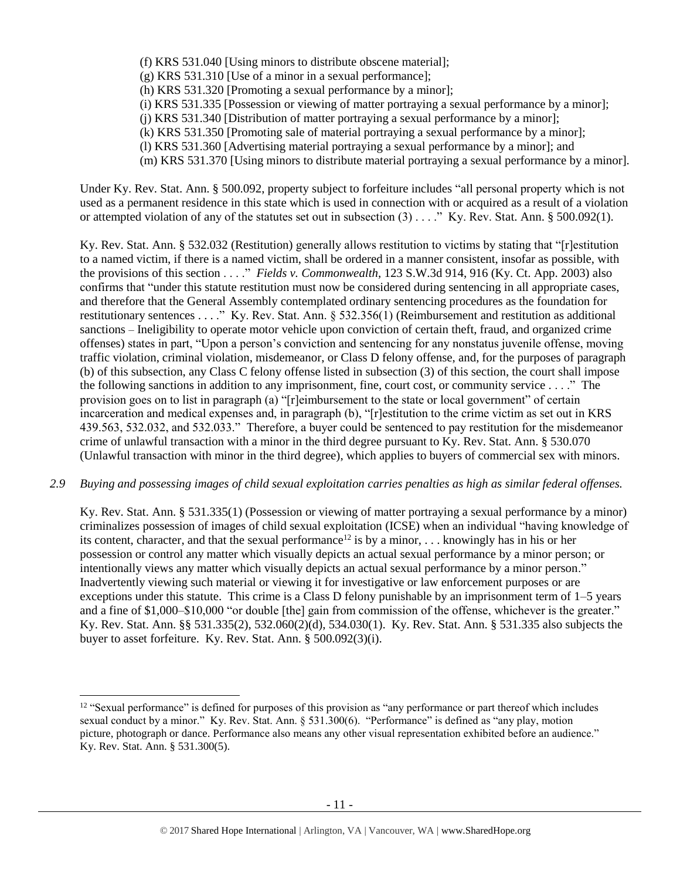- (f) KRS 531.040 [Using minors to distribute obscene material];
- (g) KRS 531.310 [Use of a minor in a sexual performance];
- (h) KRS 531.320 [Promoting a sexual performance by a minor];
- (i) KRS 531.335 [Possession or viewing of matter portraying a sexual performance by a minor];
- (j) KRS 531.340 [Distribution of matter portraying a sexual performance by a minor];
- (k) KRS 531.350 [Promoting sale of material portraying a sexual performance by a minor];
- (l) KRS 531.360 [Advertising material portraying a sexual performance by a minor]; and
- (m) KRS 531.370 [Using minors to distribute material portraying a sexual performance by a minor].

Under Ky. Rev. Stat. Ann. § 500.092, property subject to forfeiture includes "all personal property which is not used as a permanent residence in this state which is used in connection with or acquired as a result of a violation or attempted violation of any of the statutes set out in subsection  $(3)$ ...." Ky. Rev. Stat. Ann. § 500.092(1).

Ky. Rev. Stat. Ann. § 532.032 (Restitution) generally allows restitution to victims by stating that "[r]estitution to a named victim, if there is a named victim, shall be ordered in a manner consistent, insofar as possible, with the provisions of this section . . . ." *Fields v. Commonwealth*, 123 S.W.3d 914, 916 (Ky. Ct. App. 2003) also confirms that "under this statute restitution must now be considered during sentencing in all appropriate cases, and therefore that the General Assembly contemplated ordinary sentencing procedures as the foundation for restitutionary sentences . . . ." Ky. Rev. Stat. Ann. § 532.356(1) (Reimbursement and restitution as additional sanctions – Ineligibility to operate motor vehicle upon conviction of certain theft, fraud, and organized crime offenses) states in part, "Upon a person's conviction and sentencing for any nonstatus juvenile offense, moving traffic violation, criminal violation, misdemeanor, or Class D felony offense, and, for the purposes of paragraph (b) of this subsection, any Class C felony offense listed in subsection (3) of this section, the court shall impose the following sanctions in addition to any imprisonment, fine, court cost, or community service . . . ." The provision goes on to list in paragraph (a) "[r]eimbursement to the state or local government" of certain incarceration and medical expenses and, in paragraph (b), "[r]estitution to the crime victim as set out in KRS 439.563, 532.032, and 532.033." Therefore, a buyer could be sentenced to pay restitution for the misdemeanor crime of unlawful transaction with a minor in the third degree pursuant to Ky. Rev. Stat. Ann. § 530.070 (Unlawful transaction with minor in the third degree), which applies to buyers of commercial sex with minors.

#### *2.9 Buying and possessing images of child sexual exploitation carries penalties as high as similar federal offenses.*

Ky. Rev. Stat. Ann. § 531.335(1) (Possession or viewing of matter portraying a sexual performance by a minor) criminalizes possession of images of child sexual exploitation (ICSE) when an individual "having knowledge of its content, character, and that the sexual performance<sup>12</sup> is by a minor, ... knowingly has in his or her possession or control any matter which visually depicts an actual sexual performance by a minor person; or intentionally views any matter which visually depicts an actual sexual performance by a minor person." Inadvertently viewing such material or viewing it for investigative or law enforcement purposes or are exceptions under this statute. This crime is a Class D felony punishable by an imprisonment term of 1–5 years and a fine of \$1,000–\$10,000 "or double [the] gain from commission of the offense, whichever is the greater." Ky. Rev. Stat. Ann. §§ 531.335(2), 532.060(2)(d), 534.030(1). Ky. Rev. Stat. Ann. § 531.335 also subjects the buyer to asset forfeiture. Ky. Rev. Stat. Ann. § 500.092(3)(i).

<sup>&</sup>lt;sup>12</sup> "Sexual performance" is defined for purposes of this provision as "any performance or part thereof which includes sexual conduct by a minor." Ky. Rev. Stat. Ann. § 531.300(6). "Performance" is defined as "any play, motion picture, photograph or dance. Performance also means any other visual representation exhibited before an audience." Ky. Rev. Stat. Ann. § 531.300(5).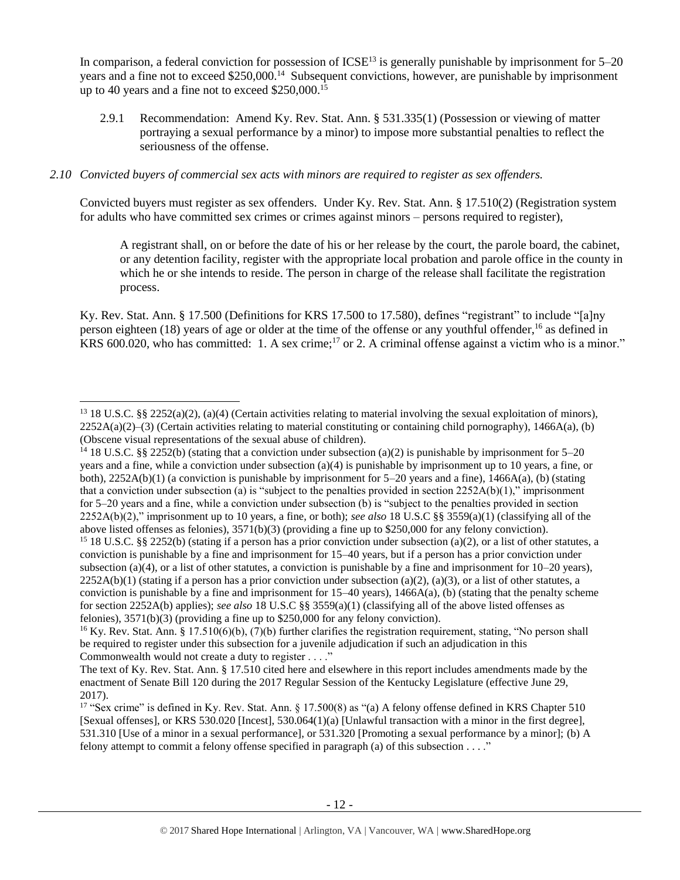In comparison, a federal conviction for possession of  $ICSE<sup>13</sup>$  is generally punishable by imprisonment for  $5-20$ years and a fine not to exceed \$250,000.<sup>14</sup> Subsequent convictions, however, are punishable by imprisonment up to 40 years and a fine not to exceed \$250,000.<sup>15</sup>

2.9.1 Recommendation: Amend Ky. Rev. Stat. Ann. § 531.335(1) (Possession or viewing of matter portraying a sexual performance by a minor) to impose more substantial penalties to reflect the seriousness of the offense.

# *2.10 Convicted buyers of commercial sex acts with minors are required to register as sex offenders.*

 $\overline{a}$ 

Convicted buyers must register as sex offenders. Under Ky. Rev. Stat. Ann. § 17.510(2) (Registration system for adults who have committed sex crimes or crimes against minors – persons required to register),

<span id="page-11-0"></span>A registrant shall, on or before the date of his or her release by the court, the parole board, the cabinet, or any detention facility, register with the appropriate local probation and parole office in the county in which he or she intends to reside. The person in charge of the release shall facilitate the registration process.

Ky. Rev. Stat. Ann. § 17.500 (Definitions for KRS 17.500 to 17.580), defines "registrant" to include "[a]ny person eighteen (18) years of age or older at the time of the offense or any youthful offender,<sup>16</sup> as defined in KRS 600.020, who has committed: 1. A sex crime;<sup>17</sup> or 2. A criminal offense against a victim who is a minor."

<sup>&</sup>lt;sup>13</sup> 18 U.S.C. §§ 2252(a)(2), (a)(4) (Certain activities relating to material involving the sexual exploitation of minors),  $2252A(a)(2)$ –(3) (Certain activities relating to material constituting or containing child pornography), 1466A(a), (b) (Obscene visual representations of the sexual abuse of children).

<sup>&</sup>lt;sup>14</sup> 18 U.S.C. §§ 2252(b) (stating that a conviction under subsection (a)(2) is punishable by imprisonment for 5–20 years and a fine, while a conviction under subsection (a)(4) is punishable by imprisonment up to 10 years, a fine, or both),  $2252A(b)(1)$  (a conviction is punishable by imprisonment for 5–20 years and a fine),  $1466A(a)$ , (b) (stating that a conviction under subsection (a) is "subject to the penalties provided in section  $2252A(b)(1)$ ," imprisonment for 5–20 years and a fine, while a conviction under subsection (b) is "subject to the penalties provided in section 2252A(b)(2)," imprisonment up to 10 years, a fine, or both); *see also* 18 U.S.C §§ 3559(a)(1) (classifying all of the above listed offenses as felonies), 3571(b)(3) (providing a fine up to \$250,000 for any felony conviction).

<sup>&</sup>lt;sup>15</sup> 18 U.S.C. §§ 2252(b) (stating if a person has a prior conviction under subsection (a)(2), or a list of other statutes, a conviction is punishable by a fine and imprisonment for 15–40 years, but if a person has a prior conviction under subsection (a)(4), or a list of other statutes, a conviction is punishable by a fine and imprisonment for  $10-20$  years),  $2252A(b)(1)$  (stating if a person has a prior conviction under subsection (a)(2), (a)(3), or a list of other statutes, a conviction is punishable by a fine and imprisonment for  $15-40$  years),  $1466A(a)$ , (b) (stating that the penalty scheme for section 2252A(b) applies); *see also* 18 U.S.C §§ 3559(a)(1) (classifying all of the above listed offenses as felonies), 3571(b)(3) (providing a fine up to \$250,000 for any felony conviction).

<sup>&</sup>lt;sup>16</sup> Ky. Rev. Stat. Ann. § 17.510(6)(b), (7)(b) further clarifies the registration requirement, stating, "No person shall be required to register under this subsection for a juvenile adjudication if such an adjudication in this Commonwealth would not create a duty to register . . . ."

The text of Ky. Rev. Stat. Ann. § 17.510 cited here and elsewhere in this report includes amendments made by the enactment of Senate Bill 120 during the 2017 Regular Session of the Kentucky Legislature (effective June 29, 2017).

<sup>&</sup>lt;sup>17</sup> "Sex crime" is defined in Ky. Rev. Stat. Ann. § 17.500(8) as "(a) A felony offense defined in KRS Chapter 510 [Sexual offenses], or KRS 530.020 [Incest], 530.064(1)(a) [Unlawful transaction with a minor in the first degree], 531.310 [Use of a minor in a sexual performance], or 531.320 [Promoting a sexual performance by a minor]; (b) A felony attempt to commit a felony offense specified in paragraph (a) of this subsection . . . ."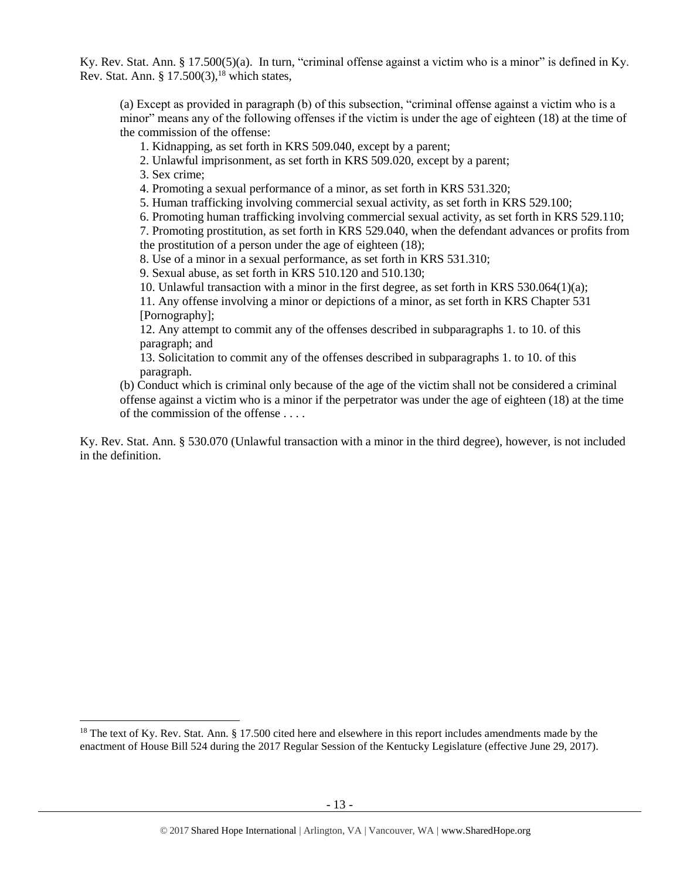Ky. Rev. Stat. Ann. § 17.500(5)(a). In turn, "criminal offense against a victim who is a minor" is defined in Ky. Rev. Stat. Ann. §  $17.500(3)$ , <sup>18</sup> which states,

<span id="page-12-0"></span>(a) Except as provided in paragraph (b) of this subsection, "criminal offense against a victim who is a minor" means any of the following offenses if the victim is under the age of eighteen (18) at the time of the commission of the offense:

1. Kidnapping, as set forth in KRS 509.040, except by a parent;

2. Unlawful imprisonment, as set forth in KRS 509.020, except by a parent;

3. Sex crime;

 $\overline{\phantom{a}}$ 

4. Promoting a sexual performance of a minor, as set forth in KRS 531.320;

5. Human trafficking involving commercial sexual activity, as set forth in KRS 529.100;

6. Promoting human trafficking involving commercial sexual activity, as set forth in KRS 529.110;

7. Promoting prostitution, as set forth in KRS 529.040, when the defendant advances or profits from the prostitution of a person under the age of eighteen (18);

8. Use of a minor in a sexual performance, as set forth in KRS 531.310;

9. Sexual abuse, as set forth in KRS 510.120 and 510.130;

10. Unlawful transaction with a minor in the first degree, as set forth in KRS 530.064(1)(a);

11. Any offense involving a minor or depictions of a minor, as set forth in KRS Chapter 531 [Pornography];

12. Any attempt to commit any of the offenses described in subparagraphs 1. to 10. of this paragraph; and

13. Solicitation to commit any of the offenses described in subparagraphs 1. to 10. of this paragraph.

(b) Conduct which is criminal only because of the age of the victim shall not be considered a criminal offense against a victim who is a minor if the perpetrator was under the age of eighteen (18) at the time of the commission of the offense . . . .

Ky. Rev. Stat. Ann. § 530.070 (Unlawful transaction with a minor in the third degree), however, is not included in the definition.

<sup>&</sup>lt;sup>18</sup> The text of Ky. Rev. Stat. Ann. § 17.500 cited here and elsewhere in this report includes amendments made by the enactment of House Bill 524 during the 2017 Regular Session of the Kentucky Legislature (effective June 29, 2017).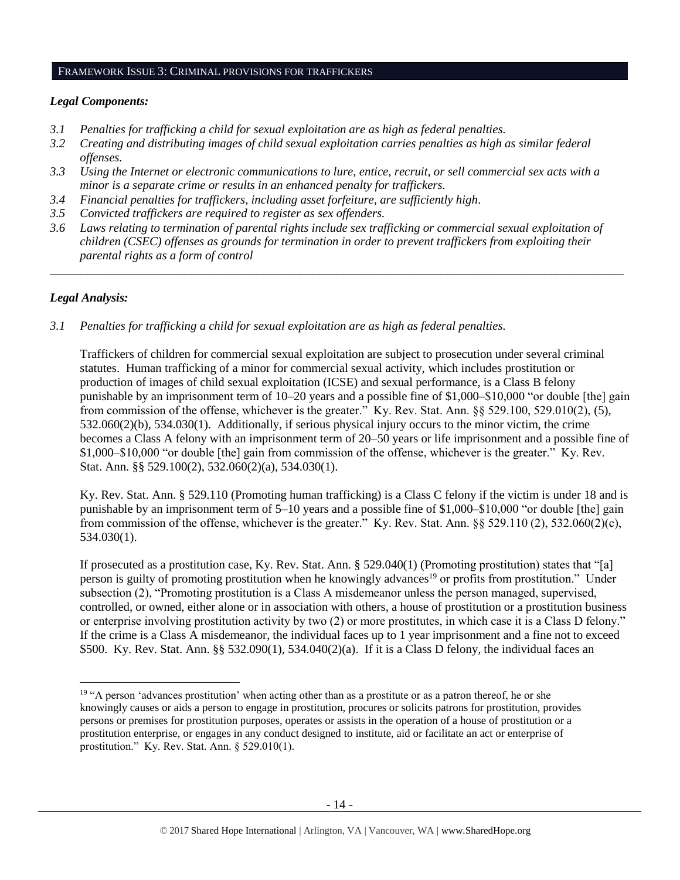#### FRAMEWORK ISSUE 3: CRIMINAL PROVISIONS FOR TRAFFICKERS

# *Legal Components:*

- *3.1 Penalties for trafficking a child for sexual exploitation are as high as federal penalties.*
- *3.2 Creating and distributing images of child sexual exploitation carries penalties as high as similar federal offenses.*
- *3.3 Using the Internet or electronic communications to lure, entice, recruit, or sell commercial sex acts with a minor is a separate crime or results in an enhanced penalty for traffickers.*
- *3.4 Financial penalties for traffickers, including asset forfeiture, are sufficiently high*.
- *3.5 Convicted traffickers are required to register as sex offenders.*
- *3.6 Laws relating to termination of parental rights include sex trafficking or commercial sexual exploitation of children (CSEC) offenses as grounds for termination in order to prevent traffickers from exploiting their parental rights as a form of control*

*\_\_\_\_\_\_\_\_\_\_\_\_\_\_\_\_\_\_\_\_\_\_\_\_\_\_\_\_\_\_\_\_\_\_\_\_\_\_\_\_\_\_\_\_\_\_\_\_\_\_\_\_\_\_\_\_\_\_\_\_\_\_\_\_\_\_\_\_\_\_\_\_\_\_\_\_\_\_\_\_\_\_\_\_\_\_\_\_\_\_\_\_\_\_*

# *Legal Analysis:*

 $\overline{\phantom{a}}$ 

*3.1 Penalties for trafficking a child for sexual exploitation are as high as federal penalties.* 

Traffickers of children for commercial sexual exploitation are subject to prosecution under several criminal statutes. Human trafficking of a minor for commercial sexual activity, which includes prostitution or production of images of child sexual exploitation (ICSE) and sexual performance, is a Class B felony punishable by an imprisonment term of 10–20 years and a possible fine of \$1,000–\$10,000 "or double [the] gain from commission of the offense, whichever is the greater." Ky. Rev. Stat. Ann. §§ 529.100, 529.010(2), (5), 532.060(2)(b), 534.030(1). Additionally, if serious physical injury occurs to the minor victim, the crime becomes a Class A felony with an imprisonment term of 20–50 years or life imprisonment and a possible fine of \$1,000–\$10,000 "or double [the] gain from commission of the offense, whichever is the greater." Ky. Rev. Stat. Ann. §§ 529.100(2), 532.060(2)(a), 534.030(1).

Ky. Rev. Stat. Ann. § 529.110 (Promoting human trafficking) is a Class C felony if the victim is under 18 and is punishable by an imprisonment term of 5–10 years and a possible fine of \$1,000–\$10,000 "or double [the] gain from commission of the offense, whichever is the greater." Ky. Rev. Stat. Ann.  $\S$ § 529.110 (2), 532.060(2)(c), 534.030(1).

<span id="page-13-0"></span>If prosecuted as a prostitution case, Ky. Rev. Stat. Ann. § 529.040(1) (Promoting prostitution) states that "[a] person is guilty of promoting prostitution when he knowingly advances<sup>19</sup> or profits from prostitution." Under subsection (2), "Promoting prostitution is a Class A misdemeanor unless the person managed, supervised, controlled, or owned, either alone or in association with others, a house of prostitution or a prostitution business or enterprise involving prostitution activity by two (2) or more prostitutes, in which case it is a Class D felony." If the crime is a Class A misdemeanor, the individual faces up to 1 year imprisonment and a fine not to exceed \$500. Ky. Rev. Stat. Ann. §§ 532.090(1), 534.040(2)(a). If it is a Class D felony, the individual faces an

<sup>&</sup>lt;sup>19</sup> "A person 'advances prostitution' when acting other than as a prostitute or as a patron thereof, he or she knowingly causes or aids a person to engage in prostitution, procures or solicits patrons for prostitution, provides persons or premises for prostitution purposes, operates or assists in the operation of a house of prostitution or a prostitution enterprise, or engages in any conduct designed to institute, aid or facilitate an act or enterprise of prostitution." Ky. Rev. Stat. Ann. § 529.010(1).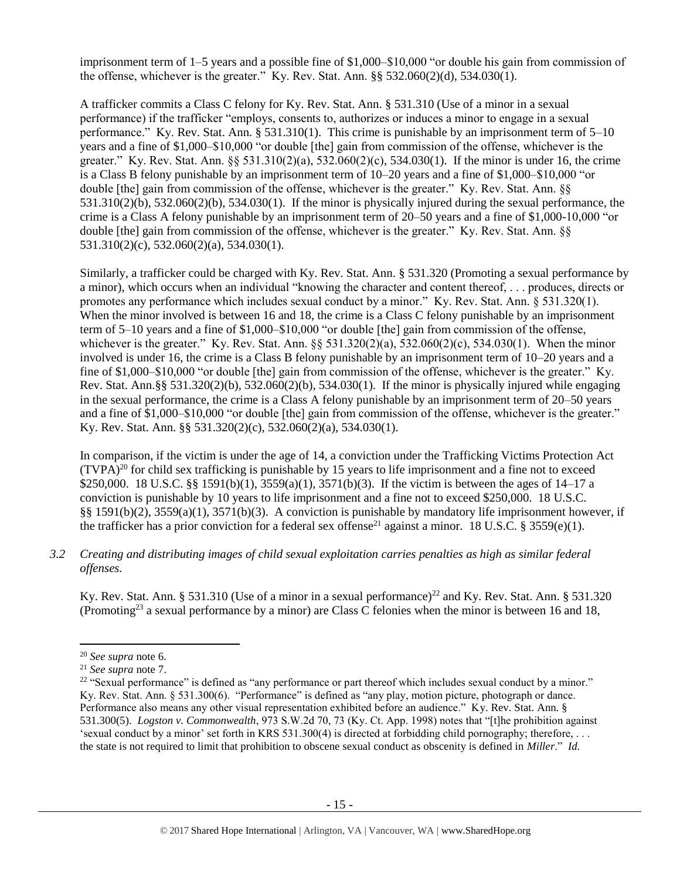imprisonment term of 1–5 years and a possible fine of \$1,000–\$10,000 "or double his gain from commission of the offense, whichever is the greater." Ky. Rev. Stat. Ann. §§ 532.060(2)(d), 534.030(1).

A trafficker commits a Class C felony for Ky. Rev. Stat. Ann. § 531.310 (Use of a minor in a sexual performance) if the trafficker "employs, consents to, authorizes or induces a minor to engage in a sexual performance." Ky. Rev. Stat. Ann. § 531.310(1). This crime is punishable by an imprisonment term of 5–10 years and a fine of \$1,000–\$10,000 "or double [the] gain from commission of the offense, whichever is the greater." Ky. Rev. Stat. Ann. §§ 531.310(2)(a), 532.060(2)(c), 534.030(1). If the minor is under 16, the crime is a Class B felony punishable by an imprisonment term of 10–20 years and a fine of \$1,000–\$10,000 "or double [the] gain from commission of the offense, whichever is the greater." Ky. Rev. Stat. Ann. §§  $531.310(2)(b)$ ,  $532.060(2)(b)$ ,  $534.030(1)$ . If the minor is physically injured during the sexual performance, the crime is a Class A felony punishable by an imprisonment term of 20–50 years and a fine of \$1,000-10,000 "or double [the] gain from commission of the offense, whichever is the greater." Ky. Rev. Stat. Ann. §§ 531.310(2)(c), 532.060(2)(a), 534.030(1).

Similarly, a trafficker could be charged with Ky. Rev. Stat. Ann. § 531.320 (Promoting a sexual performance by a minor), which occurs when an individual "knowing the character and content thereof, . . . produces, directs or promotes any performance which includes sexual conduct by a minor." Ky. Rev. Stat. Ann. § 531.320(1). When the minor involved is between 16 and 18, the crime is a Class C felony punishable by an imprisonment term of 5–10 years and a fine of \$1,000–\$10,000 "or double [the] gain from commission of the offense, whichever is the greater." Ky. Rev. Stat. Ann.  $\S$ § 531.320(2)(a), 532.060(2)(c), 534.030(1). When the minor involved is under 16, the crime is a Class B felony punishable by an imprisonment term of 10–20 years and a fine of \$1,000–\$10,000 "or double [the] gain from commission of the offense, whichever is the greater." Ky. Rev. Stat. Ann.§§ 531.320(2)(b), 532.060(2)(b), 534.030(1). If the minor is physically injured while engaging in the sexual performance, the crime is a Class A felony punishable by an imprisonment term of 20–50 years and a fine of \$1,000–\$10,000 "or double [the] gain from commission of the offense, whichever is the greater." Ky. Rev. Stat. Ann. §§ 531.320(2)(c), 532.060(2)(a), 534.030(1).

In comparison, if the victim is under the age of 14, a conviction under the Trafficking Victims Protection Act  $(TVPA)<sup>20</sup>$  for child sex trafficking is punishable by 15 years to life imprisonment and a fine not to exceed \$250,000. 18 U.S.C. §§ 1591(b)(1), 3559(a)(1), 3571(b)(3). If the victim is between the ages of 14–17 a conviction is punishable by 10 years to life imprisonment and a fine not to exceed \$250,000. 18 U.S.C. §§ 1591(b)(2), 3559(a)(1), 3571(b)(3). A conviction is punishable by mandatory life imprisonment however, if the trafficker has a prior conviction for a federal sex offense<sup>21</sup> against a minor. 18 U.S.C. § 3559(e)(1).

# *3.2 Creating and distributing images of child sexual exploitation carries penalties as high as similar federal offenses.*

Ky. Rev. Stat. Ann. § 531.310 (Use of a minor in a sexual performance)<sup>22</sup> and Ky. Rev. Stat. Ann. § 531.320 (Promoting<sup>23</sup> a sexual performance by a minor) are Class C felonies when the minor is between 16 and 18,

<sup>20</sup> *See supra* note [6.](#page-7-0)

<sup>21</sup> *See supra* note [7.](#page-7-1)

<sup>&</sup>lt;sup>22</sup> "Sexual performance" is defined as "any performance or part thereof which includes sexual conduct by a minor." Ky. Rev. Stat. Ann. § 531.300(6). "Performance" is defined as "any play, motion picture, photograph or dance. Performance also means any other visual representation exhibited before an audience." Ky. Rev. Stat. Ann. § 531.300(5). *Logston v. Commonwealth*, 973 S.W.2d 70, 73 (Ky. Ct. App. 1998) notes that "[t]he prohibition against 'sexual conduct by a minor' set forth in KRS 531.300(4) is directed at forbidding child pornography; therefore, . . . the state is not required to limit that prohibition to obscene sexual conduct as obscenity is defined in *Miller*." *Id.*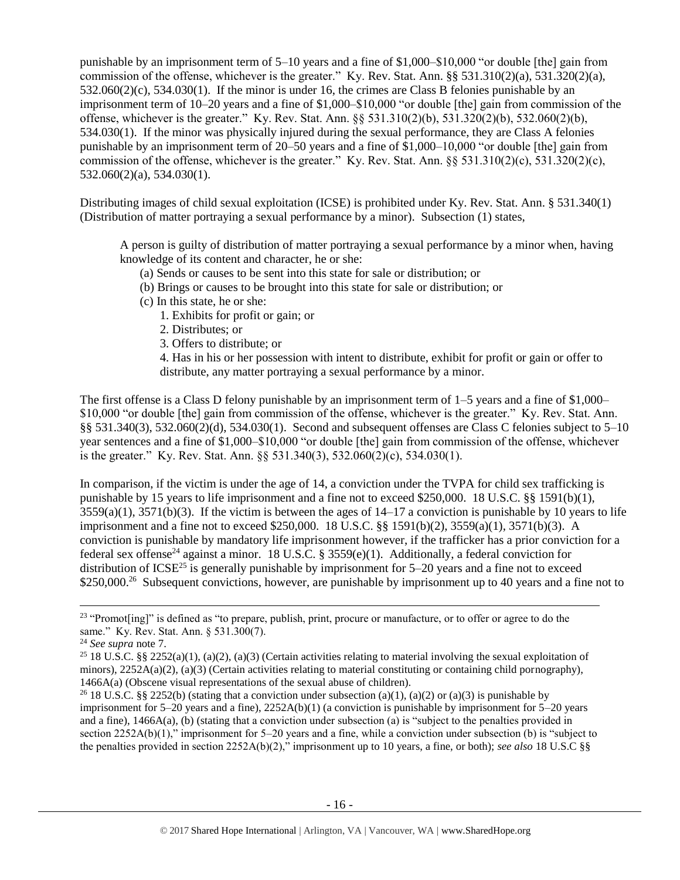punishable by an imprisonment term of 5–10 years and a fine of \$1,000–\$10,000 "or double [the] gain from commission of the offense, whichever is the greater." Ky. Rev. Stat. Ann. §§ 531.310(2)(a), 531.320(2)(a), 532.060(2)(c), 534.030(1). If the minor is under 16, the crimes are Class B felonies punishable by an imprisonment term of 10–20 years and a fine of \$1,000–\$10,000 "or double [the] gain from commission of the offense, whichever is the greater." Ky. Rev. Stat. Ann. §§ 531.310(2)(b), 531.320(2)(b), 532.060(2)(b), 534.030(1). If the minor was physically injured during the sexual performance, they are Class A felonies punishable by an imprisonment term of 20–50 years and a fine of \$1,000–10,000 "or double [the] gain from commission of the offense, whichever is the greater." Ky. Rev. Stat. Ann.  $\S$ § 531.310(2)(c), 531.320(2)(c), 532.060(2)(a), 534.030(1).

Distributing images of child sexual exploitation (ICSE) is prohibited under Ky. Rev. Stat. Ann. § 531.340(1) (Distribution of matter portraying a sexual performance by a minor). Subsection (1) states,

A person is guilty of distribution of matter portraying a sexual performance by a minor when, having knowledge of its content and character, he or she:

- (a) Sends or causes to be sent into this state for sale or distribution; or
- (b) Brings or causes to be brought into this state for sale or distribution; or
- (c) In this state, he or she:
	- 1. Exhibits for profit or gain; or
	- 2. Distributes; or
	- 3. Offers to distribute; or

4. Has in his or her possession with intent to distribute, exhibit for profit or gain or offer to distribute, any matter portraying a sexual performance by a minor.

The first offense is a Class D felony punishable by an imprisonment term of 1–5 years and a fine of \$1,000– \$10,000 "or double [the] gain from commission of the offense, whichever is the greater." Ky. Rev. Stat. Ann. §§ 531.340(3), 532.060(2)(d), 534.030(1). Second and subsequent offenses are Class C felonies subject to 5–10 year sentences and a fine of \$1,000–\$10,000 "or double [the] gain from commission of the offense, whichever is the greater." Ky. Rev. Stat. Ann. §§ 531.340(3), 532.060(2)(c), 534.030(1).

In comparison, if the victim is under the age of 14, a conviction under the TVPA for child sex trafficking is punishable by 15 years to life imprisonment and a fine not to exceed \$250,000. 18 U.S.C. §§ 1591(b)(1),  $3559(a)(1)$ ,  $3571(b)(3)$ . If the victim is between the ages of  $14-17$  a conviction is punishable by 10 years to life imprisonment and a fine not to exceed \$250,000. 18 U.S.C. §§ 1591(b)(2), 3559(a)(1), 3571(b)(3). A conviction is punishable by mandatory life imprisonment however, if the trafficker has a prior conviction for a federal sex offense<sup>24</sup> against a minor. 18 U.S.C. § 3559(e)(1). Additionally, a federal conviction for distribution of ICSE<sup>25</sup> is generally punishable by imprisonment for  $5-20$  years and a fine not to exceed \$250,000.<sup>26</sup> Subsequent convictions, however, are punishable by imprisonment up to 40 years and a fine not to

<sup>&</sup>lt;sup>23</sup> "Promot[ing]" is defined as "to prepare, publish, print, procure or manufacture, or to offer or agree to do the same." Ky. Rev. Stat. Ann. § 531.300(7).

<sup>24</sup> *See supra* note [7.](#page-7-1)

<sup>&</sup>lt;sup>25</sup> 18 U.S.C. §§ 2252(a)(1), (a)(2), (a)(3) (Certain activities relating to material involving the sexual exploitation of minors),  $2252A(a)(2)$ ,  $(a)(3)$  (Certain activities relating to material constituting or containing child pornography), 1466A(a) (Obscene visual representations of the sexual abuse of children).

<sup>&</sup>lt;sup>26</sup> 18 U.S.C. §§ 2252(b) (stating that a conviction under subsection (a)(1), (a)(2) or (a)(3) is punishable by imprisonment for 5–20 years and a fine), 2252A(b)(1) (a conviction is punishable by imprisonment for 5–20 years and a fine), 1466A(a), (b) (stating that a conviction under subsection (a) is "subject to the penalties provided in section 2252A(b)(1)," imprisonment for 5–20 years and a fine, while a conviction under subsection (b) is "subject to the penalties provided in section 2252A(b)(2)," imprisonment up to 10 years, a fine, or both); *see also* 18 U.S.C §§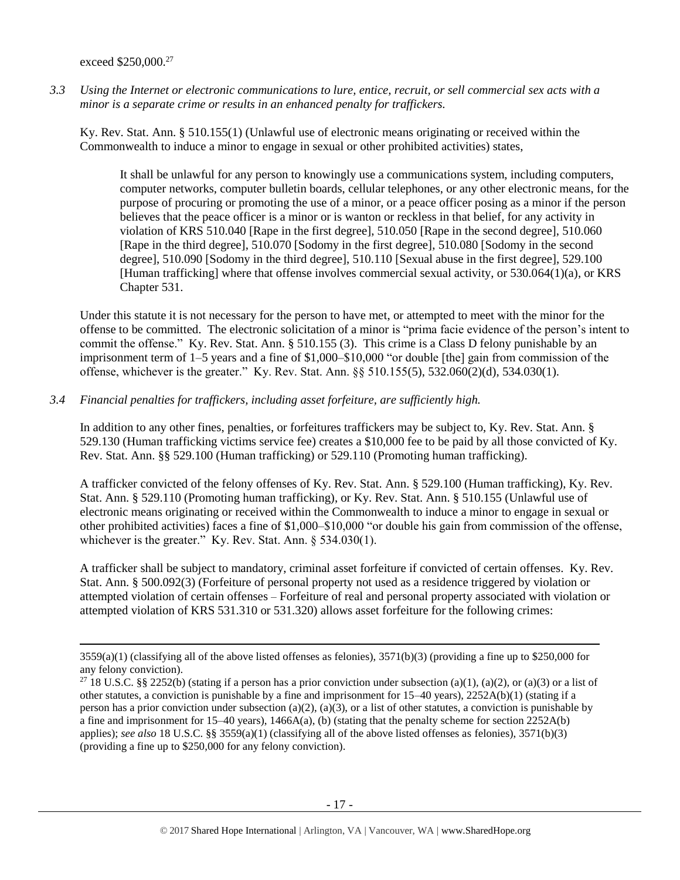exceed \$250,000.<sup>27</sup>

 $\overline{\phantom{a}}$ 

*3.3 Using the Internet or electronic communications to lure, entice, recruit, or sell commercial sex acts with a minor is a separate crime or results in an enhanced penalty for traffickers.*

Ky. Rev. Stat. Ann. § 510.155(1) (Unlawful use of electronic means originating or received within the Commonwealth to induce a minor to engage in sexual or other prohibited activities) states,

It shall be unlawful for any person to knowingly use a communications system, including computers, computer networks, computer bulletin boards, cellular telephones, or any other electronic means, for the purpose of procuring or promoting the use of a minor, or a peace officer posing as a minor if the person believes that the peace officer is a minor or is wanton or reckless in that belief, for any activity in violation of KRS 510.040 [Rape in the first degree], 510.050 [Rape in the second degree], 510.060 [Rape in the third degree], 510.070 [Sodomy in the first degree], 510.080 [Sodomy in the second degree], 510.090 [Sodomy in the third degree], 510.110 [Sexual abuse in the first degree], 529.100 [Human trafficking] where that offense involves commercial sexual activity, or 530.064(1)(a), or KRS Chapter 531.

Under this statute it is not necessary for the person to have met, or attempted to meet with the minor for the offense to be committed. The electronic solicitation of a minor is "prima facie evidence of the person's intent to commit the offense." Ky. Rev. Stat. Ann. § 510.155 (3). This crime is a Class D felony punishable by an imprisonment term of 1–5 years and a fine of \$1,000–\$10,000 "or double [the] gain from commission of the offense, whichever is the greater." Ky. Rev. Stat. Ann. §§ 510.155(5), 532.060(2)(d), 534.030(1).

*3.4 Financial penalties for traffickers, including asset forfeiture, are sufficiently high.*

In addition to any other fines, penalties, or forfeitures traffickers may be subject to, Ky. Rev. Stat. Ann. § 529.130 (Human trafficking victims service fee) creates a \$10,000 fee to be paid by all those convicted of Ky. Rev. Stat. Ann. §§ 529.100 (Human trafficking) or 529.110 (Promoting human trafficking).

A trafficker convicted of the felony offenses of Ky. Rev. Stat. Ann. § 529.100 (Human trafficking), Ky. Rev. Stat. Ann. § 529.110 (Promoting human trafficking), or Ky. Rev. Stat. Ann. § 510.155 (Unlawful use of electronic means originating or received within the Commonwealth to induce a minor to engage in sexual or other prohibited activities) faces a fine of \$1,000–\$10,000 "or double his gain from commission of the offense, whichever is the greater." Ky. Rev. Stat. Ann. § 534.030(1).

A trafficker shall be subject to mandatory, criminal asset forfeiture if convicted of certain offenses. Ky. Rev. Stat. Ann. § 500.092(3) (Forfeiture of personal property not used as a residence triggered by violation or attempted violation of certain offenses – Forfeiture of real and personal property associated with violation or attempted violation of KRS 531.310 or 531.320) allows asset forfeiture for the following crimes:

 $3559(a)(1)$  (classifying all of the above listed offenses as felonies),  $3571(b)(3)$  (providing a fine up to \$250,000 for any felony conviction).

<sup>&</sup>lt;sup>27</sup> 18 U.S.C. §§ 2252(b) (stating if a person has a prior conviction under subsection (a)(1), (a)(2), or (a)(3) or a list of other statutes, a conviction is punishable by a fine and imprisonment for 15–40 years), 2252A(b)(1) (stating if a person has a prior conviction under subsection (a)(2), (a)(3), or a list of other statutes, a conviction is punishable by a fine and imprisonment for 15–40 years), 1466A(a), (b) (stating that the penalty scheme for section 2252A(b) applies); *see also* 18 U.S.C. §§ 3559(a)(1) (classifying all of the above listed offenses as felonies), 3571(b)(3) (providing a fine up to \$250,000 for any felony conviction).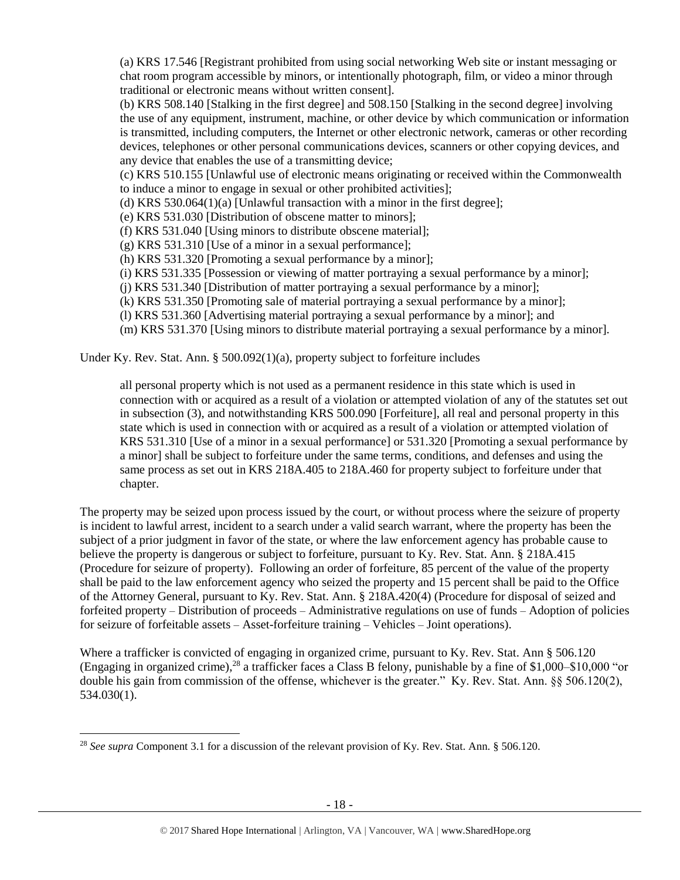(a) KRS 17.546 [Registrant prohibited from using social networking Web site or instant messaging or chat room program accessible by minors, or intentionally photograph, film, or video a minor through traditional or electronic means without written consent].

(b) KRS 508.140 [Stalking in the first degree] and 508.150 [Stalking in the second degree] involving the use of any equipment, instrument, machine, or other device by which communication or information is transmitted, including computers, the Internet or other electronic network, cameras or other recording devices, telephones or other personal communications devices, scanners or other copying devices, and any device that enables the use of a transmitting device;

(c) KRS 510.155 [Unlawful use of electronic means originating or received within the Commonwealth to induce a minor to engage in sexual or other prohibited activities];

(d) KRS 530.064(1)(a) [Unlawful transaction with a minor in the first degree];

(e) KRS 531.030 [Distribution of obscene matter to minors];

(f) KRS 531.040 [Using minors to distribute obscene material];

(g) KRS 531.310 [Use of a minor in a sexual performance];

(h) KRS 531.320 [Promoting a sexual performance by a minor];

(i) KRS 531.335 [Possession or viewing of matter portraying a sexual performance by a minor];

(j) KRS 531.340 [Distribution of matter portraying a sexual performance by a minor];

(k) KRS 531.350 [Promoting sale of material portraying a sexual performance by a minor];

(l) KRS 531.360 [Advertising material portraying a sexual performance by a minor]; and

(m) KRS 531.370 [Using minors to distribute material portraying a sexual performance by a minor].

Under Ky. Rev. Stat. Ann. §  $500.092(1)(a)$ , property subject to forfeiture includes

all personal property which is not used as a permanent residence in this state which is used in connection with or acquired as a result of a violation or attempted violation of any of the statutes set out in subsection (3), and notwithstanding KRS 500.090 [Forfeiture], all real and personal property in this state which is used in connection with or acquired as a result of a violation or attempted violation of KRS 531.310 [Use of a minor in a sexual performance] or 531.320 [Promoting a sexual performance by a minor] shall be subject to forfeiture under the same terms, conditions, and defenses and using the same process as set out in KRS 218A.405 to 218A.460 for property subject to forfeiture under that chapter.

The property may be seized upon process issued by the court, or without process where the seizure of property is incident to lawful arrest, incident to a search under a valid search warrant, where the property has been the subject of a prior judgment in favor of the state, or where the law enforcement agency has probable cause to believe the property is dangerous or subject to forfeiture, pursuant to Ky. Rev. Stat. Ann. § 218A.415 (Procedure for seizure of property). Following an order of forfeiture, 85 percent of the value of the property shall be paid to the law enforcement agency who seized the property and 15 percent shall be paid to the Office of the Attorney General, pursuant to Ky. Rev. Stat. Ann. § 218A.420(4) (Procedure for disposal of seized and forfeited property – Distribution of proceeds – Administrative regulations on use of funds – Adoption of policies for seizure of forfeitable assets – Asset-forfeiture training – Vehicles – Joint operations).

Where a trafficker is convicted of engaging in organized crime, pursuant to Ky. Rev. Stat. Ann § 506.120 (Engaging in organized crime),<sup>28</sup> a trafficker faces a Class B felony, punishable by a fine of \$1,000–\$10,000 "or double his gain from commission of the offense, whichever is the greater." Ky. Rev. Stat. Ann. §§ 506.120(2), 534.030(1).

l

<sup>28</sup> *See supra* Component 3.1 for a discussion of the relevant provision of Ky. Rev. Stat. Ann. § 506.120.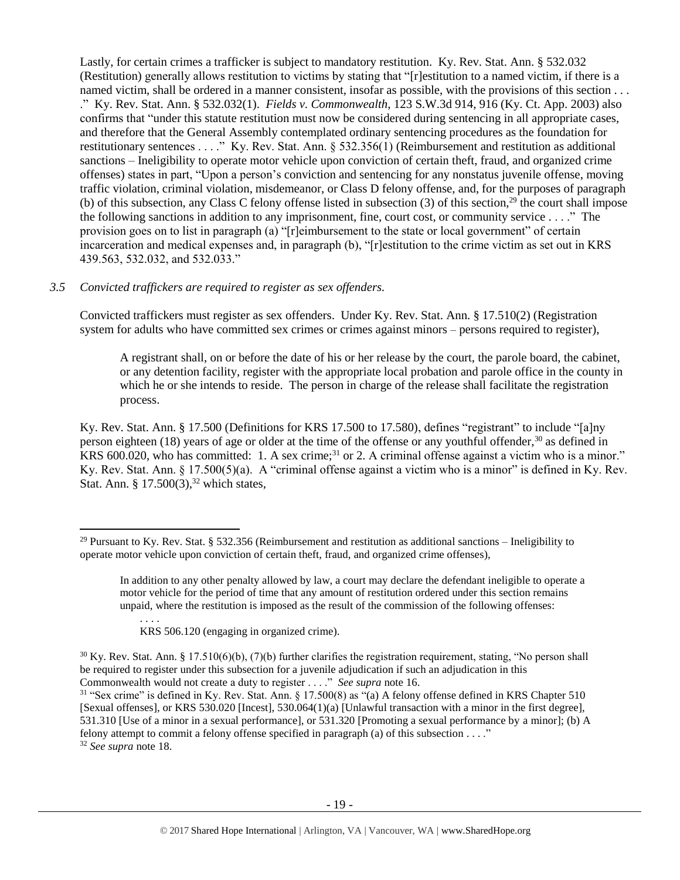Lastly, for certain crimes a trafficker is subject to mandatory restitution. Ky. Rev. Stat. Ann. § 532.032 (Restitution) generally allows restitution to victims by stating that "[r]estitution to a named victim, if there is a named victim, shall be ordered in a manner consistent, insofar as possible, with the provisions of this section ... ." Ky. Rev. Stat. Ann. § 532.032(1). *Fields v. Commonwealth*, 123 S.W.3d 914, 916 (Ky. Ct. App. 2003) also confirms that "under this statute restitution must now be considered during sentencing in all appropriate cases, and therefore that the General Assembly contemplated ordinary sentencing procedures as the foundation for restitutionary sentences . . . ." Ky. Rev. Stat. Ann. § 532.356(1) (Reimbursement and restitution as additional sanctions – Ineligibility to operate motor vehicle upon conviction of certain theft, fraud, and organized crime offenses) states in part, "Upon a person's conviction and sentencing for any nonstatus juvenile offense, moving traffic violation, criminal violation, misdemeanor, or Class D felony offense, and, for the purposes of paragraph (b) of this subsection, any Class C felony offense listed in subsection  $(3)$  of this section,<sup>29</sup> the court shall impose the following sanctions in addition to any imprisonment, fine, court cost, or community service . . . ." The provision goes on to list in paragraph (a) "[r]eimbursement to the state or local government" of certain incarceration and medical expenses and, in paragraph (b), "[r]estitution to the crime victim as set out in KRS 439.563, 532.032, and 532.033."

# *3.5 Convicted traffickers are required to register as sex offenders.*

Convicted traffickers must register as sex offenders. Under Ky. Rev. Stat. Ann. § 17.510(2) (Registration system for adults who have committed sex crimes or crimes against minors – persons required to register),

<span id="page-18-0"></span>A registrant shall, on or before the date of his or her release by the court, the parole board, the cabinet, or any detention facility, register with the appropriate local probation and parole office in the county in which he or she intends to reside. The person in charge of the release shall facilitate the registration process.

Ky. Rev. Stat. Ann. § 17.500 (Definitions for KRS 17.500 to 17.580), defines "registrant" to include "[a]ny person eighteen (18) years of age or older at the time of the offense or any youthful offender,<sup>30</sup> as defined in KRS 600.020, who has committed: 1. A sex crime;<sup>31</sup> or 2. A criminal offense against a victim who is a minor." Ky. Rev. Stat. Ann. § 17.500(5)(a). A "criminal offense against a victim who is a minor" is defined in Ky. Rev. Stat. Ann. §  $17.500(3)$ ,<sup>32</sup> which states,

. . . . KRS 506.120 (engaging in organized crime).

<sup>&</sup>lt;sup>29</sup> Pursuant to Ky. Rev. Stat. § 532.356 (Reimbursement and restitution as additional sanctions – Ineligibility to operate motor vehicle upon conviction of certain theft, fraud, and organized crime offenses),

In addition to any other penalty allowed by law, a court may declare the defendant ineligible to operate a motor vehicle for the period of time that any amount of restitution ordered under this section remains unpaid, where the restitution is imposed as the result of the commission of the following offenses:

 $30$  Ky. Rev. Stat. Ann. § 17.510(6)(b), (7)(b) further clarifies the registration requirement, stating, "No person shall be required to register under this subsection for a juvenile adjudication if such an adjudication in this Commonwealth would not create a duty to register . . . ." *See supra* note [16.](#page-11-0)

<sup>31</sup> "Sex crime" is defined in Ky. Rev. Stat. Ann. § 17.500(8) as "(a) A felony offense defined in KRS Chapter 510 [Sexual offenses], or KRS 530.020 [Incest], 530.064(1)(a) [Unlawful transaction with a minor in the first degree], 531.310 [Use of a minor in a sexual performance], or 531.320 [Promoting a sexual performance by a minor]; (b) A felony attempt to commit a felony offense specified in paragraph (a) of this subsection . . . ." <sup>32</sup> *See supra* note [18.](#page-12-0)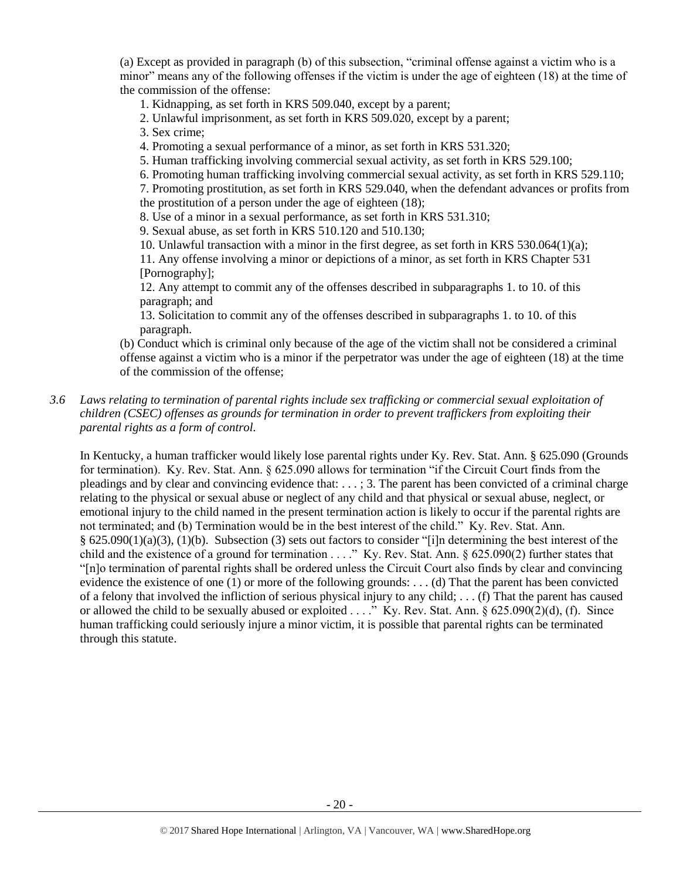(a) Except as provided in paragraph (b) of this subsection, "criminal offense against a victim who is a minor" means any of the following offenses if the victim is under the age of eighteen (18) at the time of the commission of the offense:

1. Kidnapping, as set forth in KRS 509.040, except by a parent;

2. Unlawful imprisonment, as set forth in KRS 509.020, except by a parent;

3. Sex crime;

4. Promoting a sexual performance of a minor, as set forth in KRS 531.320;

5. Human trafficking involving commercial sexual activity, as set forth in KRS 529.100;

6. Promoting human trafficking involving commercial sexual activity, as set forth in KRS 529.110;

7. Promoting prostitution, as set forth in KRS 529.040, when the defendant advances or profits from the prostitution of a person under the age of eighteen (18);

8. Use of a minor in a sexual performance, as set forth in KRS 531.310;

9. Sexual abuse, as set forth in KRS 510.120 and 510.130;

10. Unlawful transaction with a minor in the first degree, as set forth in KRS 530.064(1)(a);

11. Any offense involving a minor or depictions of a minor, as set forth in KRS Chapter 531 [Pornography];

12. Any attempt to commit any of the offenses described in subparagraphs 1. to 10. of this paragraph; and

13. Solicitation to commit any of the offenses described in subparagraphs 1. to 10. of this paragraph.

(b) Conduct which is criminal only because of the age of the victim shall not be considered a criminal offense against a victim who is a minor if the perpetrator was under the age of eighteen (18) at the time of the commission of the offense;

# *3.6 Laws relating to termination of parental rights include sex trafficking or commercial sexual exploitation of children (CSEC) offenses as grounds for termination in order to prevent traffickers from exploiting their parental rights as a form of control.*

In Kentucky, a human trafficker would likely lose parental rights under Ky. Rev. Stat. Ann. § 625.090 (Grounds for termination). Ky. Rev. Stat. Ann. § 625.090 allows for termination "if the Circuit Court finds from the pleadings and by clear and convincing evidence that: . . . ; 3. The parent has been convicted of a criminal charge relating to the physical or sexual abuse or neglect of any child and that physical or sexual abuse, neglect, or emotional injury to the child named in the present termination action is likely to occur if the parental rights are not terminated; and (b) Termination would be in the best interest of the child." Ky. Rev. Stat. Ann. § 625.090(1)(a)(3), (1)(b). Subsection (3) sets out factors to consider "[i]n determining the best interest of the child and the existence of a ground for termination . . . ." Ky. Rev. Stat. Ann. § 625.090(2) further states that "[n]o termination of parental rights shall be ordered unless the Circuit Court also finds by clear and convincing evidence the existence of one (1) or more of the following grounds: . . . (d) That the parent has been convicted of a felony that involved the infliction of serious physical injury to any child; . . . (f) That the parent has caused or allowed the child to be sexually abused or exploited . . . ." Ky. Rev. Stat. Ann.  $\S$  625.090(2)(d), (f). Since human trafficking could seriously injure a minor victim, it is possible that parental rights can be terminated through this statute.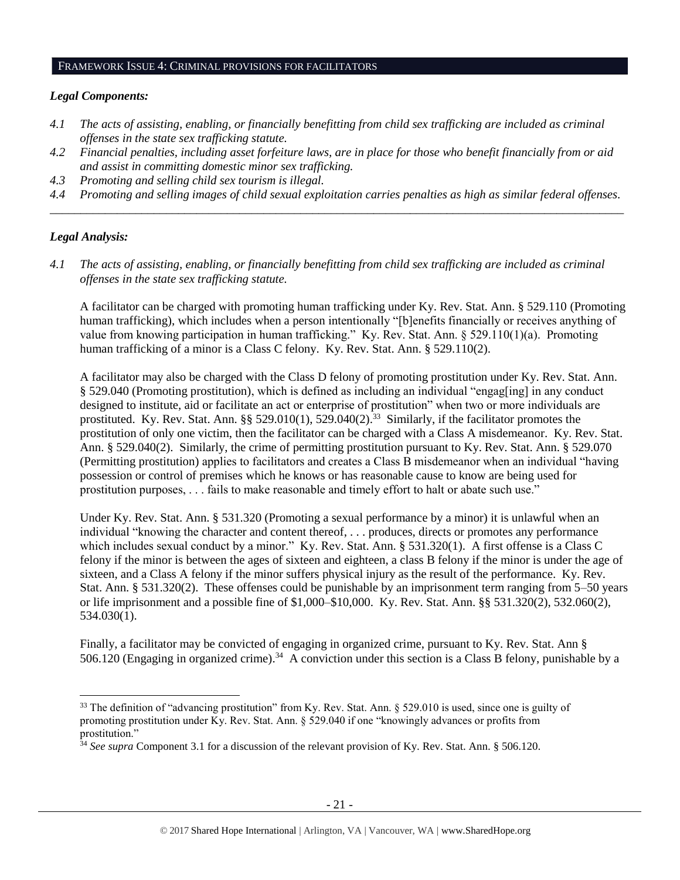#### FRAMEWORK ISSUE 4: CRIMINAL PROVISIONS FOR FACILITATORS

#### *Legal Components:*

- *4.1 The acts of assisting, enabling, or financially benefitting from child sex trafficking are included as criminal offenses in the state sex trafficking statute.*
- *4.2 Financial penalties, including asset forfeiture laws, are in place for those who benefit financially from or aid and assist in committing domestic minor sex trafficking.*
- *4.3 Promoting and selling child sex tourism is illegal.*
- *4.4 Promoting and selling images of child sexual exploitation carries penalties as high as similar federal offenses. \_\_\_\_\_\_\_\_\_\_\_\_\_\_\_\_\_\_\_\_\_\_\_\_\_\_\_\_\_\_\_\_\_\_\_\_\_\_\_\_\_\_\_\_\_\_\_\_\_\_\_\_\_\_\_\_\_\_\_\_\_\_\_\_\_\_\_\_\_\_\_\_\_\_\_\_\_\_\_\_\_\_\_\_\_\_\_\_\_\_\_\_\_\_*

# *Legal Analysis:*

 $\overline{\phantom{a}}$ 

*4.1 The acts of assisting, enabling, or financially benefitting from child sex trafficking are included as criminal offenses in the state sex trafficking statute.*

A facilitator can be charged with promoting human trafficking under Ky. Rev. Stat. Ann. § 529.110 (Promoting human trafficking), which includes when a person intentionally "[b]enefits financially or receives anything of value from knowing participation in human trafficking." Ky. Rev. Stat. Ann. § 529.110(1)(a). Promoting human trafficking of a minor is a Class C felony. Ky. Rev. Stat. Ann. § 529.110(2).

A facilitator may also be charged with the Class D felony of promoting prostitution under Ky. Rev. Stat. Ann. § 529.040 (Promoting prostitution), which is defined as including an individual "engag[ing] in any conduct designed to institute, aid or facilitate an act or enterprise of prostitution" when two or more individuals are prostituted. Ky. Rev. Stat. Ann.  $\S$ § 529.010(1), 529.040(2).<sup>33</sup> Similarly, if the facilitator promotes the prostitution of only one victim, then the facilitator can be charged with a Class A misdemeanor. Ky. Rev. Stat. Ann. § 529.040(2). Similarly, the crime of permitting prostitution pursuant to Ky. Rev. Stat. Ann. § 529.070 (Permitting prostitution) applies to facilitators and creates a Class B misdemeanor when an individual "having possession or control of premises which he knows or has reasonable cause to know are being used for prostitution purposes, . . . fails to make reasonable and timely effort to halt or abate such use."

Under Ky. Rev. Stat. Ann. § 531.320 (Promoting a sexual performance by a minor) it is unlawful when an individual "knowing the character and content thereof, . . . produces, directs or promotes any performance which includes sexual conduct by a minor." Ky. Rev. Stat. Ann. § 531.320(1). A first offense is a Class C felony if the minor is between the ages of sixteen and eighteen, a class B felony if the minor is under the age of sixteen, and a Class A felony if the minor suffers physical injury as the result of the performance. Ky. Rev. Stat. Ann. § 531.320(2). These offenses could be punishable by an imprisonment term ranging from 5–50 years or life imprisonment and a possible fine of \$1,000–\$10,000. Ky. Rev. Stat. Ann. §§ 531.320(2), 532.060(2), 534.030(1).

Finally, a facilitator may be convicted of engaging in organized crime, pursuant to Ky. Rev. Stat. Ann § 506.120 (Engaging in organized crime).<sup>34</sup> A conviction under this section is a Class B felony, punishable by a

<sup>&</sup>lt;sup>33</sup> The definition of "advancing prostitution" from Ky. Rev. Stat. Ann. § 529.010 is used, since one is guilty of promoting prostitution under Ky. Rev. Stat. Ann. § 529.040 if one "knowingly advances or profits from prostitution."

<sup>34</sup> *See supra* Component 3.1 for a discussion of the relevant provision of Ky. Rev. Stat. Ann. § 506.120.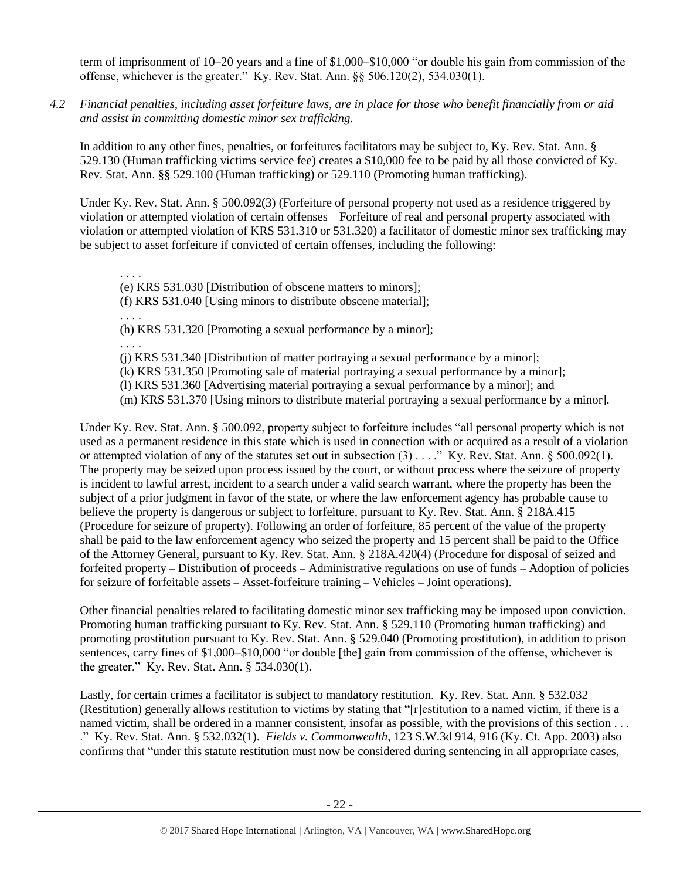term of imprisonment of 10–20 years and a fine of \$1,000–\$10,000 "or double his gain from commission of the offense, whichever is the greater." Ky. Rev. Stat. Ann. §§ 506.120(2), 534.030(1).

*4.2 Financial penalties, including asset forfeiture laws, are in place for those who benefit financially from or aid and assist in committing domestic minor sex trafficking.*

In addition to any other fines, penalties, or forfeitures facilitators may be subject to, Ky. Rev. Stat. Ann. § 529.130 (Human trafficking victims service fee) creates a \$10,000 fee to be paid by all those convicted of Ky. Rev. Stat. Ann. §§ 529.100 (Human trafficking) or 529.110 (Promoting human trafficking).

Under Ky. Rev. Stat. Ann. § 500.092(3) (Forfeiture of personal property not used as a residence triggered by violation or attempted violation of certain offenses – Forfeiture of real and personal property associated with violation or attempted violation of KRS 531.310 or 531.320) a facilitator of domestic minor sex trafficking may be subject to asset forfeiture if convicted of certain offenses, including the following:

. . . . (e) KRS 531.030 [Distribution of obscene matters to minors];

(f) KRS 531.040 [Using minors to distribute obscene material];

. . . .

(h) KRS 531.320 [Promoting a sexual performance by a minor]; . . . .

(j) KRS 531.340 [Distribution of matter portraying a sexual performance by a minor];

(k) KRS 531.350 [Promoting sale of material portraying a sexual performance by a minor];

(l) KRS 531.360 [Advertising material portraying a sexual performance by a minor]; and

(m) KRS 531.370 [Using minors to distribute material portraying a sexual performance by a minor].

Under Ky. Rev. Stat. Ann. § 500.092, property subject to forfeiture includes "all personal property which is not used as a permanent residence in this state which is used in connection with or acquired as a result of a violation or attempted violation of any of the statutes set out in subsection (3) . . . ." Ky. Rev. Stat. Ann. § 500.092(1). The property may be seized upon process issued by the court, or without process where the seizure of property is incident to lawful arrest, incident to a search under a valid search warrant, where the property has been the subject of a prior judgment in favor of the state, or where the law enforcement agency has probable cause to believe the property is dangerous or subject to forfeiture, pursuant to Ky. Rev. Stat. Ann. § 218A.415 (Procedure for seizure of property). Following an order of forfeiture, 85 percent of the value of the property shall be paid to the law enforcement agency who seized the property and 15 percent shall be paid to the Office of the Attorney General, pursuant to Ky. Rev. Stat. Ann. § 218A.420(4) (Procedure for disposal of seized and forfeited property – Distribution of proceeds – Administrative regulations on use of funds – Adoption of policies for seizure of forfeitable assets – Asset-forfeiture training – Vehicles – Joint operations).

Other financial penalties related to facilitating domestic minor sex trafficking may be imposed upon conviction. Promoting human trafficking pursuant to Ky. Rev. Stat. Ann. § 529.110 (Promoting human trafficking) and promoting prostitution pursuant to Ky. Rev. Stat. Ann. § 529.040 (Promoting prostitution), in addition to prison sentences, carry fines of \$1,000–\$10,000 "or double [the] gain from commission of the offense, whichever is the greater." Ky. Rev. Stat. Ann. § 534.030(1).

Lastly, for certain crimes a facilitator is subject to mandatory restitution. Ky. Rev. Stat. Ann. § 532.032 (Restitution) generally allows restitution to victims by stating that "[r]estitution to a named victim, if there is a named victim, shall be ordered in a manner consistent, insofar as possible, with the provisions of this section ... ." Ky. Rev. Stat. Ann. § 532.032(1). *Fields v. Commonwealth*, 123 S.W.3d 914, 916 (Ky. Ct. App. 2003) also confirms that "under this statute restitution must now be considered during sentencing in all appropriate cases,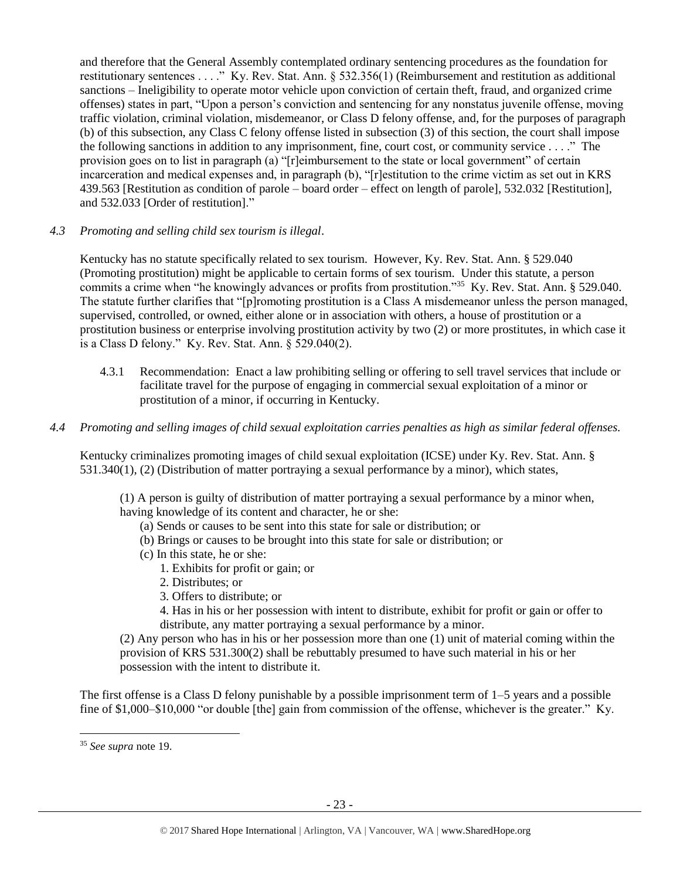and therefore that the General Assembly contemplated ordinary sentencing procedures as the foundation for restitutionary sentences . . . ." Ky. Rev. Stat. Ann. § 532.356(1) (Reimbursement and restitution as additional sanctions – Ineligibility to operate motor vehicle upon conviction of certain theft, fraud, and organized crime offenses) states in part, "Upon a person's conviction and sentencing for any nonstatus juvenile offense, moving traffic violation, criminal violation, misdemeanor, or Class D felony offense, and, for the purposes of paragraph (b) of this subsection, any Class C felony offense listed in subsection (3) of this section, the court shall impose the following sanctions in addition to any imprisonment, fine, court cost, or community service . . . ." The provision goes on to list in paragraph (a) "[r]eimbursement to the state or local government" of certain incarceration and medical expenses and, in paragraph (b), "[r]estitution to the crime victim as set out in KRS 439.563 [Restitution as condition of parole – board order – effect on length of parole], 532.032 [Restitution], and 532.033 [Order of restitution]."

# *4.3 Promoting and selling child sex tourism is illegal*.

Kentucky has no statute specifically related to sex tourism. However, Ky. Rev. Stat. Ann. § 529.040 (Promoting prostitution) might be applicable to certain forms of sex tourism. Under this statute, a person commits a crime when "he knowingly advances or profits from prostitution."<sup>35</sup> Ky. Rev. Stat. Ann. § 529.040. The statute further clarifies that "[p]romoting prostitution is a Class A misdemeanor unless the person managed, supervised, controlled, or owned, either alone or in association with others, a house of prostitution or a prostitution business or enterprise involving prostitution activity by two (2) or more prostitutes, in which case it is a Class D felony." Ky. Rev. Stat. Ann. § 529.040(2).

- 4.3.1 Recommendation: Enact a law prohibiting selling or offering to sell travel services that include or facilitate travel for the purpose of engaging in commercial sexual exploitation of a minor or prostitution of a minor, if occurring in Kentucky.
- *4.4 Promoting and selling images of child sexual exploitation carries penalties as high as similar federal offenses.*

Kentucky criminalizes promoting images of child sexual exploitation (ICSE) under Ky. Rev. Stat. Ann. § 531.340(1), (2) (Distribution of matter portraying a sexual performance by a minor), which states,

(1) A person is guilty of distribution of matter portraying a sexual performance by a minor when, having knowledge of its content and character, he or she:

- (a) Sends or causes to be sent into this state for sale or distribution; or
- (b) Brings or causes to be brought into this state for sale or distribution; or
- (c) In this state, he or she:
	- 1. Exhibits for profit or gain; or
	- 2. Distributes; or
	- 3. Offers to distribute; or
	- 4. Has in his or her possession with intent to distribute, exhibit for profit or gain or offer to distribute, any matter portraying a sexual performance by a minor.

(2) Any person who has in his or her possession more than one (1) unit of material coming within the provision of KRS 531.300(2) shall be rebuttably presumed to have such material in his or her possession with the intent to distribute it.

The first offense is a Class D felony punishable by a possible imprisonment term of 1–5 years and a possible fine of \$1,000–\$10,000 "or double [the] gain from commission of the offense, whichever is the greater." Ky.

l

<sup>35</sup> *See supra* note [19.](#page-13-0)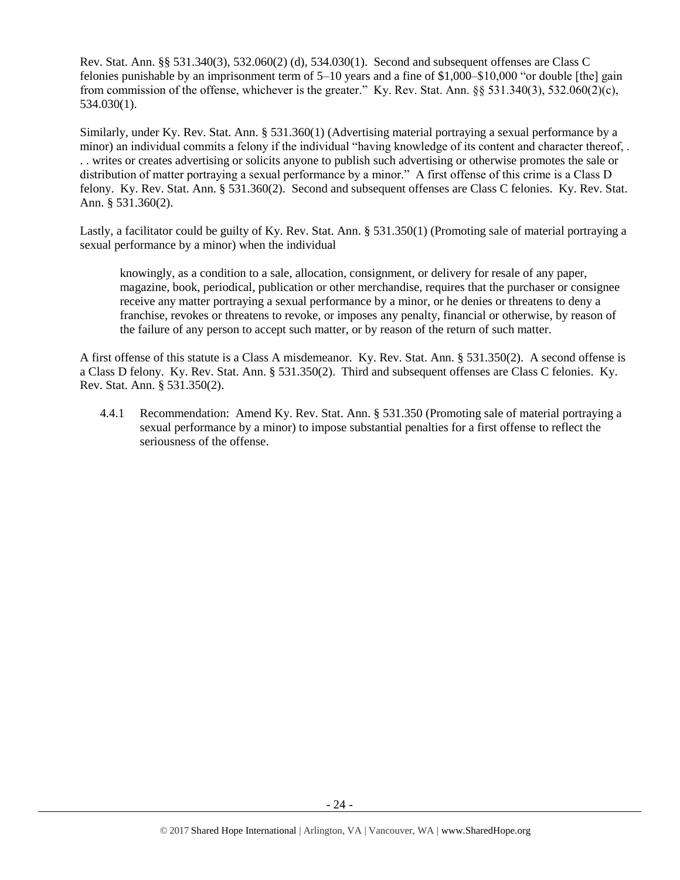Rev. Stat. Ann. §§ 531.340(3), 532.060(2) (d), 534.030(1). Second and subsequent offenses are Class C felonies punishable by an imprisonment term of 5–10 years and a fine of \$1,000–\$10,000 "or double [the] gain from commission of the offense, whichever is the greater." Ky. Rev. Stat. Ann. §§ 531.340(3), 532.060(2)(c), 534.030(1).

Similarly, under Ky. Rev. Stat. Ann. § 531.360(1) (Advertising material portraying a sexual performance by a minor) an individual commits a felony if the individual "having knowledge of its content and character thereof, . . . writes or creates advertising or solicits anyone to publish such advertising or otherwise promotes the sale or distribution of matter portraying a sexual performance by a minor." A first offense of this crime is a Class D felony. Ky. Rev. Stat. Ann. § 531.360(2). Second and subsequent offenses are Class C felonies. Ky. Rev. Stat. Ann. § 531.360(2).

Lastly, a facilitator could be guilty of Ky. Rev. Stat. Ann. § 531.350(1) (Promoting sale of material portraying a sexual performance by a minor) when the individual

knowingly, as a condition to a sale, allocation, consignment, or delivery for resale of any paper, magazine, book, periodical, publication or other merchandise, requires that the purchaser or consignee receive any matter portraying a sexual performance by a minor, or he denies or threatens to deny a franchise, revokes or threatens to revoke, or imposes any penalty, financial or otherwise, by reason of the failure of any person to accept such matter, or by reason of the return of such matter.

A first offense of this statute is a Class A misdemeanor. Ky. Rev. Stat. Ann. § 531.350(2). A second offense is a Class D felony. Ky. Rev. Stat. Ann. § 531.350(2). Third and subsequent offenses are Class C felonies. Ky. Rev. Stat. Ann. § 531.350(2).

4.4.1 Recommendation: Amend Ky. Rev. Stat. Ann. § 531.350 (Promoting sale of material portraying a sexual performance by a minor) to impose substantial penalties for a first offense to reflect the seriousness of the offense.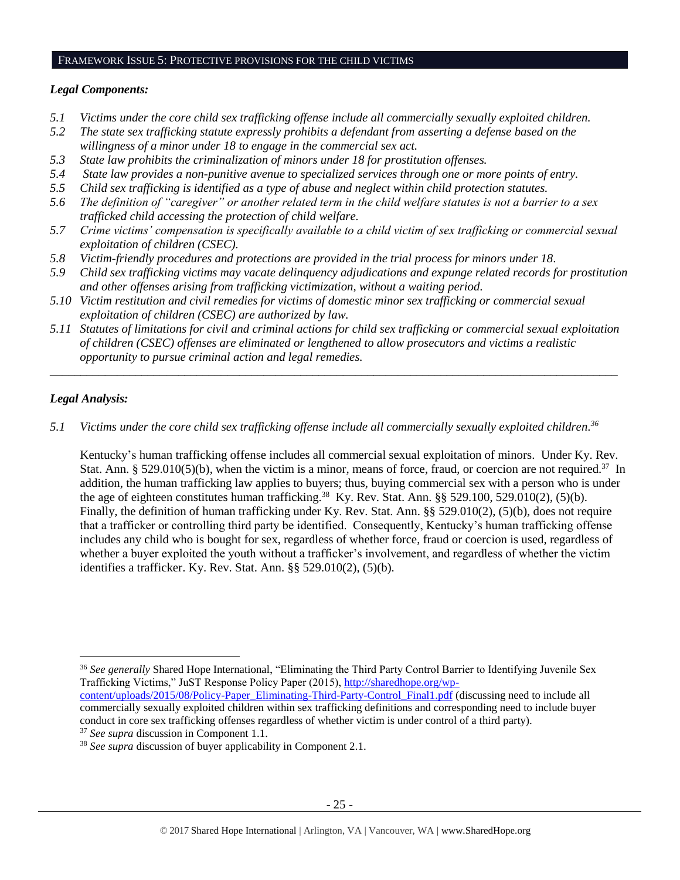#### FRAMEWORK ISSUE 5: PROTECTIVE PROVISIONS FOR THE CHILD VICTIMS

#### *Legal Components:*

- *5.1 Victims under the core child sex trafficking offense include all commercially sexually exploited children.*
- *5.2 The state sex trafficking statute expressly prohibits a defendant from asserting a defense based on the willingness of a minor under 18 to engage in the commercial sex act.*
- *5.3 State law prohibits the criminalization of minors under 18 for prostitution offenses.*
- *5.4 State law provides a non-punitive avenue to specialized services through one or more points of entry.*
- *5.5 Child sex trafficking is identified as a type of abuse and neglect within child protection statutes.*
- *5.6 The definition of "caregiver" or another related term in the child welfare statutes is not a barrier to a sex trafficked child accessing the protection of child welfare.*
- *5.7 Crime victims' compensation is specifically available to a child victim of sex trafficking or commercial sexual exploitation of children (CSEC).*
- *5.8 Victim-friendly procedures and protections are provided in the trial process for minors under 18.*
- *5.9 Child sex trafficking victims may vacate delinquency adjudications and expunge related records for prostitution and other offenses arising from trafficking victimization, without a waiting period.*
- *5.10 Victim restitution and civil remedies for victims of domestic minor sex trafficking or commercial sexual exploitation of children (CSEC) are authorized by law.*
- *5.11 Statutes of limitations for civil and criminal actions for child sex trafficking or commercial sexual exploitation of children (CSEC) offenses are eliminated or lengthened to allow prosecutors and victims a realistic opportunity to pursue criminal action and legal remedies.*

*\_\_\_\_\_\_\_\_\_\_\_\_\_\_\_\_\_\_\_\_\_\_\_\_\_\_\_\_\_\_\_\_\_\_\_\_\_\_\_\_\_\_\_\_\_\_\_\_\_\_\_\_\_\_\_\_\_\_\_\_\_\_\_\_\_\_\_\_\_\_\_\_\_\_\_\_\_\_\_\_\_\_\_\_\_\_\_\_\_\_\_\_\_*

# *Legal Analysis:*

*5.1 Victims under the core child sex trafficking offense include all commercially sexually exploited children. 36*

Kentucky's human trafficking offense includes all commercial sexual exploitation of minors. Under Ky. Rev. Stat. Ann. § 529.010(5)(b), when the victim is a minor, means of force, fraud, or coercion are not required.<sup>37</sup> In addition, the human trafficking law applies to buyers; thus, buying commercial sex with a person who is under the age of eighteen constitutes human trafficking.<sup>38</sup> Ky. Rev. Stat. Ann. §§ 529.100, 529.010(2), (5)(b). Finally, the definition of human trafficking under Ky. Rev. Stat. Ann. §§ 529.010(2), (5)(b), does not require that a trafficker or controlling third party be identified. Consequently, Kentucky's human trafficking offense includes any child who is bought for sex, regardless of whether force, fraud or coercion is used, regardless of whether a buyer exploited the youth without a trafficker's involvement, and regardless of whether the victim identifies a trafficker. Ky. Rev. Stat. Ann. §§ 529.010(2), (5)(b).

l <sup>36</sup> *See generally* Shared Hope International, "Eliminating the Third Party Control Barrier to Identifying Juvenile Sex Trafficking Victims," JuST Response Policy Paper (2015), [http://sharedhope.org/wp-](http://sharedhope.org/wp-content/uploads/2015/08/Policy-Paper_Eliminating-Third-Party-Control_Final1.pdf)

[content/uploads/2015/08/Policy-Paper\\_Eliminating-Third-Party-Control\\_Final1.pdf](http://sharedhope.org/wp-content/uploads/2015/08/Policy-Paper_Eliminating-Third-Party-Control_Final1.pdf) (discussing need to include all commercially sexually exploited children within sex trafficking definitions and corresponding need to include buyer conduct in core sex trafficking offenses regardless of whether victim is under control of a third party).

<sup>37</sup> *See supra* discussion in Component 1.1.

<sup>38</sup> *See supra* discussion of buyer applicability in Component 2.1.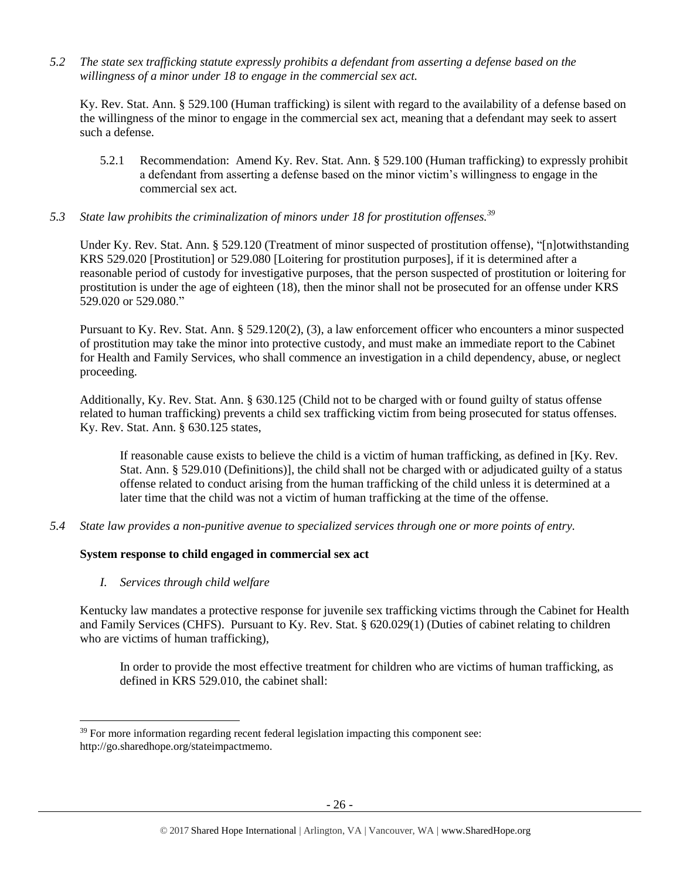*5.2 The state sex trafficking statute expressly prohibits a defendant from asserting a defense based on the willingness of a minor under 18 to engage in the commercial sex act.*

Ky. Rev. Stat. Ann. § 529.100 (Human trafficking) is silent with regard to the availability of a defense based on the willingness of the minor to engage in the commercial sex act, meaning that a defendant may seek to assert such a defense.

- 5.2.1 Recommendation: Amend Ky. Rev. Stat. Ann. § 529.100 (Human trafficking) to expressly prohibit a defendant from asserting a defense based on the minor victim's willingness to engage in the commercial sex act.
- *5.3 State law prohibits the criminalization of minors under 18 for prostitution offenses.<sup>39</sup>*

Under Ky. Rev. Stat. Ann. § 529.120 (Treatment of minor suspected of prostitution offense), "[n]otwithstanding KRS 529.020 [Prostitution] or 529.080 [Loitering for prostitution purposes], if it is determined after a reasonable period of custody for investigative purposes, that the person suspected of prostitution or loitering for prostitution is under the age of eighteen (18), then the minor shall not be prosecuted for an offense under KRS 529.020 or 529.080."

Pursuant to Ky. Rev. Stat. Ann. § 529.120(2), (3), a law enforcement officer who encounters a minor suspected of prostitution may take the minor into protective custody, and must make an immediate report to the Cabinet for Health and Family Services, who shall commence an investigation in a child dependency, abuse, or neglect proceeding.

Additionally, Ky. Rev. Stat. Ann. § 630.125 (Child not to be charged with or found guilty of status offense related to human trafficking) prevents a child sex trafficking victim from being prosecuted for status offenses. Ky. Rev. Stat. Ann. § 630.125 states,

If reasonable cause exists to believe the child is a victim of human trafficking, as defined in [Ky. Rev. Stat. Ann. § 529.010 (Definitions)], the child shall not be charged with or adjudicated guilty of a status offense related to conduct arising from the human trafficking of the child unless it is determined at a later time that the child was not a victim of human trafficking at the time of the offense.

*5.4 State law provides a non-punitive avenue to specialized services through one or more points of entry.*

# **System response to child engaged in commercial sex act**

*I. Services through child welfare*

 $\overline{\phantom{a}}$ 

Kentucky law mandates a protective response for juvenile sex trafficking victims through the Cabinet for Health and Family Services (CHFS). Pursuant to Ky. Rev. Stat. § 620.029(1) (Duties of cabinet relating to children who are victims of human trafficking),

In order to provide the most effective treatment for children who are victims of human trafficking, as defined in KRS 529.010, the cabinet shall:

<sup>&</sup>lt;sup>39</sup> For more information regarding recent federal legislation impacting this component see: http://go.sharedhope.org/stateimpactmemo.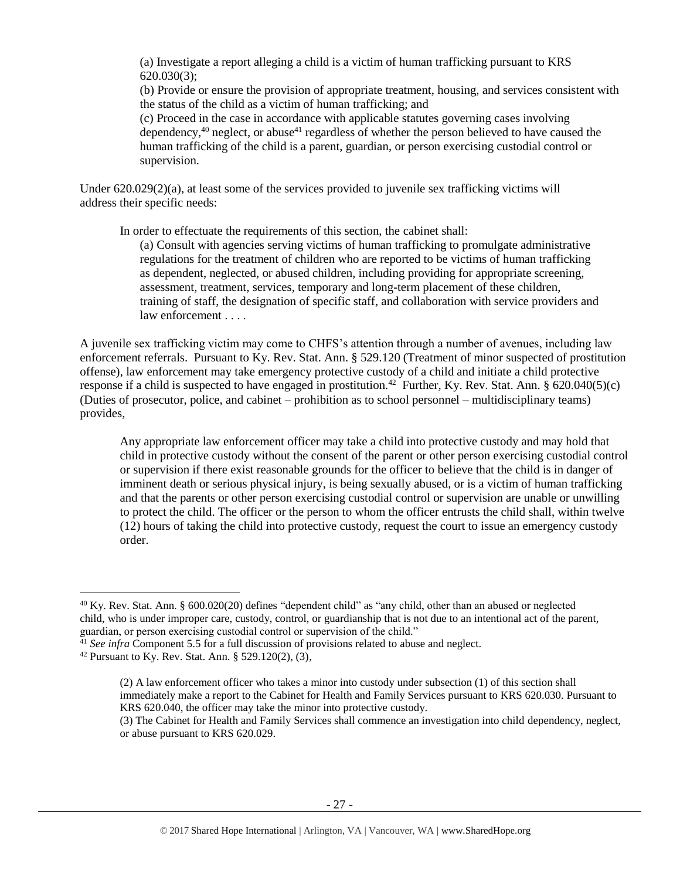(a) Investigate a report alleging a child is a victim of human trafficking pursuant to KRS 620.030(3);

(b) Provide or ensure the provision of appropriate treatment, housing, and services consistent with the status of the child as a victim of human trafficking; and

(c) Proceed in the case in accordance with applicable statutes governing cases involving dependency,<sup>40</sup> neglect, or abuse<sup>41</sup> regardless of whether the person believed to have caused the human trafficking of the child is a parent, guardian, or person exercising custodial control or supervision.

Under 620.029(2)(a), at least some of the services provided to juvenile sex trafficking victims will address their specific needs:

In order to effectuate the requirements of this section, the cabinet shall:

(a) Consult with agencies serving victims of human trafficking to promulgate administrative regulations for the treatment of children who are reported to be victims of human trafficking as dependent, neglected, or abused children, including providing for appropriate screening, assessment, treatment, services, temporary and long-term placement of these children, training of staff, the designation of specific staff, and collaboration with service providers and law enforcement . . . .

A juvenile sex trafficking victim may come to CHFS's attention through a number of avenues, including law enforcement referrals. Pursuant to Ky. Rev. Stat. Ann. § 529.120 (Treatment of minor suspected of prostitution offense), law enforcement may take emergency protective custody of a child and initiate a child protective response if a child is suspected to have engaged in prostitution.<sup>42</sup> Further, Ky. Rev. Stat. Ann. § 620.040(5)(c) (Duties of prosecutor, police, and cabinet – prohibition as to school personnel – multidisciplinary teams) provides,

Any appropriate law enforcement officer may take a child into protective custody and may hold that child in protective custody without the consent of the parent or other person exercising custodial control or supervision if there exist reasonable grounds for the officer to believe that the child is in danger of imminent death or serious physical injury, is being sexually abused, or is a victim of human trafficking and that the parents or other person exercising custodial control or supervision are unable or unwilling to protect the child. The officer or the person to whom the officer entrusts the child shall, within twelve (12) hours of taking the child into protective custody, request the court to issue an emergency custody order.

<sup>&</sup>lt;sup>40</sup> Ky. Rev. Stat. Ann. § 600.020(20) defines "dependent child" as "any child, other than an abused or neglected child, who is under improper care, custody, control, or guardianship that is not due to an intentional act of the parent, guardian, or person exercising custodial control or supervision of the child."

<sup>&</sup>lt;sup>41</sup> See infra Component 5.5 for a full discussion of provisions related to abuse and neglect.

<sup>&</sup>lt;sup>42</sup> Pursuant to Ky. Rev. Stat. Ann. § 529.120(2), (3),

<sup>(2)</sup> A law enforcement officer who takes a minor into custody under subsection (1) of this section shall immediately make a report to the Cabinet for Health and Family Services pursuant to KRS 620.030. Pursuant to KRS 620.040, the officer may take the minor into protective custody.

<sup>(3)</sup> The Cabinet for Health and Family Services shall commence an investigation into child dependency, neglect, or abuse pursuant to KRS 620.029.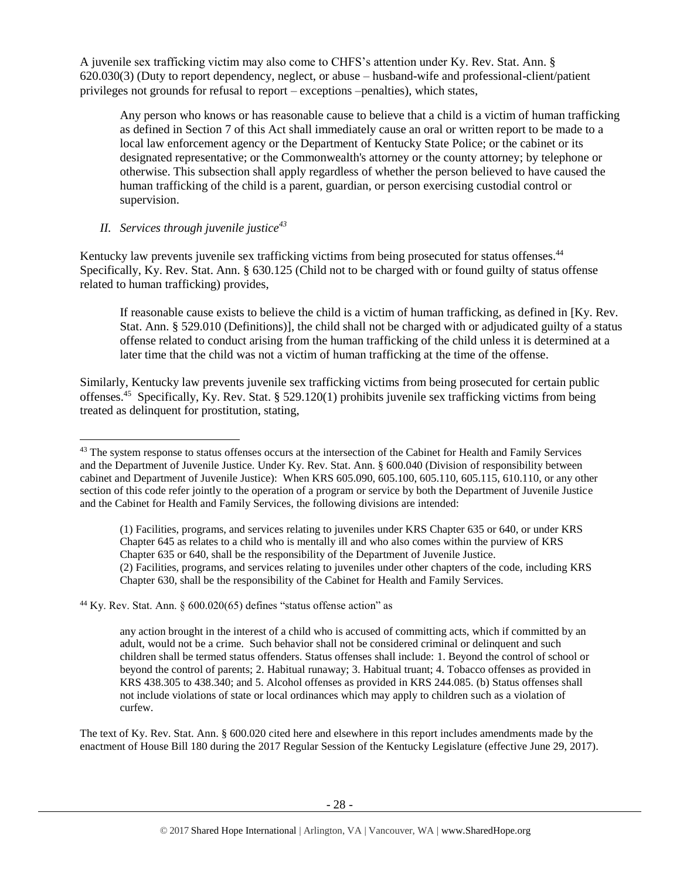A juvenile sex trafficking victim may also come to CHFS's attention under Ky. Rev. Stat. Ann. § 620.030(3) (Duty to report dependency, neglect, or abuse – husband-wife and professional-client/patient privileges not grounds for refusal to report – exceptions –penalties), which states,

Any person who knows or has reasonable cause to believe that a child is a victim of human trafficking as defined in Section 7 of this Act shall immediately cause an oral or written report to be made to a local law enforcement agency or the Department of Kentucky State Police; or the cabinet or its designated representative; or the Commonwealth's attorney or the county attorney; by telephone or otherwise. This subsection shall apply regardless of whether the person believed to have caused the human trafficking of the child is a parent, guardian, or person exercising custodial control or supervision.

# *II. Services through juvenile justice<sup>43</sup>*

Kentucky law prevents juvenile sex trafficking victims from being prosecuted for status offenses.<sup>44</sup> Specifically, Ky. Rev. Stat. Ann. § 630.125 (Child not to be charged with or found guilty of status offense related to human trafficking) provides,

<span id="page-27-0"></span>If reasonable cause exists to believe the child is a victim of human trafficking, as defined in [Ky. Rev. Stat. Ann. § 529.010 (Definitions)], the child shall not be charged with or adjudicated guilty of a status offense related to conduct arising from the human trafficking of the child unless it is determined at a later time that the child was not a victim of human trafficking at the time of the offense.

Similarly, Kentucky law prevents juvenile sex trafficking victims from being prosecuted for certain public offenses.<sup>45</sup> Specifically, Ky. Rev. Stat. § 529.120(1) prohibits juvenile sex trafficking victims from being treated as delinquent for prostitution, stating,

(1) Facilities, programs, and services relating to juveniles under KRS Chapter 635 or 640, or under KRS Chapter 645 as relates to a child who is mentally ill and who also comes within the purview of KRS Chapter 635 or 640, shall be the responsibility of the Department of Juvenile Justice. (2) Facilities, programs, and services relating to juveniles under other chapters of the code, including KRS Chapter 630, shall be the responsibility of the Cabinet for Health and Family Services.

 $44$  Ky. Rev. Stat. Ann. § 600.020(65) defines "status offense action" as

any action brought in the interest of a child who is accused of committing acts, which if committed by an adult, would not be a crime. Such behavior shall not be considered criminal or delinquent and such children shall be termed status offenders. Status offenses shall include: 1. Beyond the control of school or beyond the control of parents; 2. Habitual runaway; 3. Habitual truant; 4. Tobacco offenses as provided in KRS 438.305 to 438.340; and 5. Alcohol offenses as provided in KRS 244.085. (b) Status offenses shall not include violations of state or local ordinances which may apply to children such as a violation of curfew.

The text of Ky. Rev. Stat. Ann. § 600.020 cited here and elsewhere in this report includes amendments made by the enactment of House Bill 180 during the 2017 Regular Session of the Kentucky Legislature (effective June 29, 2017).

 $\overline{\phantom{a}}$ <sup>43</sup> The system response to status offenses occurs at the intersection of the Cabinet for Health and Family Services and the Department of Juvenile Justice. Under Ky. Rev. Stat. Ann. § 600.040 (Division of responsibility between cabinet and Department of Juvenile Justice): When KRS 605.090, 605.100, 605.110, 605.115, 610.110, or any other section of this code refer jointly to the operation of a program or service by both the Department of Juvenile Justice and the Cabinet for Health and Family Services, the following divisions are intended: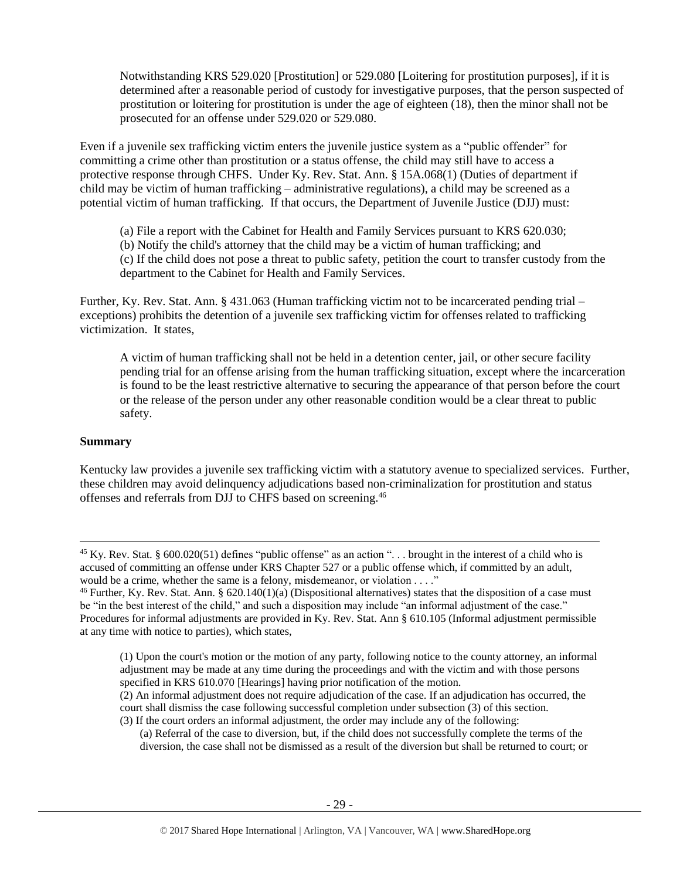Notwithstanding KRS 529.020 [Prostitution] or 529.080 [Loitering for prostitution purposes], if it is determined after a reasonable period of custody for investigative purposes, that the person suspected of prostitution or loitering for prostitution is under the age of eighteen (18), then the minor shall not be prosecuted for an offense under 529.020 or 529.080.

Even if a juvenile sex trafficking victim enters the juvenile justice system as a "public offender" for committing a crime other than prostitution or a status offense, the child may still have to access a protective response through CHFS. Under Ky. Rev. Stat. Ann. § 15A.068(1) (Duties of department if child may be victim of human trafficking – administrative regulations), a child may be screened as a potential victim of human trafficking. If that occurs, the Department of Juvenile Justice (DJJ) must:

(a) File a report with the Cabinet for Health and Family Services pursuant to KRS 620.030; (b) Notify the child's attorney that the child may be a victim of human trafficking; and (c) If the child does not pose a threat to public safety, petition the court to transfer custody from the department to the Cabinet for Health and Family Services.

Further, Ky. Rev. Stat. Ann. § 431.063 (Human trafficking victim not to be incarcerated pending trial – exceptions) prohibits the detention of a juvenile sex trafficking victim for offenses related to trafficking victimization. It states,

A victim of human trafficking shall not be held in a detention center, jail, or other secure facility pending trial for an offense arising from the human trafficking situation, except where the incarceration is found to be the least restrictive alternative to securing the appearance of that person before the court or the release of the person under any other reasonable condition would be a clear threat to public safety.

#### **Summary**

l

Kentucky law provides a juvenile sex trafficking victim with a statutory avenue to specialized services. Further, these children may avoid delinquency adjudications based non-criminalization for prostitution and status offenses and referrals from DJJ to CHFS based on screening.<sup>46</sup>

(a) Referral of the case to diversion, but, if the child does not successfully complete the terms of the diversion, the case shall not be dismissed as a result of the diversion but shall be returned to court; or

<sup>&</sup>lt;sup>45</sup> Ky. Rev. Stat. § 600.020(51) defines "public offense" as an action "... brought in the interest of a child who is accused of committing an offense under KRS Chapter 527 or a public offense which, if committed by an adult, would be a crime, whether the same is a felony, misdemeanor, or violation . . . ."

<sup>46</sup> Further, Ky. Rev. Stat. Ann. § 620.140(1)(a) (Dispositional alternatives) states that the disposition of a case must be "in the best interest of the child," and such a disposition may include "an informal adjustment of the case." Procedures for informal adjustments are provided in Ky. Rev. Stat. Ann § 610.105 (Informal adjustment permissible at any time with notice to parties), which states,

<sup>(1)</sup> Upon the court's motion or the motion of any party, following notice to the county attorney, an informal adjustment may be made at any time during the proceedings and with the victim and with those persons specified in KRS 610.070 [Hearings] having prior notification of the motion.

<sup>(2)</sup> An informal adjustment does not require adjudication of the case. If an adjudication has occurred, the court shall dismiss the case following successful completion under subsection (3) of this section. (3) If the court orders an informal adjustment, the order may include any of the following: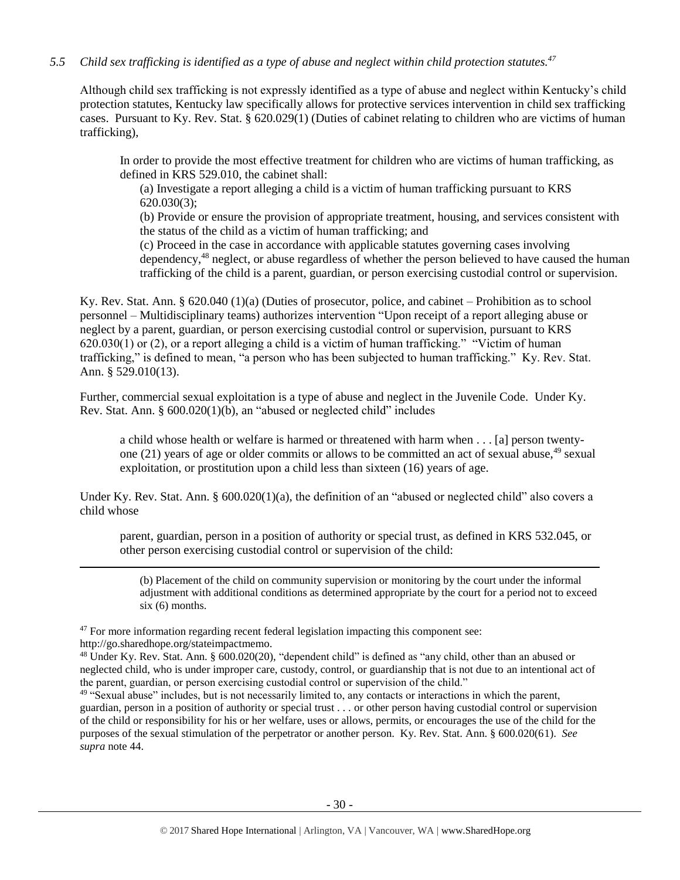# *5.5 Child sex trafficking is identified as a type of abuse and neglect within child protection statutes.<sup>47</sup>*

Although child sex trafficking is not expressly identified as a type of abuse and neglect within Kentucky's child protection statutes, Kentucky law specifically allows for protective services intervention in child sex trafficking cases. Pursuant to Ky. Rev. Stat. § 620.029(1) (Duties of cabinet relating to children who are victims of human trafficking),

In order to provide the most effective treatment for children who are victims of human trafficking, as defined in KRS 529.010, the cabinet shall:

(a) Investigate a report alleging a child is a victim of human trafficking pursuant to KRS 620.030(3);

(b) Provide or ensure the provision of appropriate treatment, housing, and services consistent with the status of the child as a victim of human trafficking; and

(c) Proceed in the case in accordance with applicable statutes governing cases involving dependency,<sup>48</sup> neglect, or abuse regardless of whether the person believed to have caused the human trafficking of the child is a parent, guardian, or person exercising custodial control or supervision.

Ky. Rev. Stat. Ann. § 620.040 (1)(a) (Duties of prosecutor, police, and cabinet – Prohibition as to school personnel – Multidisciplinary teams) authorizes intervention "Upon receipt of a report alleging abuse or neglect by a parent, guardian, or person exercising custodial control or supervision, pursuant to KRS 620.030(1) or (2), or a report alleging a child is a victim of human trafficking." "Victim of human trafficking," is defined to mean, "a person who has been subjected to human trafficking." Ky. Rev. Stat. Ann. § 529.010(13).

Further, commercial sexual exploitation is a type of abuse and neglect in the Juvenile Code. Under Ky. Rev. Stat. Ann. § 600.020(1)(b), an "abused or neglected child" includes

a child whose health or welfare is harmed or threatened with harm when . . . [a] person twentyone (21) years of age or older commits or allows to be committed an act of sexual abuse,  $49$  sexual exploitation, or prostitution upon a child less than sixteen (16) years of age.

Under Ky. Rev. Stat. Ann. § 600.020(1)(a), the definition of an "abused or neglected child" also covers a child whose

parent, guardian, person in a position of authority or special trust, as defined in KRS 532.045, or other person exercising custodial control or supervision of the child:

(b) Placement of the child on community supervision or monitoring by the court under the informal adjustment with additional conditions as determined appropriate by the court for a period not to exceed six (6) months.

 $47$  For more information regarding recent federal legislation impacting this component see: http://go.sharedhope.org/stateimpactmemo.

 $\overline{\phantom{a}}$ 

<sup>48</sup> Under Ky. Rev. Stat. Ann. § 600.020(20), "dependent child" is defined as "any child, other than an abused or neglected child, who is under improper care, custody, control, or guardianship that is not due to an intentional act of the parent, guardian, or person exercising custodial control or supervision of the child."

<sup>49</sup> "Sexual abuse" includes, but is not necessarily limited to, any contacts or interactions in which the parent, guardian, person in a position of authority or special trust . . . or other person having custodial control or supervision of the child or responsibility for his or her welfare, uses or allows, permits, or encourages the use of the child for the purposes of the sexual stimulation of the perpetrator or another person. Ky. Rev. Stat. Ann. § 600.020(61). *See supra* note [44.](#page-27-0)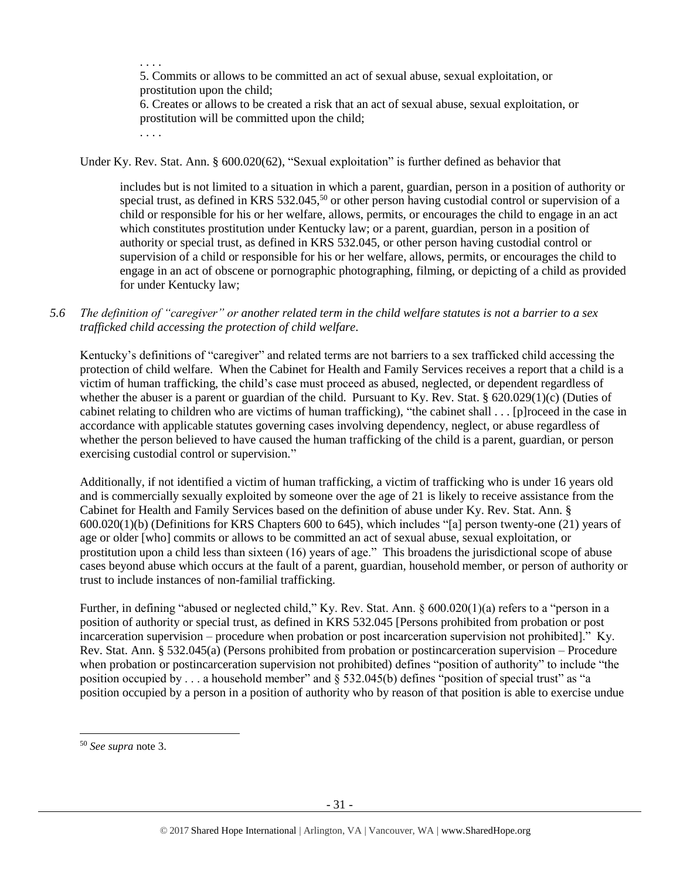. . . . 5. Commits or allows to be committed an act of sexual abuse, sexual exploitation, or prostitution upon the child;

6. Creates or allows to be created a risk that an act of sexual abuse, sexual exploitation, or prostitution will be committed upon the child;

. . . .

Under Ky. Rev. Stat. Ann. § 600.020(62), "Sexual exploitation" is further defined as behavior that

includes but is not limited to a situation in which a parent, guardian, person in a position of authority or special trust, as defined in KRS 532.045,<sup>50</sup> or other person having custodial control or supervision of a child or responsible for his or her welfare, allows, permits, or encourages the child to engage in an act which constitutes prostitution under Kentucky law; or a parent, guardian, person in a position of authority or special trust, as defined in KRS 532.045, or other person having custodial control or supervision of a child or responsible for his or her welfare, allows, permits, or encourages the child to engage in an act of obscene or pornographic photographing, filming, or depicting of a child as provided for under Kentucky law;

*5.6 The definition of "caregiver" or another related term in the child welfare statutes is not a barrier to a sex trafficked child accessing the protection of child welfare.*

Kentucky's definitions of "caregiver" and related terms are not barriers to a sex trafficked child accessing the protection of child welfare. When the Cabinet for Health and Family Services receives a report that a child is a victim of human trafficking, the child's case must proceed as abused, neglected, or dependent regardless of whether the abuser is a parent or guardian of the child. Pursuant to Ky. Rev. Stat. § 620.029(1)(c) (Duties of cabinet relating to children who are victims of human trafficking), "the cabinet shall . . . [p]roceed in the case in accordance with applicable statutes governing cases involving dependency, neglect, or abuse regardless of whether the person believed to have caused the human trafficking of the child is a parent, guardian, or person exercising custodial control or supervision."

Additionally, if not identified a victim of human trafficking, a victim of trafficking who is under 16 years old and is commercially sexually exploited by someone over the age of 21 is likely to receive assistance from the Cabinet for Health and Family Services based on the definition of abuse under Ky. Rev. Stat. Ann. § 600.020(1)(b) (Definitions for KRS Chapters 600 to 645), which includes "[a] person twenty-one (21) years of age or older [who] commits or allows to be committed an act of sexual abuse, sexual exploitation, or prostitution upon a child less than sixteen (16) years of age." This broadens the jurisdictional scope of abuse cases beyond abuse which occurs at the fault of a parent, guardian, household member, or person of authority or trust to include instances of non-familial trafficking.

Further, in defining "abused or neglected child," Ky. Rev. Stat. Ann. § 600.020(1)(a) refers to a "person in a position of authority or special trust, as defined in KRS 532.045 [Persons prohibited from probation or post incarceration supervision – procedure when probation or post incarceration supervision not prohibited]." Ky. Rev. Stat. Ann. § 532.045(a) (Persons prohibited from probation or postincarceration supervision – Procedure when probation or postincarceration supervision not prohibited) defines "position of authority" to include "the position occupied by . . . a household member" and § 532.045(b) defines "position of special trust" as "a position occupied by a person in a position of authority who by reason of that position is able to exercise undue

l

<sup>50</sup> *See supra* note [3.](#page-3-0)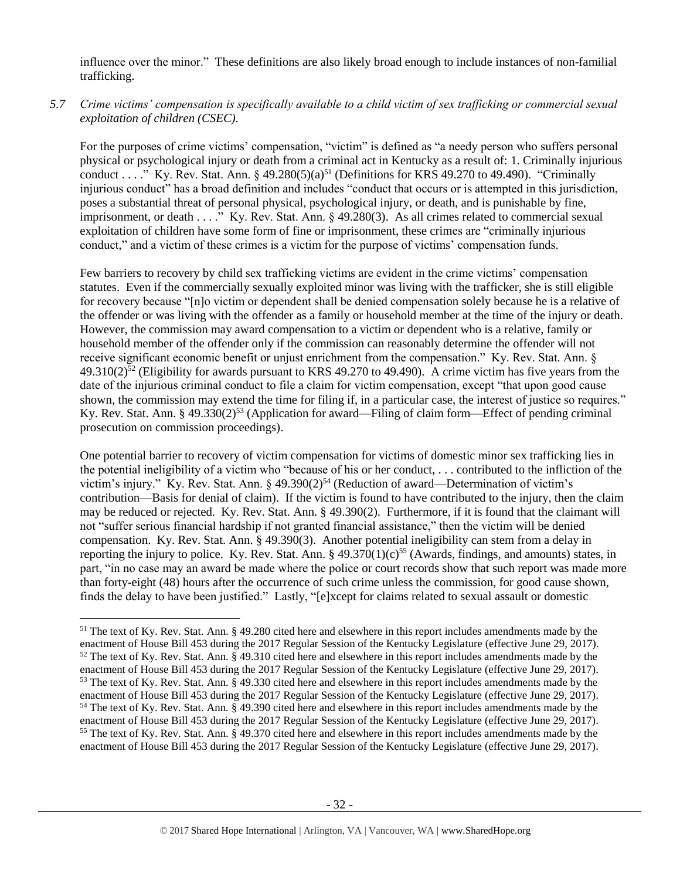influence over the minor." These definitions are also likely broad enough to include instances of non-familial trafficking.

# *5.7 Crime victims' compensation is specifically available to a child victim of sex trafficking or commercial sexual exploitation of children (CSEC).*

For the purposes of crime victims' compensation, "victim" is defined as "a needy person who suffers personal physical or psychological injury or death from a criminal act in Kentucky as a result of: 1. Criminally injurious conduct . . . ." Ky. Rev. Stat. Ann.  $\S 49.280(5)(a)^{51}$  (Definitions for KRS 49.270 to 49.490). "Criminally injurious conduct" has a broad definition and includes "conduct that occurs or is attempted in this jurisdiction, poses a substantial threat of personal physical, psychological injury, or death, and is punishable by fine, imprisonment, or death . . . ." Ky. Rev. Stat. Ann. § 49.280(3). As all crimes related to commercial sexual exploitation of children have some form of fine or imprisonment, these crimes are "criminally injurious conduct," and a victim of these crimes is a victim for the purpose of victims' compensation funds.

Few barriers to recovery by child sex trafficking victims are evident in the crime victims' compensation statutes. Even if the commercially sexually exploited minor was living with the trafficker, she is still eligible for recovery because "[n]o victim or dependent shall be denied compensation solely because he is a relative of the offender or was living with the offender as a family or household member at the time of the injury or death. However, the commission may award compensation to a victim or dependent who is a relative, family or household member of the offender only if the commission can reasonably determine the offender will not receive significant economic benefit or unjust enrichment from the compensation." Ky. Rev. Stat. Ann. §  $49.310(2)^{52}$  (Eligibility for awards pursuant to KRS 49.270 to 49.490). A crime victim has five years from the date of the injurious criminal conduct to file a claim for victim compensation, except "that upon good cause shown, the commission may extend the time for filing if, in a particular case, the interest of justice so requires." Ky. Rev. Stat. Ann. § 49.330(2)<sup>53</sup> (Application for award—Filing of claim form—Effect of pending criminal prosecution on commission proceedings).

One potential barrier to recovery of victim compensation for victims of domestic minor sex trafficking lies in the potential ineligibility of a victim who "because of his or her conduct, . . . contributed to the infliction of the victim's injury." Ky. Rev. Stat. Ann. § 49.390(2)<sup>54</sup> (Reduction of award—Determination of victim's contribution—Basis for denial of claim). If the victim is found to have contributed to the injury, then the claim may be reduced or rejected. Ky. Rev. Stat. Ann. § 49.390(2). Furthermore, if it is found that the claimant will not "suffer serious financial hardship if not granted financial assistance," then the victim will be denied compensation. Ky. Rev. Stat. Ann. § 49.390(3). Another potential ineligibility can stem from a delay in reporting the injury to police. Ky. Rev. Stat. Ann. §  $49.370(1)(c)^{55}$  (Awards, findings, and amounts) states, in part, "in no case may an award be made where the police or court records show that such report was made more than forty-eight (48) hours after the occurrence of such crime unless the commission, for good cause shown, finds the delay to have been justified." Lastly, "[e]xcept for claims related to sexual assault or domestic

l

 $<sup>51</sup>$  The text of Ky. Rev. Stat. Ann. § 49.280 cited here and elsewhere in this report includes amendments made by the</sup> enactment of House Bill 453 during the 2017 Regular Session of the Kentucky Legislature (effective June 29, 2017).  $52$  The text of Ky. Rev. Stat. Ann. § 49.310 cited here and elsewhere in this report includes amendments made by the enactment of House Bill 453 during the 2017 Regular Session of the Kentucky Legislature (effective June 29, 2017). <sup>53</sup> The text of Ky. Rev. Stat. Ann. § 49.330 cited here and elsewhere in this report includes amendments made by the enactment of House Bill 453 during the 2017 Regular Session of the Kentucky Legislature (effective June 29, 2017). <sup>54</sup> The text of Ky. Rev. Stat. Ann. § 49.390 cited here and elsewhere in this report includes amendments made by the enactment of House Bill 453 during the 2017 Regular Session of the Kentucky Legislature (effective June 29, 2017). <sup>55</sup> The text of Ky. Rev. Stat. Ann. § 49.370 cited here and elsewhere in this report includes amendments made by the enactment of House Bill 453 during the 2017 Regular Session of the Kentucky Legislature (effective June 29, 2017).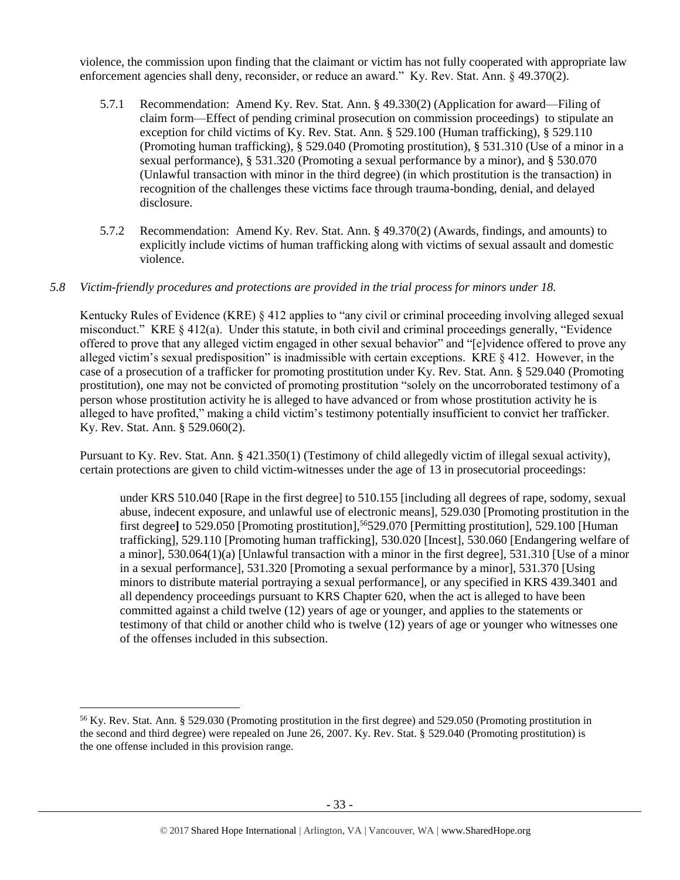violence, the commission upon finding that the claimant or victim has not fully cooperated with appropriate law enforcement agencies shall deny, reconsider, or reduce an award." Ky. Rev. Stat. Ann. § 49.370(2).

- 5.7.1 Recommendation: Amend Ky. Rev. Stat. Ann. § 49.330(2) (Application for award—Filing of claim form—Effect of pending criminal prosecution on commission proceedings) to stipulate an exception for child victims of Ky. Rev. Stat. Ann. § 529.100 (Human trafficking), § 529.110 (Promoting human trafficking), § 529.040 (Promoting prostitution), § 531.310 (Use of a minor in a sexual performance), § 531.320 (Promoting a sexual performance by a minor), and § 530.070 (Unlawful transaction with minor in the third degree) (in which prostitution is the transaction) in recognition of the challenges these victims face through trauma-bonding, denial, and delayed disclosure.
- 5.7.2 Recommendation: Amend Ky. Rev. Stat. Ann. § 49.370(2) (Awards, findings, and amounts) to explicitly include victims of human trafficking along with victims of sexual assault and domestic violence.

# *5.8 Victim-friendly procedures and protections are provided in the trial process for minors under 18.*

Kentucky Rules of Evidence (KRE) § 412 applies to "any civil or criminal proceeding involving alleged sexual misconduct." KRE § 412(a). Under this statute, in both civil and criminal proceedings generally, "Evidence offered to prove that any alleged victim engaged in other sexual behavior" and "[e]vidence offered to prove any alleged victim's sexual predisposition" is inadmissible with certain exceptions. KRE § 412. However, in the case of a prosecution of a trafficker for promoting prostitution under Ky. Rev. Stat. Ann. § 529.040 (Promoting prostitution), one may not be convicted of promoting prostitution "solely on the uncorroborated testimony of a person whose prostitution activity he is alleged to have advanced or from whose prostitution activity he is alleged to have profited," making a child victim's testimony potentially insufficient to convict her trafficker. Ky. Rev. Stat. Ann. § 529.060(2).

Pursuant to Ky. Rev. Stat. Ann. § 421.350(1) (Testimony of child allegedly victim of illegal sexual activity), certain protections are given to child victim-witnesses under the age of 13 in prosecutorial proceedings:

under KRS 510.040 [Rape in the first degree] to 510.155 [including all degrees of rape, sodomy, sexual abuse, indecent exposure, and unlawful use of electronic means], 529.030 [Promoting prostitution in the first degree] to 529.050 [Promoting prostitution],<sup>56</sup>529.070 [Permitting prostitution], 529.100 [Human trafficking], 529.110 [Promoting human trafficking], 530.020 [Incest], 530.060 [Endangering welfare of a minor], 530.064(1)(a) [Unlawful transaction with a minor in the first degree], 531.310 [Use of a minor in a sexual performance], 531.320 [Promoting a sexual performance by a minor], 531.370 [Using minors to distribute material portraying a sexual performance], or any specified in KRS 439.3401 and all dependency proceedings pursuant to KRS Chapter 620, when the act is alleged to have been committed against a child twelve (12) years of age or younger, and applies to the statements or testimony of that child or another child who is twelve (12) years of age or younger who witnesses one of the offenses included in this subsection.

<sup>56</sup> Ky. Rev. Stat. Ann. § 529.030 (Promoting prostitution in the first degree) and 529.050 (Promoting prostitution in the second and third degree) were repealed on June 26, 2007. Ky. Rev. Stat. § 529.040 (Promoting prostitution) is the one offense included in this provision range.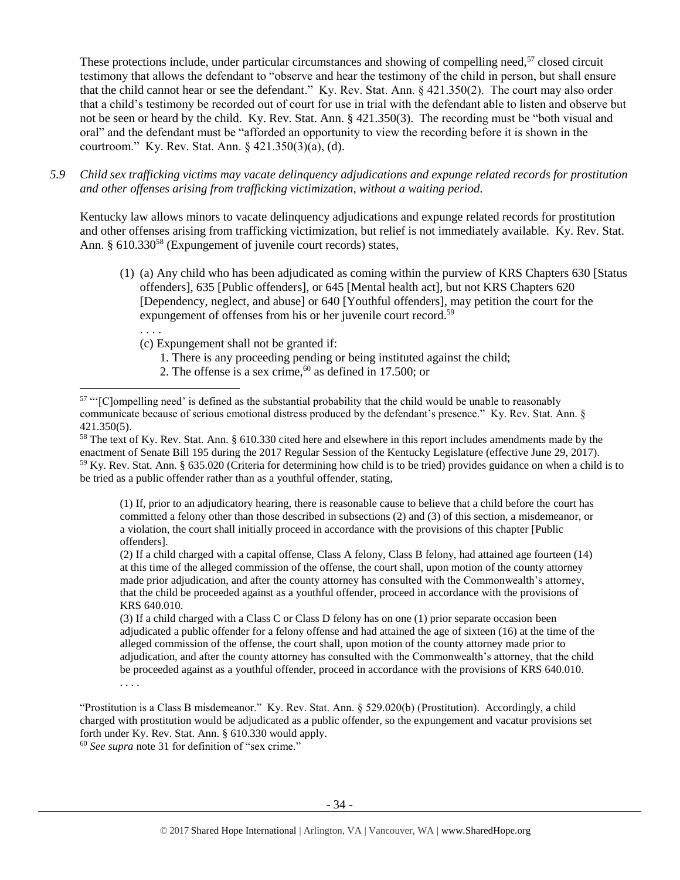These protections include, under particular circumstances and showing of compelling need,<sup>57</sup> closed circuit testimony that allows the defendant to "observe and hear the testimony of the child in person, but shall ensure that the child cannot hear or see the defendant." Ky. Rev. Stat. Ann. § 421.350(2). The court may also order that a child's testimony be recorded out of court for use in trial with the defendant able to listen and observe but not be seen or heard by the child. Ky. Rev. Stat. Ann. § 421.350(3). The recording must be "both visual and oral" and the defendant must be "afforded an opportunity to view the recording before it is shown in the courtroom." Ky. Rev. Stat. Ann. § 421.350(3)(a), (d).

*5.9 Child sex trafficking victims may vacate delinquency adjudications and expunge related records for prostitution and other offenses arising from trafficking victimization, without a waiting period.*

Kentucky law allows minors to vacate delinquency adjudications and expunge related records for prostitution and other offenses arising from trafficking victimization, but relief is not immediately available. Ky. Rev. Stat. Ann. § 610.330<sup>58</sup> (Expungement of juvenile court records) states,

- (1) (a) Any child who has been adjudicated as coming within the purview of KRS Chapters 630 [Status offenders], 635 [Public offenders], or 645 [Mental health act], but not KRS Chapters 620 [Dependency, neglect, and abuse] or 640 [Youthful offenders], may petition the court for the expungement of offenses from his or her juvenile court record.<sup>59</sup>
	- . . . .

l

- (c) Expungement shall not be granted if:
	- 1. There is any proceeding pending or being instituted against the child;
	- 2. The offense is a sex crime,  $60$  as defined in 17.500; or

(1) If, prior to an adjudicatory hearing, there is reasonable cause to believe that a child before the court has committed a felony other than those described in subsections (2) and (3) of this section, a misdemeanor, or a violation, the court shall initially proceed in accordance with the provisions of this chapter [Public offenders].

(2) If a child charged with a capital offense, Class A felony, Class B felony, had attained age fourteen (14) at this time of the alleged commission of the offense, the court shall, upon motion of the county attorney made prior adjudication, and after the county attorney has consulted with the Commonwealth's attorney, that the child be proceeded against as a youthful offender, proceed in accordance with the provisions of KRS 640.010.

(3) If a child charged with a Class C or Class D felony has on one (1) prior separate occasion been adjudicated a public offender for a felony offense and had attained the age of sixteen (16) at the time of the alleged commission of the offense, the court shall, upon motion of the county attorney made prior to adjudication, and after the county attorney has consulted with the Commonwealth's attorney, that the child be proceeded against as a youthful offender, proceed in accordance with the provisions of KRS 640.010. . . . .

"Prostitution is a Class B misdemeanor." Ky. Rev. Stat. Ann. § 529.020(b) (Prostitution). Accordingly, a child charged with prostitution would be adjudicated as a public offender, so the expungement and vacatur provisions set forth under Ky. Rev. Stat. Ann. § 610.330 would apply.

<sup>60</sup> *See supra* note [31](#page-18-0) for definition of "sex crime."

<sup>&</sup>lt;sup>57</sup> "'[Clompelling need' is defined as the substantial probability that the child would be unable to reasonably communicate because of serious emotional distress produced by the defendant's presence." Ky. Rev. Stat. Ann. § 421.350(5).

<sup>&</sup>lt;sup>58</sup> The text of Ky. Rev. Stat. Ann. § 610.330 cited here and elsewhere in this report includes amendments made by the enactment of Senate Bill 195 during the 2017 Regular Session of the Kentucky Legislature (effective June 29, 2017). <sup>59</sup> Ky. Rev. Stat. Ann. § 635.020 (Criteria for determining how child is to be tried) provides guidance on when a child is to be tried as a public offender rather than as a youthful offender, stating,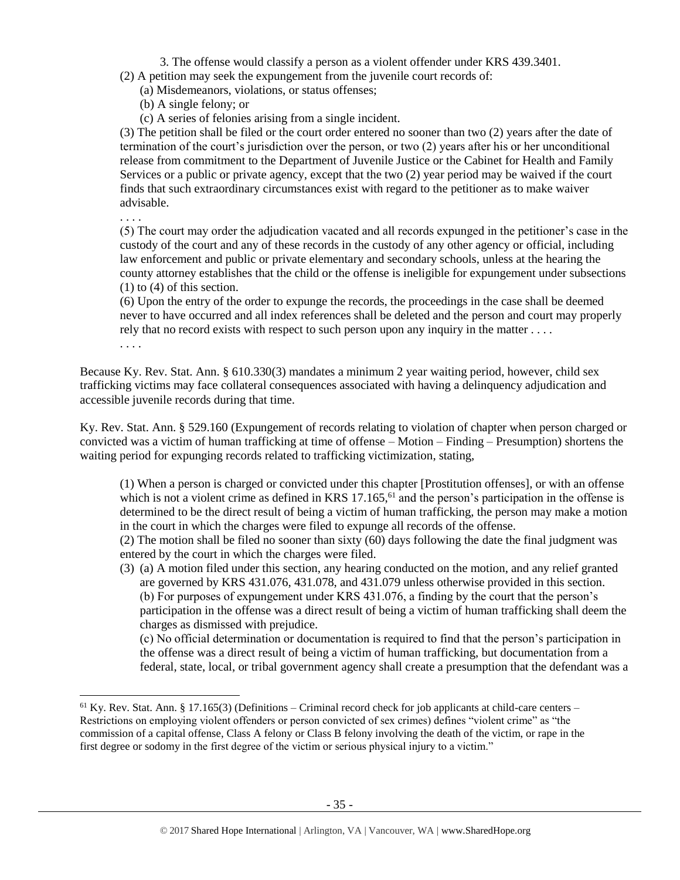- 3. The offense would classify a person as a violent offender under KRS 439.3401.
- (2) A petition may seek the expungement from the juvenile court records of:
	- (a) Misdemeanors, violations, or status offenses;
	- (b) A single felony; or
	- (c) A series of felonies arising from a single incident.

(3) The petition shall be filed or the court order entered no sooner than two (2) years after the date of termination of the court's jurisdiction over the person, or two (2) years after his or her unconditional release from commitment to the Department of Juvenile Justice or the Cabinet for Health and Family Services or a public or private agency, except that the two (2) year period may be waived if the court finds that such extraordinary circumstances exist with regard to the petitioner as to make waiver advisable.

. . . .

 $\overline{\phantom{a}}$ 

(5) The court may order the adjudication vacated and all records expunged in the petitioner's case in the custody of the court and any of these records in the custody of any other agency or official, including law enforcement and public or private elementary and secondary schools, unless at the hearing the county attorney establishes that the child or the offense is ineligible for expungement under subsections (1) to (4) of this section.

(6) Upon the entry of the order to expunge the records, the proceedings in the case shall be deemed never to have occurred and all index references shall be deleted and the person and court may properly rely that no record exists with respect to such person upon any inquiry in the matter . . . . . . . .

Because Ky. Rev. Stat. Ann. § 610.330(3) mandates a minimum 2 year waiting period, however, child sex trafficking victims may face collateral consequences associated with having a delinquency adjudication and accessible juvenile records during that time.

Ky. Rev. Stat. Ann. § 529.160 (Expungement of records relating to violation of chapter when person charged or convicted was a victim of human trafficking at time of offense – Motion – Finding – Presumption) shortens the waiting period for expunging records related to trafficking victimization, stating,

(1) When a person is charged or convicted under this chapter [Prostitution offenses], or with an offense which is not a violent crime as defined in KRS  $17.165$ , <sup>61</sup> and the person's participation in the offense is determined to be the direct result of being a victim of human trafficking, the person may make a motion in the court in which the charges were filed to expunge all records of the offense.

(2) The motion shall be filed no sooner than sixty (60) days following the date the final judgment was entered by the court in which the charges were filed.

(3) (a) A motion filed under this section, any hearing conducted on the motion, and any relief granted are governed by KRS 431.076, 431.078, and 431.079 unless otherwise provided in this section. (b) For purposes of expungement under KRS 431.076, a finding by the court that the person's participation in the offense was a direct result of being a victim of human trafficking shall deem the charges as dismissed with prejudice.

(c) No official determination or documentation is required to find that the person's participation in the offense was a direct result of being a victim of human trafficking, but documentation from a federal, state, local, or tribal government agency shall create a presumption that the defendant was a

 $61$  Ky. Rev. Stat. Ann. § 17.165(3) (Definitions – Criminal record check for job applicants at child-care centers – Restrictions on employing violent offenders or person convicted of sex crimes) defines "violent crime" as "the commission of a capital offense, Class A felony or Class B felony involving the death of the victim, or rape in the first degree or sodomy in the first degree of the victim or serious physical injury to a victim."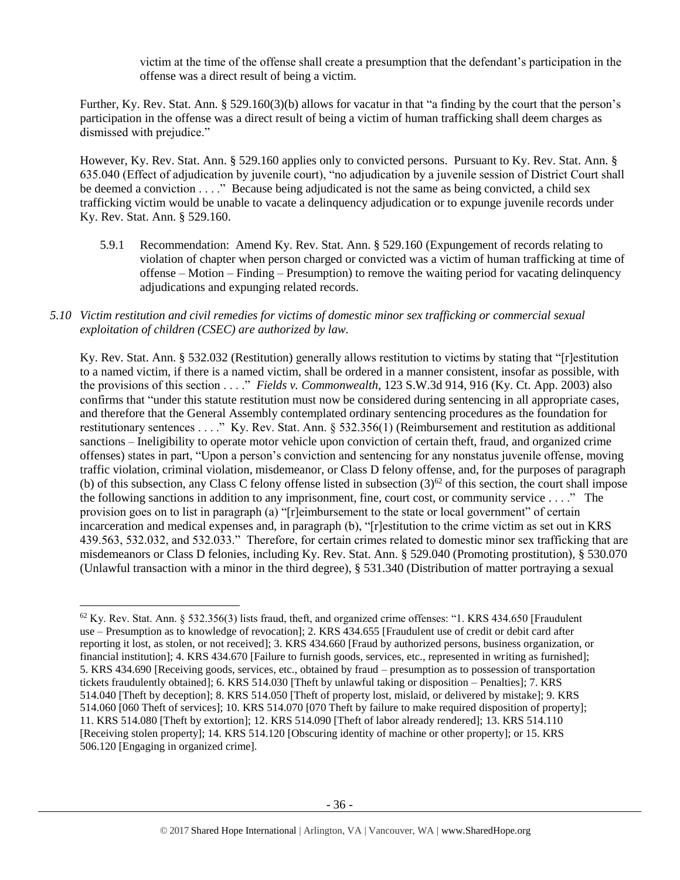victim at the time of the offense shall create a presumption that the defendant's participation in the offense was a direct result of being a victim.

Further, Ky. Rev. Stat. Ann. § 529.160(3)(b) allows for vacatur in that "a finding by the court that the person's participation in the offense was a direct result of being a victim of human trafficking shall deem charges as dismissed with prejudice."

However, Ky. Rev. Stat. Ann. § 529.160 applies only to convicted persons. Pursuant to Ky. Rev. Stat. Ann. § 635.040 (Effect of adjudication by juvenile court), "no adjudication by a juvenile session of District Court shall be deemed a conviction . . . ." Because being adjudicated is not the same as being convicted, a child sex trafficking victim would be unable to vacate a delinquency adjudication or to expunge juvenile records under Ky. Rev. Stat. Ann. § 529.160.

5.9.1 Recommendation: Amend Ky. Rev. Stat. Ann. § 529.160 (Expungement of records relating to violation of chapter when person charged or convicted was a victim of human trafficking at time of offense – Motion – Finding – Presumption) to remove the waiting period for vacating delinquency adjudications and expunging related records.

# *5.10 Victim restitution and civil remedies for victims of domestic minor sex trafficking or commercial sexual exploitation of children (CSEC) are authorized by law.*

Ky. Rev. Stat. Ann. § 532.032 (Restitution) generally allows restitution to victims by stating that "[r]estitution to a named victim, if there is a named victim, shall be ordered in a manner consistent, insofar as possible, with the provisions of this section . . . ." *Fields v. Commonwealth*, 123 S.W.3d 914, 916 (Ky. Ct. App. 2003) also confirms that "under this statute restitution must now be considered during sentencing in all appropriate cases, and therefore that the General Assembly contemplated ordinary sentencing procedures as the foundation for restitutionary sentences . . . ." Ky. Rev. Stat. Ann. § 532.356(1) (Reimbursement and restitution as additional sanctions – Ineligibility to operate motor vehicle upon conviction of certain theft, fraud, and organized crime offenses) states in part, "Upon a person's conviction and sentencing for any nonstatus juvenile offense, moving traffic violation, criminal violation, misdemeanor, or Class D felony offense, and, for the purposes of paragraph (b) of this subsection, any Class C felony offense listed in subsection  $(3)^{62}$  of this section, the court shall impose the following sanctions in addition to any imprisonment, fine, court cost, or community service . . . ." The provision goes on to list in paragraph (a) "[r]eimbursement to the state or local government" of certain incarceration and medical expenses and, in paragraph (b), "[r]estitution to the crime victim as set out in KRS 439.563, 532.032, and 532.033." Therefore, for certain crimes related to domestic minor sex trafficking that are misdemeanors or Class D felonies, including Ky. Rev. Stat. Ann. § 529.040 (Promoting prostitution), § 530.070 (Unlawful transaction with a minor in the third degree), § 531.340 (Distribution of matter portraying a sexual

<sup>62</sup> Ky. Rev. Stat. Ann. § 532.356(3) lists fraud, theft, and organized crime offenses: "1. KRS 434.650 [Fraudulent use – Presumption as to knowledge of revocation]; 2. KRS 434.655 [Fraudulent use of credit or debit card after reporting it lost, as stolen, or not received]; 3. KRS 434.660 [Fraud by authorized persons, business organization, or financial institution]; 4. KRS 434.670 [Failure to furnish goods, services, etc., represented in writing as furnished]; 5. KRS 434.690 [Receiving goods, services, etc., obtained by fraud – presumption as to possession of transportation tickets fraudulently obtained]; 6. KRS 514.030 [Theft by unlawful taking or disposition – Penalties]; 7. KRS 514.040 [Theft by deception]; 8. KRS 514.050 [Theft of property lost, mislaid, or delivered by mistake]; 9. KRS 514.060 [060 Theft of services]; 10. KRS 514.070 [070 Theft by failure to make required disposition of property]; 11. KRS 514.080 [Theft by extortion]; 12. KRS 514.090 [Theft of labor already rendered]; 13. KRS 514.110 [Receiving stolen property]; 14. KRS 514.120 [Obscuring identity of machine or other property]; or 15. KRS 506.120 [Engaging in organized crime].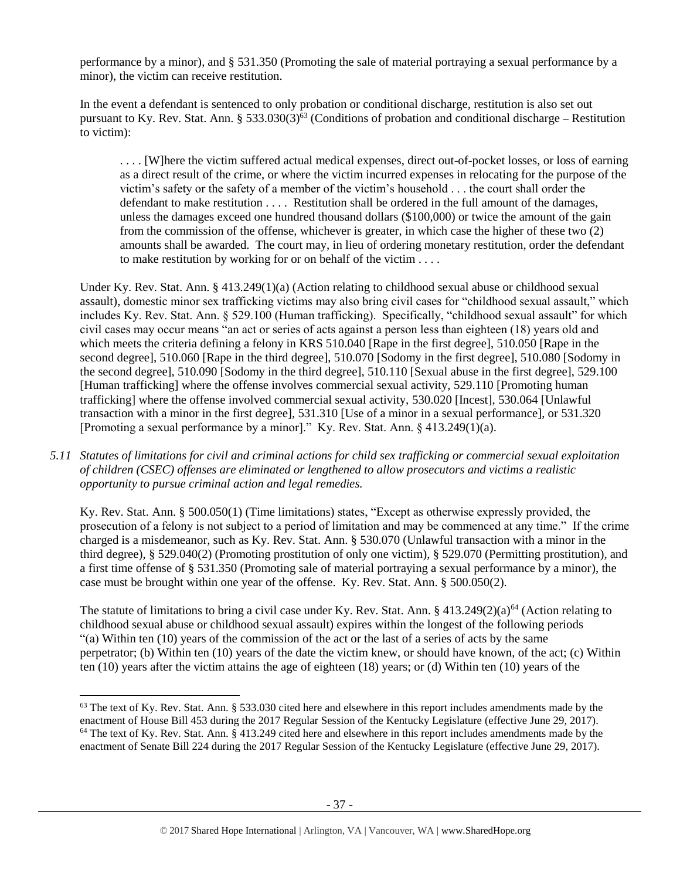performance by a minor), and § 531.350 (Promoting the sale of material portraying a sexual performance by a minor), the victim can receive restitution.

In the event a defendant is sentenced to only probation or conditional discharge, restitution is also set out pursuant to Ky. Rev. Stat. Ann.  $\S 533.030(3)^{63}$  (Conditions of probation and conditional discharge – Restitution to victim):

. . . . [W]here the victim suffered actual medical expenses, direct out-of-pocket losses, or loss of earning as a direct result of the crime, or where the victim incurred expenses in relocating for the purpose of the victim's safety or the safety of a member of the victim's household . . . the court shall order the defendant to make restitution . . . . Restitution shall be ordered in the full amount of the damages, unless the damages exceed one hundred thousand dollars (\$100,000) or twice the amount of the gain from the commission of the offense, whichever is greater, in which case the higher of these two (2) amounts shall be awarded. The court may, in lieu of ordering monetary restitution, order the defendant to make restitution by working for or on behalf of the victim . . . .

Under Ky. Rev. Stat. Ann. § 413.249(1)(a) (Action relating to childhood sexual abuse or childhood sexual assault), domestic minor sex trafficking victims may also bring civil cases for "childhood sexual assault," which includes Ky. Rev. Stat. Ann. § 529.100 (Human trafficking). Specifically, "childhood sexual assault" for which civil cases may occur means "an act or series of acts against a person less than eighteen (18) years old and which meets the criteria defining a felony in KRS 510.040 [Rape in the first degree], 510.050 [Rape in the second degree], 510.060 [Rape in the third degree], 510.070 [Sodomy in the first degree], 510.080 [Sodomy in the second degree], 510.090 [Sodomy in the third degree], 510.110 [Sexual abuse in the first degree], 529.100 [Human trafficking] where the offense involves commercial sexual activity, 529.110 [Promoting human trafficking] where the offense involved commercial sexual activity, 530.020 [Incest], 530.064 [Unlawful transaction with a minor in the first degree], 531.310 [Use of a minor in a sexual performance], or 531.320 [Promoting a sexual performance by a minor]." Ky. Rev. Stat. Ann. § 413.249(1)(a).

*5.11 Statutes of limitations for civil and criminal actions for child sex trafficking or commercial sexual exploitation of children (CSEC) offenses are eliminated or lengthened to allow prosecutors and victims a realistic opportunity to pursue criminal action and legal remedies.*

Ky. Rev. Stat. Ann. § 500.050(1) (Time limitations) states, "Except as otherwise expressly provided, the prosecution of a felony is not subject to a period of limitation and may be commenced at any time." If the crime charged is a misdemeanor, such as Ky. Rev. Stat. Ann. § 530.070 (Unlawful transaction with a minor in the third degree), § 529.040(2) (Promoting prostitution of only one victim), § 529.070 (Permitting prostitution), and a first time offense of § 531.350 (Promoting sale of material portraying a sexual performance by a minor), the case must be brought within one year of the offense. Ky. Rev. Stat. Ann. § 500.050(2).

The statute of limitations to bring a civil case under Ky. Rev. Stat. Ann. §  $413.249(2)(a)^{64}$  (Action relating to childhood sexual abuse or childhood sexual assault) expires within the longest of the following periods "(a) Within ten (10) years of the commission of the act or the last of a series of acts by the same perpetrator; (b) Within ten (10) years of the date the victim knew, or should have known, of the act; (c) Within ten (10) years after the victim attains the age of eighteen (18) years; or (d) Within ten (10) years of the

 $63$  The text of Ky. Rev. Stat. Ann. § 533.030 cited here and elsewhere in this report includes amendments made by the enactment of House Bill 453 during the 2017 Regular Session of the Kentucky Legislature (effective June 29, 2017).  $64$  The text of Ky. Rev. Stat. Ann. § 413.249 cited here and elsewhere in this report includes amendments made by the enactment of Senate Bill 224 during the 2017 Regular Session of the Kentucky Legislature (effective June 29, 2017).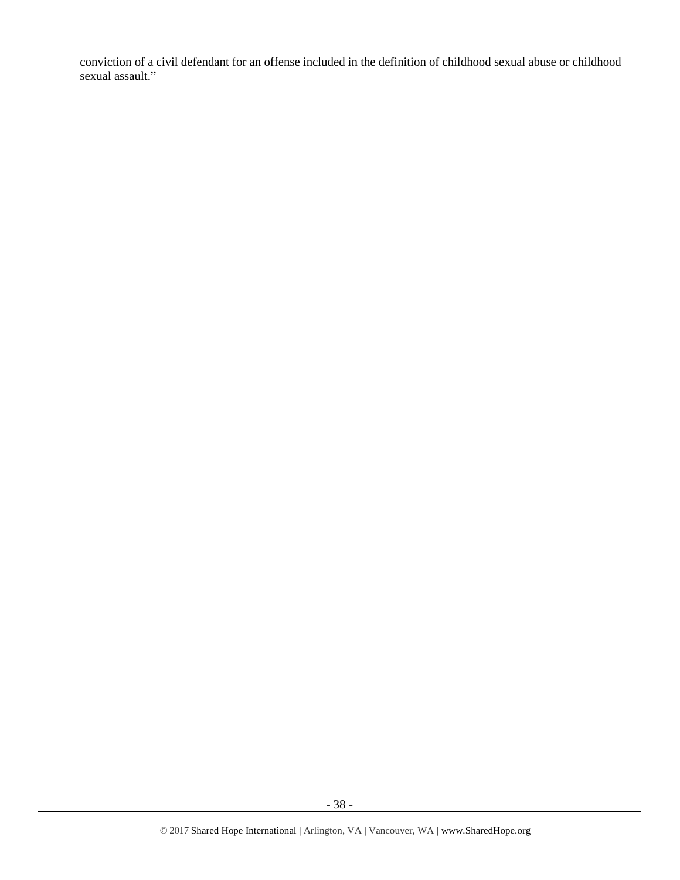conviction of a civil defendant for an offense included in the definition of childhood sexual abuse or childhood sexual assault."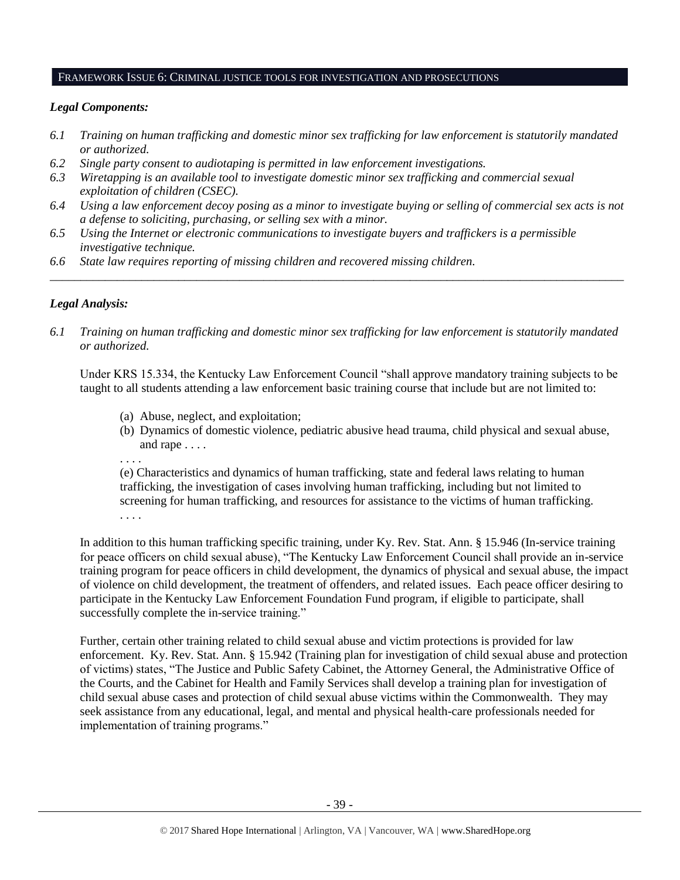#### FRAMEWORK ISSUE 6: CRIMINAL JUSTICE TOOLS FOR INVESTIGATION AND PROSECUTIONS

# *Legal Components:*

- *6.1 Training on human trafficking and domestic minor sex trafficking for law enforcement is statutorily mandated or authorized.*
- *6.2 Single party consent to audiotaping is permitted in law enforcement investigations.*
- *6.3 Wiretapping is an available tool to investigate domestic minor sex trafficking and commercial sexual exploitation of children (CSEC).*
- *6.4 Using a law enforcement decoy posing as a minor to investigate buying or selling of commercial sex acts is not a defense to soliciting, purchasing, or selling sex with a minor.*
- *6.5 Using the Internet or electronic communications to investigate buyers and traffickers is a permissible investigative technique.*
- *6.6 State law requires reporting of missing children and recovered missing children.*

# *Legal Analysis:*

*6.1 Training on human trafficking and domestic minor sex trafficking for law enforcement is statutorily mandated or authorized.*

*\_\_\_\_\_\_\_\_\_\_\_\_\_\_\_\_\_\_\_\_\_\_\_\_\_\_\_\_\_\_\_\_\_\_\_\_\_\_\_\_\_\_\_\_\_\_\_\_\_\_\_\_\_\_\_\_\_\_\_\_\_\_\_\_\_\_\_\_\_\_\_\_\_\_\_\_\_\_\_\_\_\_\_\_\_\_\_\_\_\_\_\_\_\_*

Under KRS 15.334, the Kentucky Law Enforcement Council "shall approve mandatory training subjects to be taught to all students attending a law enforcement basic training course that include but are not limited to:

- (a) Abuse, neglect, and exploitation;
- (b) Dynamics of domestic violence, pediatric abusive head trauma, child physical and sexual abuse, and rape . . . .
- . . . .

(e) Characteristics and dynamics of human trafficking, state and federal laws relating to human trafficking, the investigation of cases involving human trafficking, including but not limited to screening for human trafficking, and resources for assistance to the victims of human trafficking. . . . .

In addition to this human trafficking specific training, under Ky. Rev. Stat. Ann. § 15.946 (In-service training for peace officers on child sexual abuse), "The Kentucky Law Enforcement Council shall provide an in-service training program for peace officers in child development, the dynamics of physical and sexual abuse, the impact of violence on child development, the treatment of offenders, and related issues. Each peace officer desiring to participate in the Kentucky Law Enforcement Foundation Fund program, if eligible to participate, shall successfully complete the in-service training."

Further, certain other training related to child sexual abuse and victim protections is provided for law enforcement. Ky. Rev. Stat. Ann. § 15.942 (Training plan for investigation of child sexual abuse and protection of victims) states, "The Justice and Public Safety Cabinet, the Attorney General, the Administrative Office of the Courts, and the Cabinet for Health and Family Services shall develop a training plan for investigation of child sexual abuse cases and protection of child sexual abuse victims within the Commonwealth. They may seek assistance from any educational, legal, and mental and physical health-care professionals needed for implementation of training programs."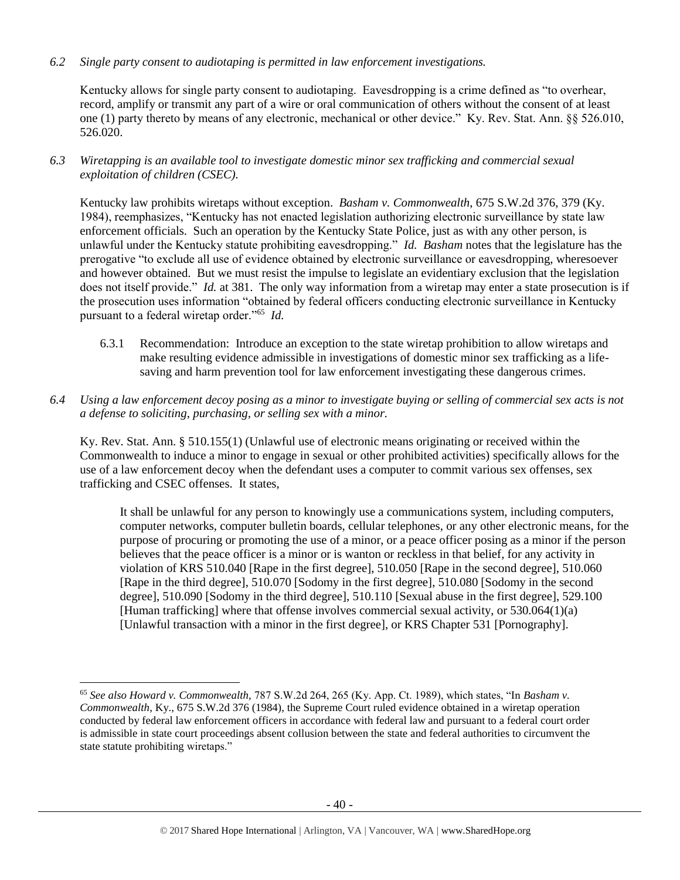*6.2 Single party consent to audiotaping is permitted in law enforcement investigations.*

Kentucky allows for single party consent to audiotaping. Eavesdropping is a crime defined as "to overhear, record, amplify or transmit any part of a wire or oral communication of others without the consent of at least one (1) party thereto by means of any electronic, mechanical or other device." Ky. Rev. Stat. Ann. §§ 526.010, 526.020.

*6.3 Wiretapping is an available tool to investigate domestic minor sex trafficking and commercial sexual exploitation of children (CSEC).* 

Kentucky law prohibits wiretaps without exception. *Basham v. Commonwealth*, 675 S.W.2d 376, 379 (Ky. 1984), reemphasizes, "Kentucky has not enacted legislation authorizing electronic surveillance by state law enforcement officials. Such an operation by the Kentucky State Police, just as with any other person, is unlawful under the Kentucky statute prohibiting eavesdropping." *Id. Basham* notes that the legislature has the prerogative "to exclude all use of evidence obtained by electronic surveillance or eavesdropping, wheresoever and however obtained. But we must resist the impulse to legislate an evidentiary exclusion that the legislation does not itself provide." *Id.* at 381. The only way information from a wiretap may enter a state prosecution is if the prosecution uses information "obtained by federal officers conducting electronic surveillance in Kentucky pursuant to a federal wiretap order."<sup>65</sup> *Id.*

- 6.3.1 Recommendation: Introduce an exception to the state wiretap prohibition to allow wiretaps and make resulting evidence admissible in investigations of domestic minor sex trafficking as a lifesaving and harm prevention tool for law enforcement investigating these dangerous crimes.
- *6.4 Using a law enforcement decoy posing as a minor to investigate buying or selling of commercial sex acts is not a defense to soliciting, purchasing, or selling sex with a minor.*

Ky. Rev. Stat. Ann. § 510.155(1) (Unlawful use of electronic means originating or received within the Commonwealth to induce a minor to engage in sexual or other prohibited activities) specifically allows for the use of a law enforcement decoy when the defendant uses a computer to commit various sex offenses, sex trafficking and CSEC offenses. It states,

It shall be unlawful for any person to knowingly use a communications system, including computers, computer networks, computer bulletin boards, cellular telephones, or any other electronic means, for the purpose of procuring or promoting the use of a minor, or a peace officer posing as a minor if the person believes that the peace officer is a minor or is wanton or reckless in that belief, for any activity in violation of KRS 510.040 [Rape in the first degree], 510.050 [Rape in the second degree], 510.060 [Rape in the third degree], 510.070 [Sodomy in the first degree], 510.080 [Sodomy in the second degree], 510.090 [Sodomy in the third degree], 510.110 [Sexual abuse in the first degree], 529.100 [Human trafficking] where that offense involves commercial sexual activity, or 530.064(1)(a) [Unlawful transaction with a minor in the first degree], or KRS Chapter 531 [Pornography].

<sup>65</sup> *See also Howard v. Commonwealth,* 787 S.W.2d 264, 265 (Ky. App. Ct. 1989), which states, "In *Basham v. Commonwealth*, Ky., 675 S.W.2d 376 (1984), the Supreme Court ruled evidence obtained in a wiretap operation conducted by federal law enforcement officers in accordance with federal law and pursuant to a federal court order is admissible in state court proceedings absent collusion between the state and federal authorities to circumvent the state statute prohibiting wiretaps."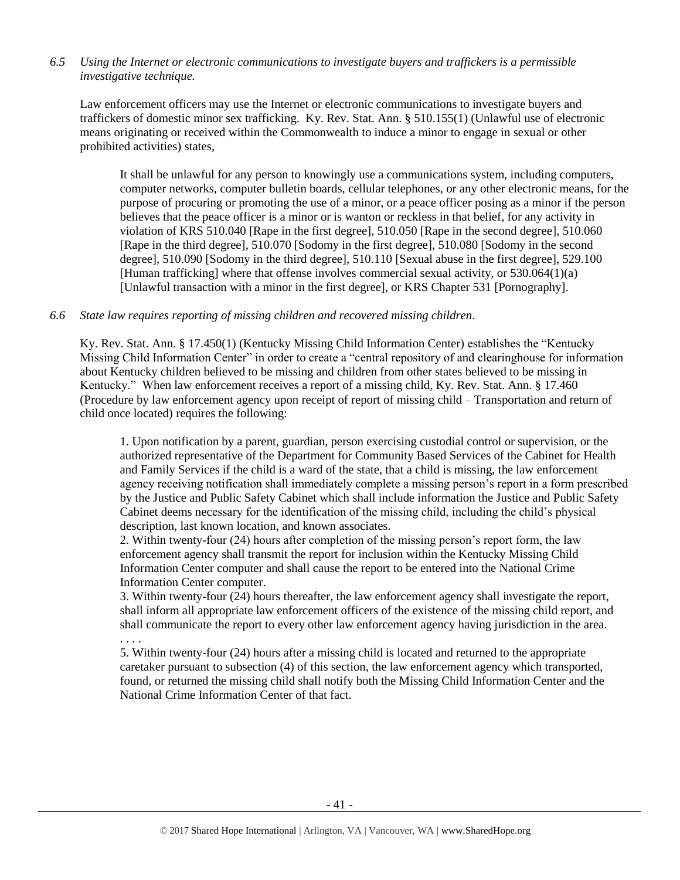# *6.5 Using the Internet or electronic communications to investigate buyers and traffickers is a permissible investigative technique.*

Law enforcement officers may use the Internet or electronic communications to investigate buyers and traffickers of domestic minor sex trafficking. Ky. Rev. Stat. Ann. § 510.155(1) (Unlawful use of electronic means originating or received within the Commonwealth to induce a minor to engage in sexual or other prohibited activities) states,

It shall be unlawful for any person to knowingly use a communications system, including computers, computer networks, computer bulletin boards, cellular telephones, or any other electronic means, for the purpose of procuring or promoting the use of a minor, or a peace officer posing as a minor if the person believes that the peace officer is a minor or is wanton or reckless in that belief, for any activity in violation of KRS 510.040 [Rape in the first degree], 510.050 [Rape in the second degree], 510.060 [Rape in the third degree], 510.070 [Sodomy in the first degree], 510.080 [Sodomy in the second degree], 510.090 [Sodomy in the third degree], 510.110 [Sexual abuse in the first degree], 529.100 [Human trafficking] where that offense involves commercial sexual activity, or 530.064(1)(a) [Unlawful transaction with a minor in the first degree], or KRS Chapter 531 [Pornography].

# *6.6 State law requires reporting of missing children and recovered missing children.*

Ky. Rev. Stat. Ann. § 17.450(1) (Kentucky Missing Child Information Center) establishes the "Kentucky Missing Child Information Center" in order to create a "central repository of and clearinghouse for information about Kentucky children believed to be missing and children from other states believed to be missing in Kentucky." When law enforcement receives a report of a missing child, Ky. Rev. Stat. Ann. § 17.460 (Procedure by law enforcement agency upon receipt of report of missing child – Transportation and return of child once located) requires the following:

1. Upon notification by a parent, guardian, person exercising custodial control or supervision, or the authorized representative of the Department for Community Based Services of the Cabinet for Health and Family Services if the child is a ward of the state, that a child is missing, the law enforcement agency receiving notification shall immediately complete a missing person's report in a form prescribed by the Justice and Public Safety Cabinet which shall include information the Justice and Public Safety Cabinet deems necessary for the identification of the missing child, including the child's physical description, last known location, and known associates.

2. Within twenty-four (24) hours after completion of the missing person's report form, the law enforcement agency shall transmit the report for inclusion within the Kentucky Missing Child Information Center computer and shall cause the report to be entered into the National Crime Information Center computer.

3. Within twenty-four (24) hours thereafter, the law enforcement agency shall investigate the report, shall inform all appropriate law enforcement officers of the existence of the missing child report, and shall communicate the report to every other law enforcement agency having jurisdiction in the area. . . . .

5. Within twenty-four (24) hours after a missing child is located and returned to the appropriate caretaker pursuant to subsection (4) of this section, the law enforcement agency which transported, found, or returned the missing child shall notify both the Missing Child Information Center and the National Crime Information Center of that fact.